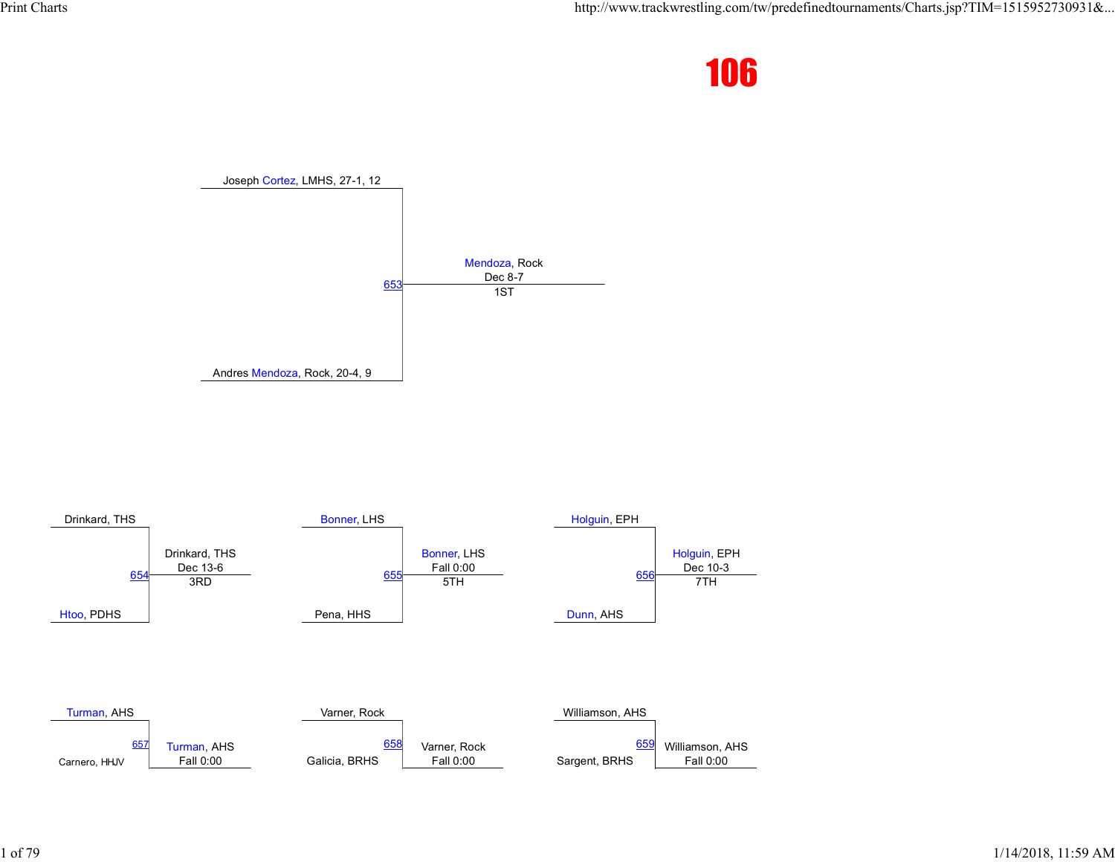



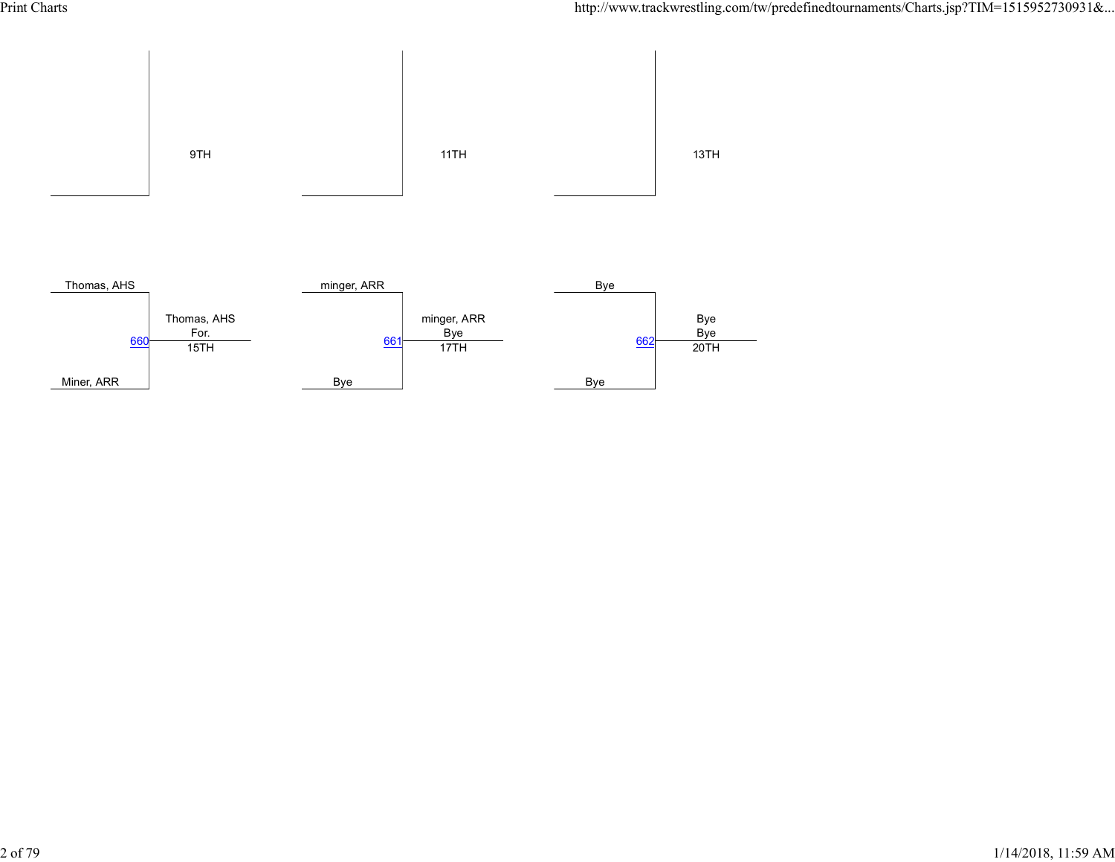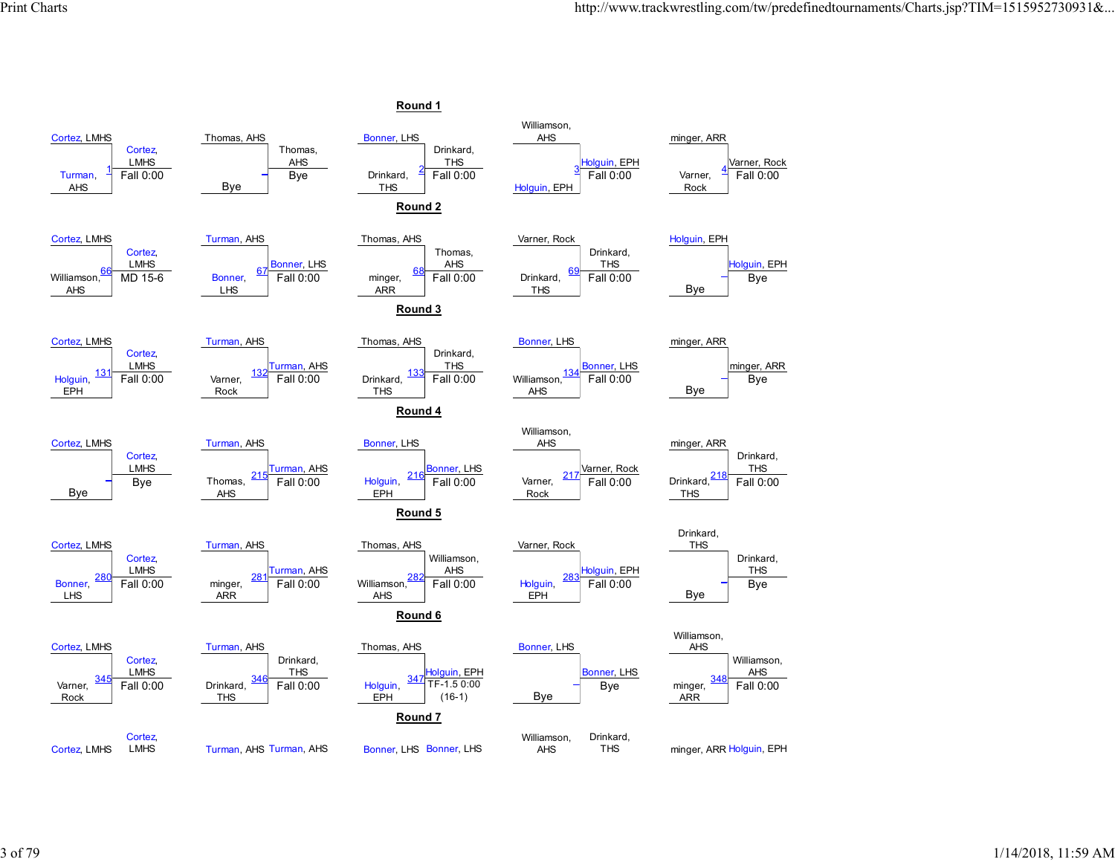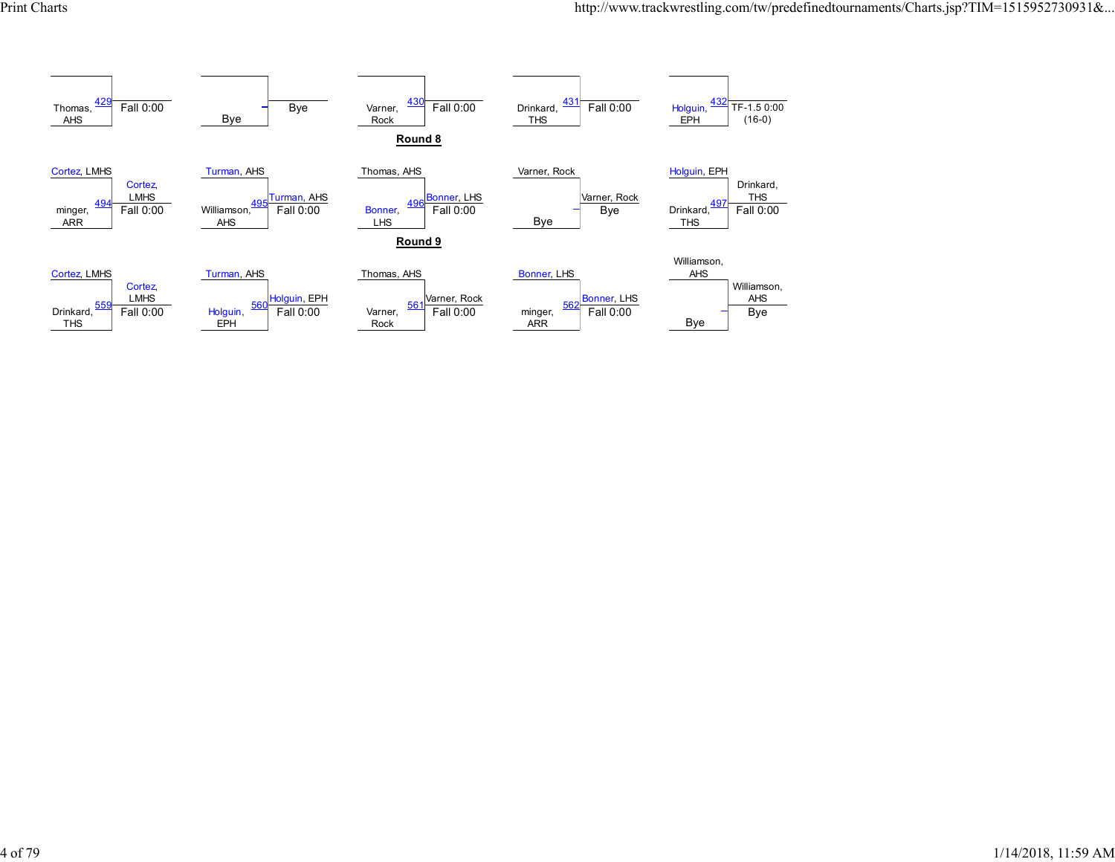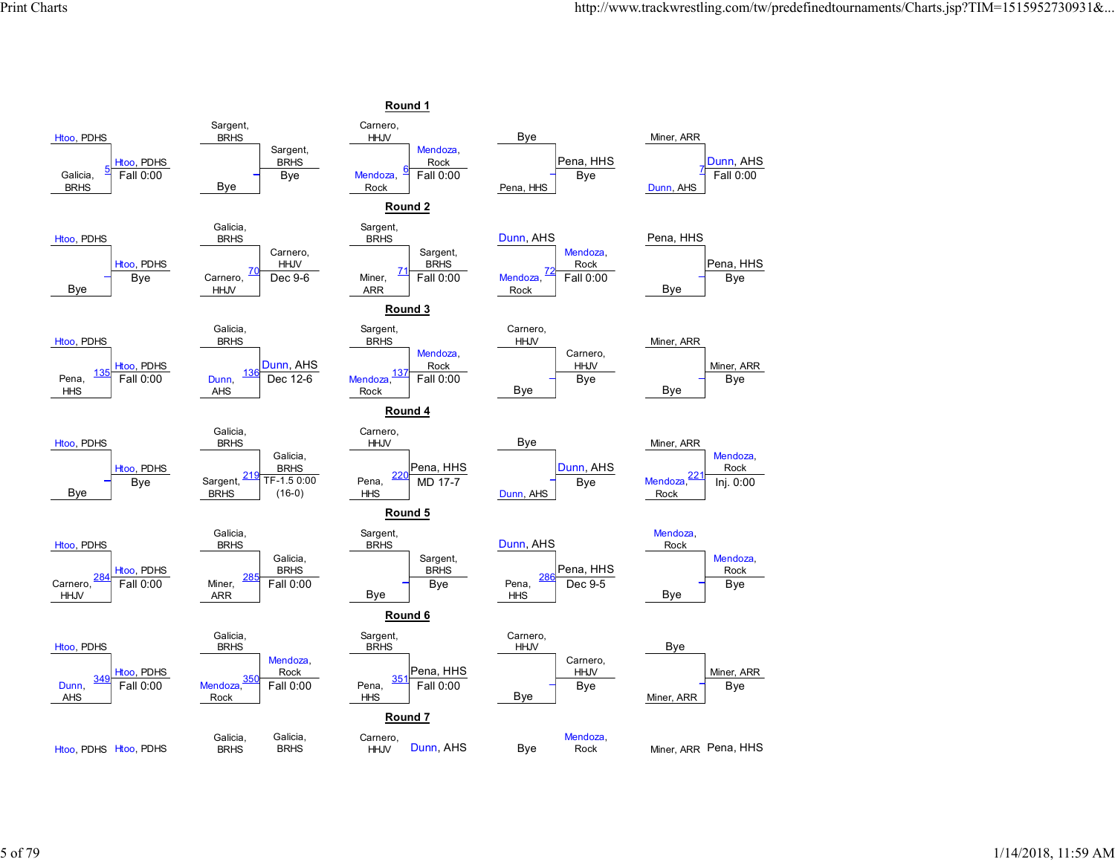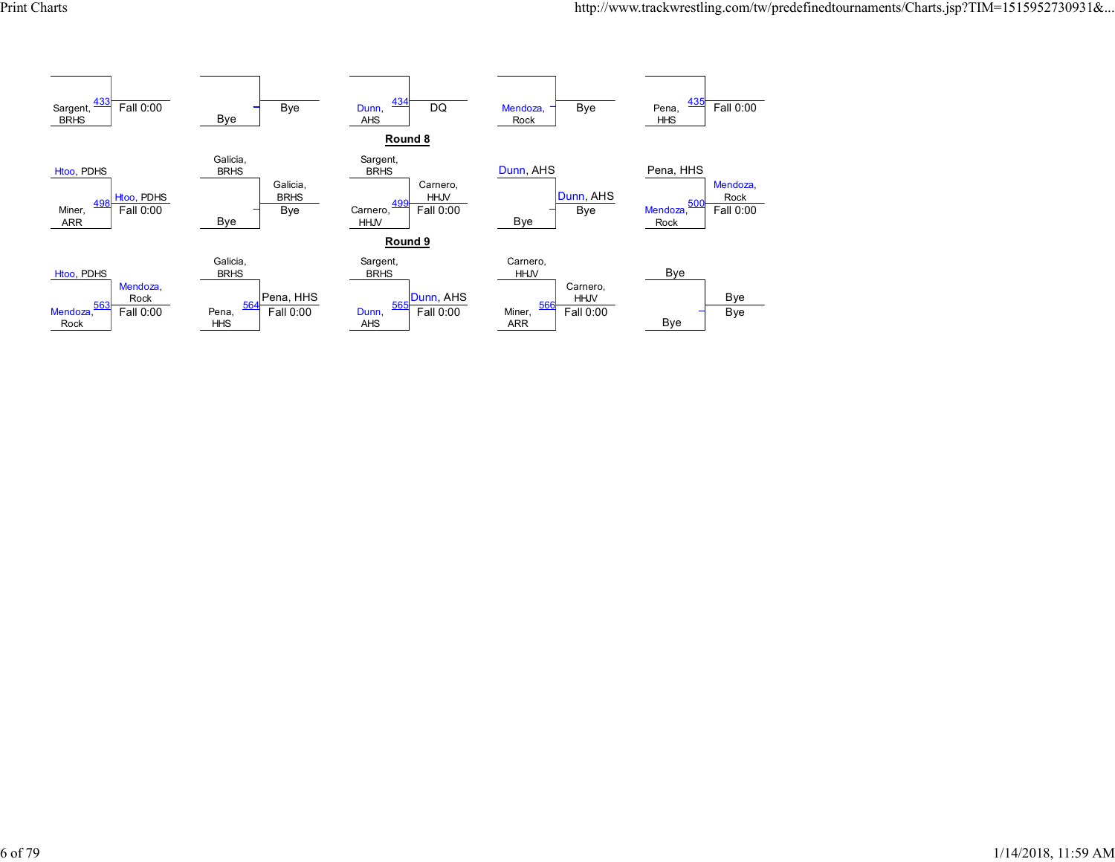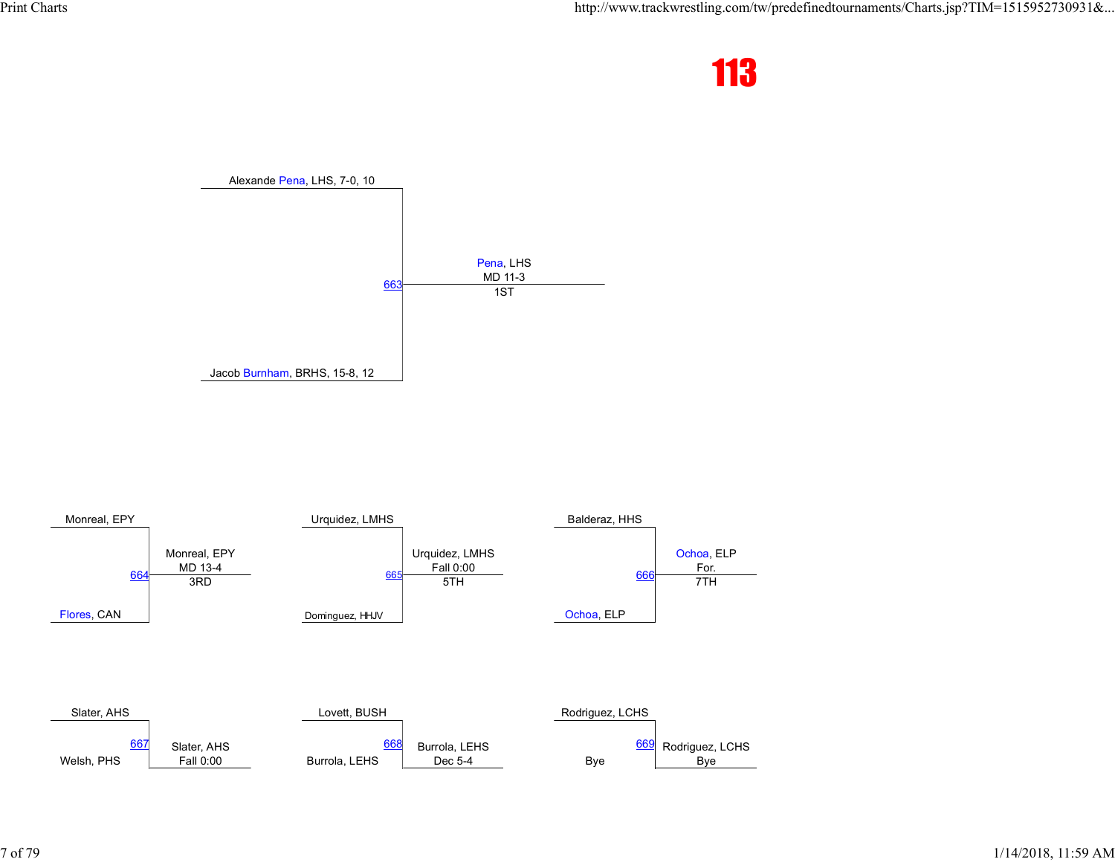



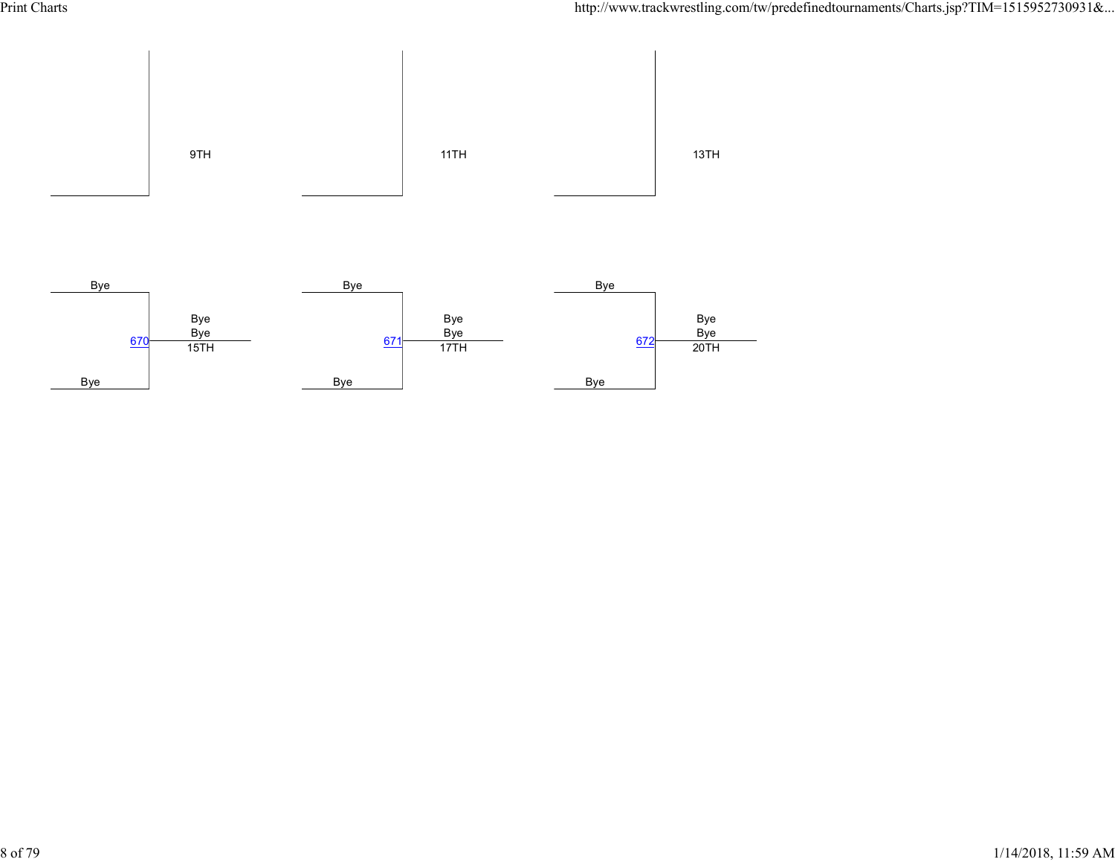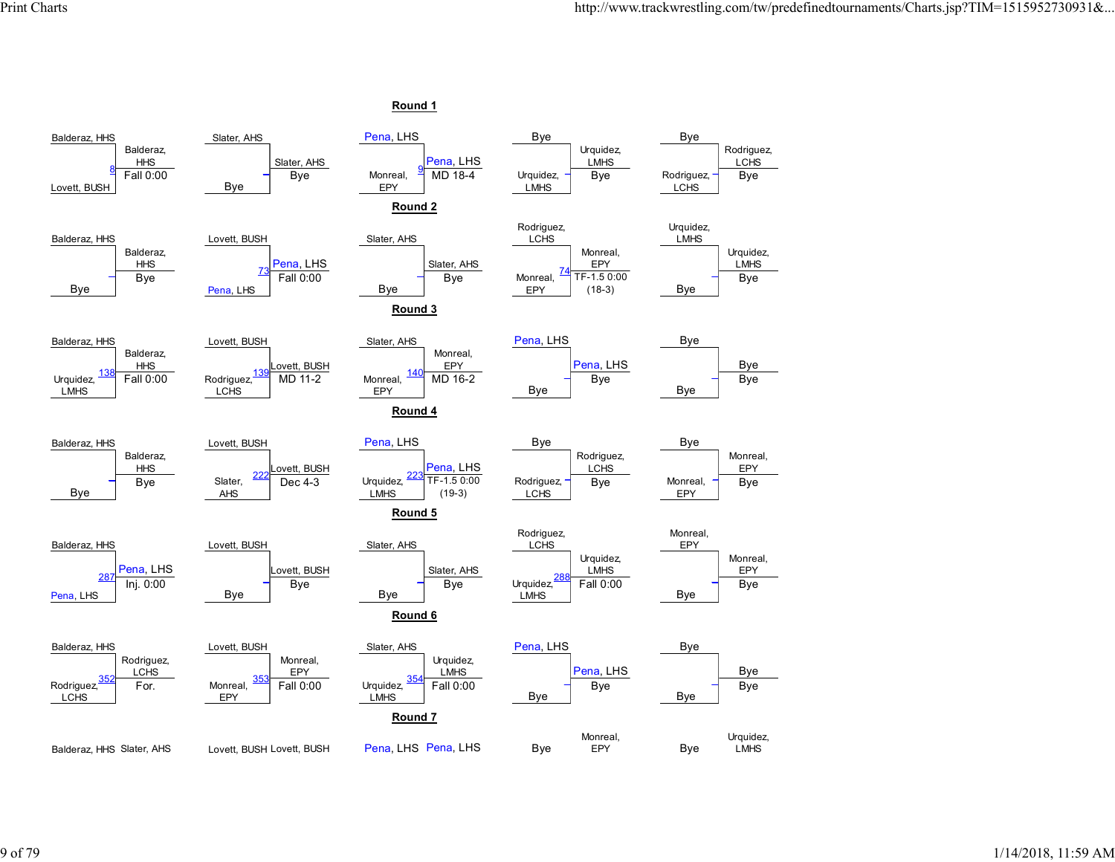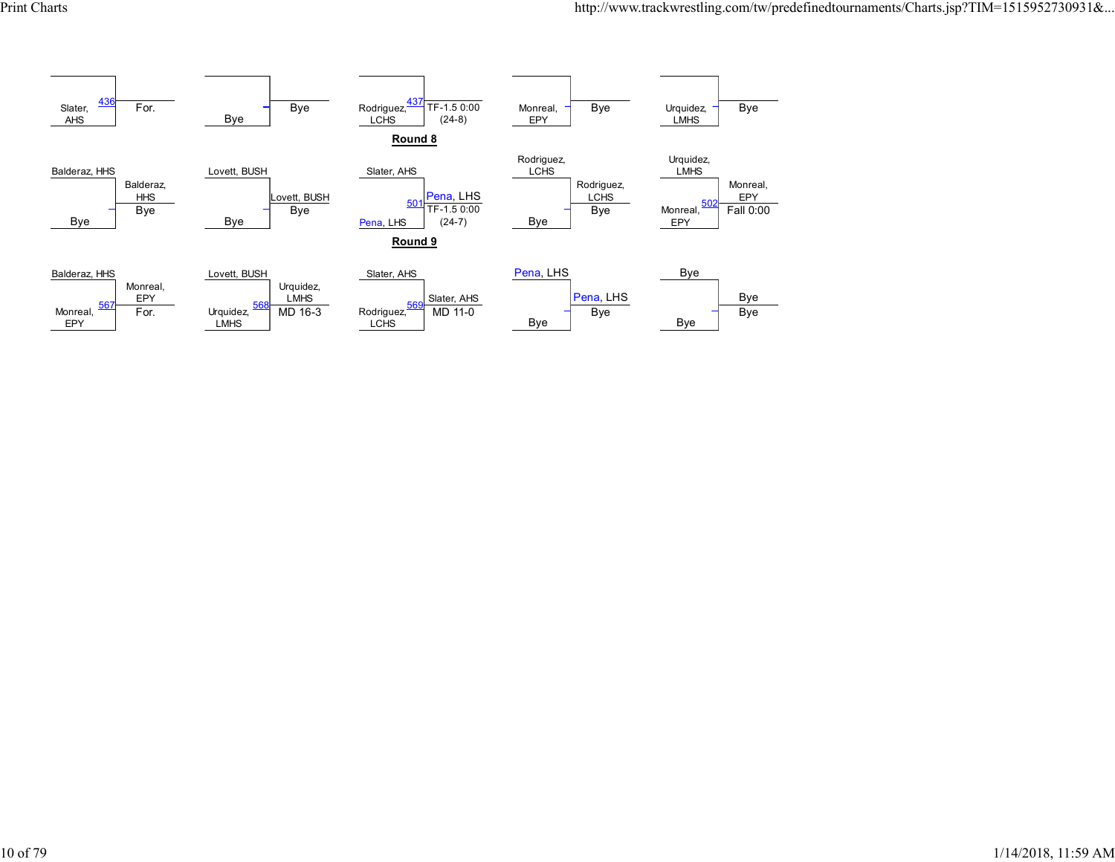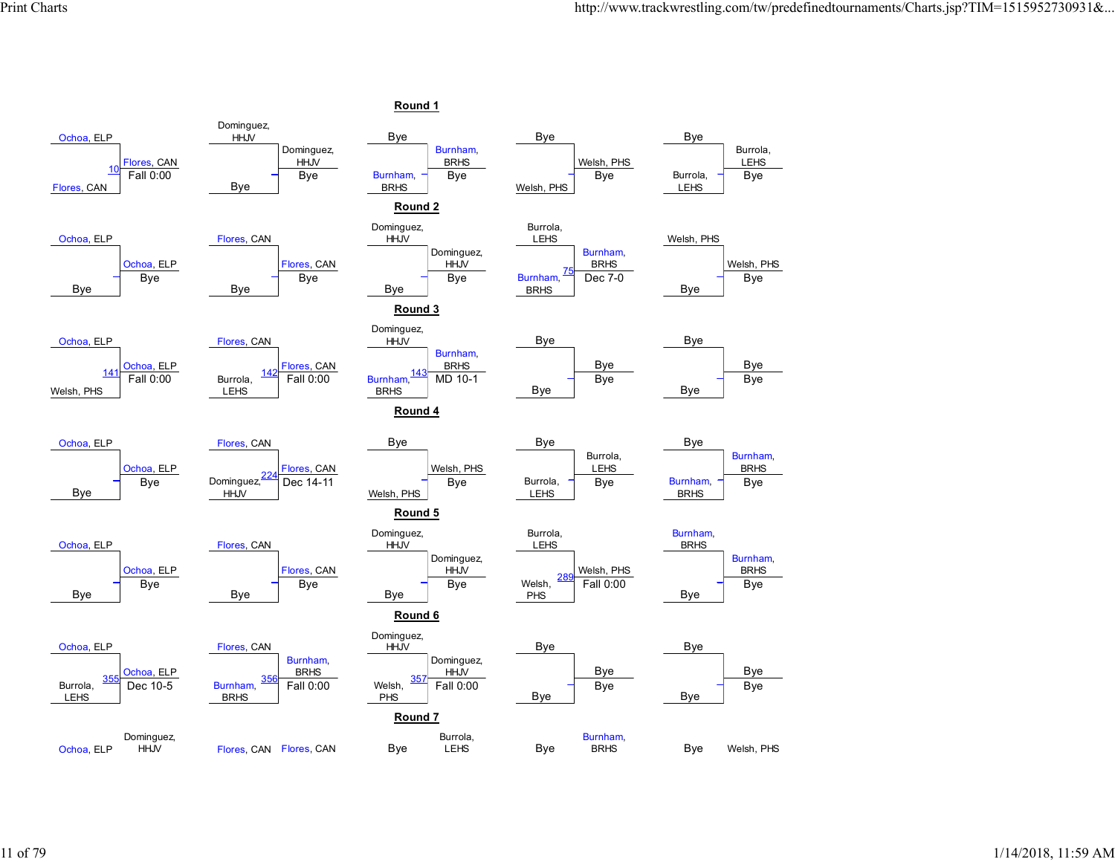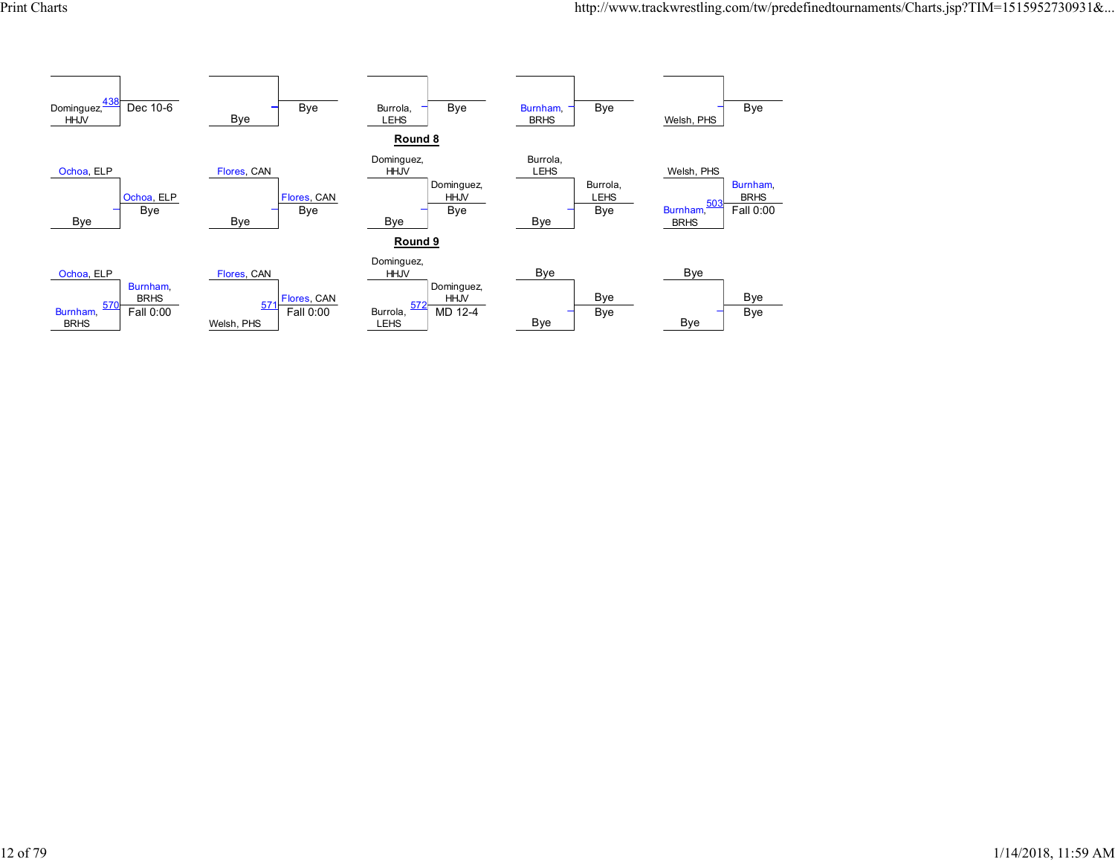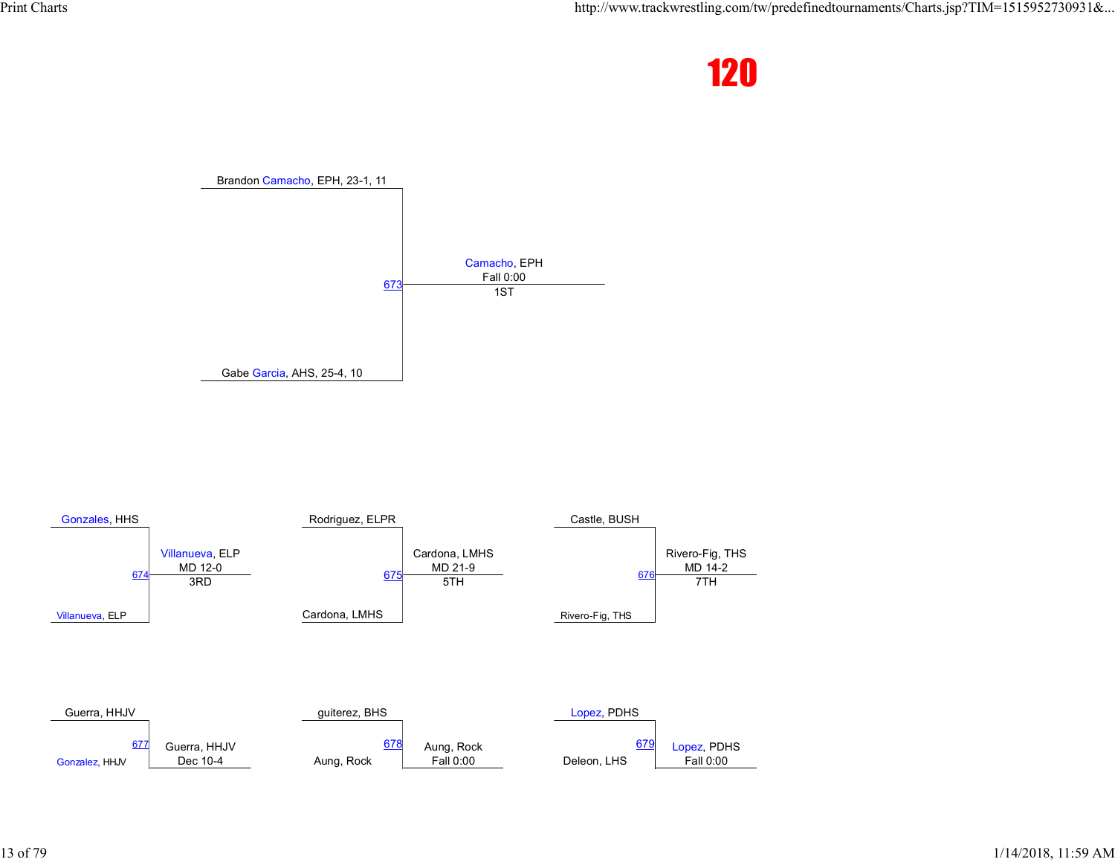



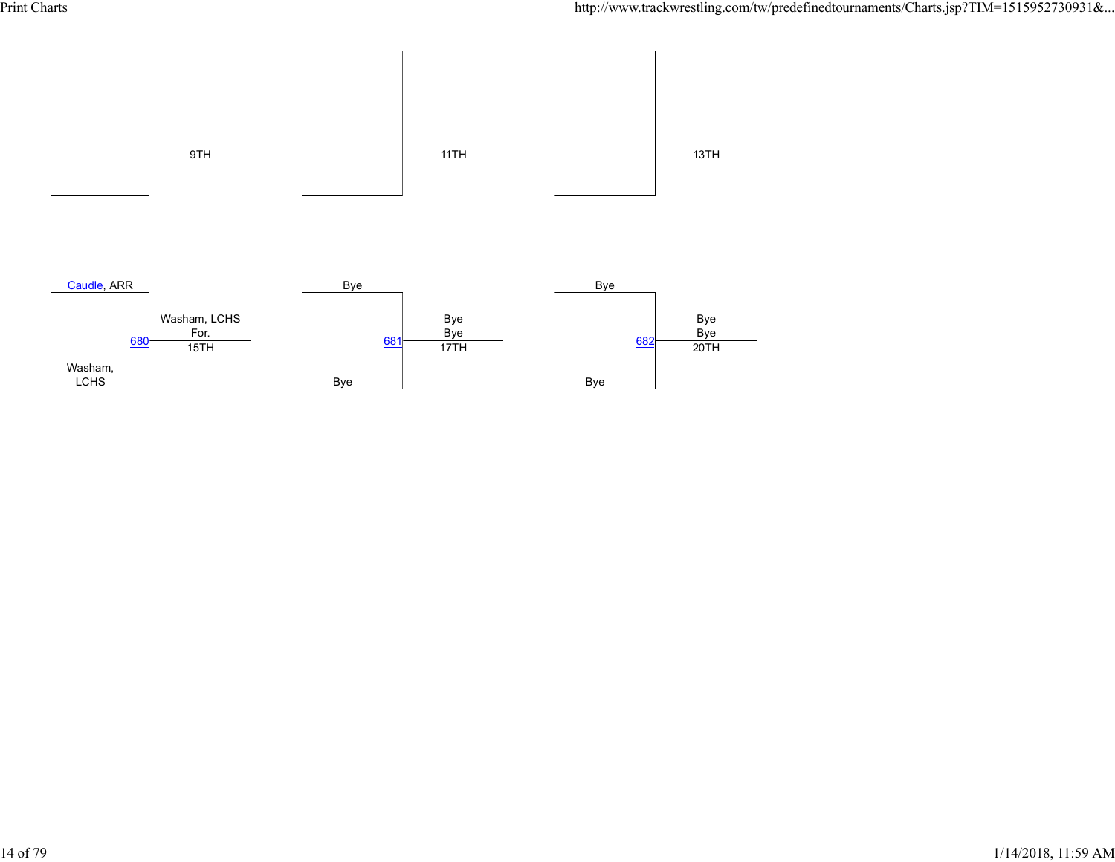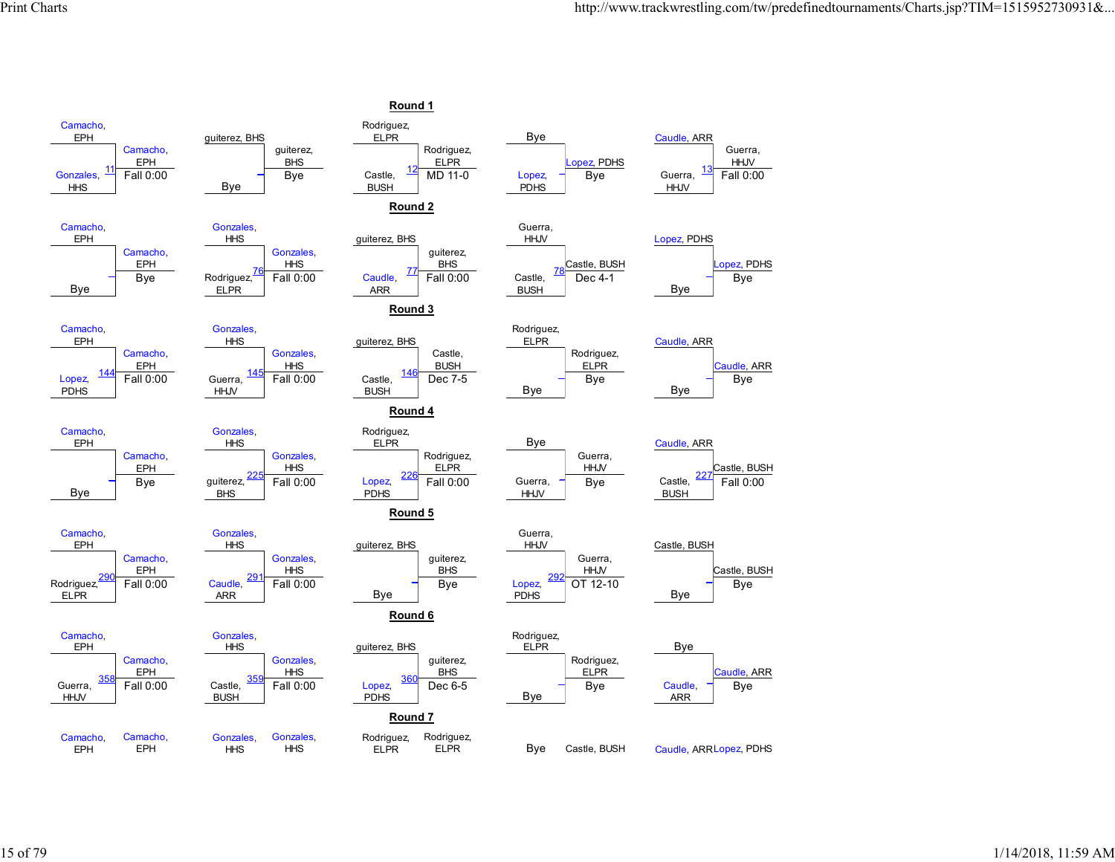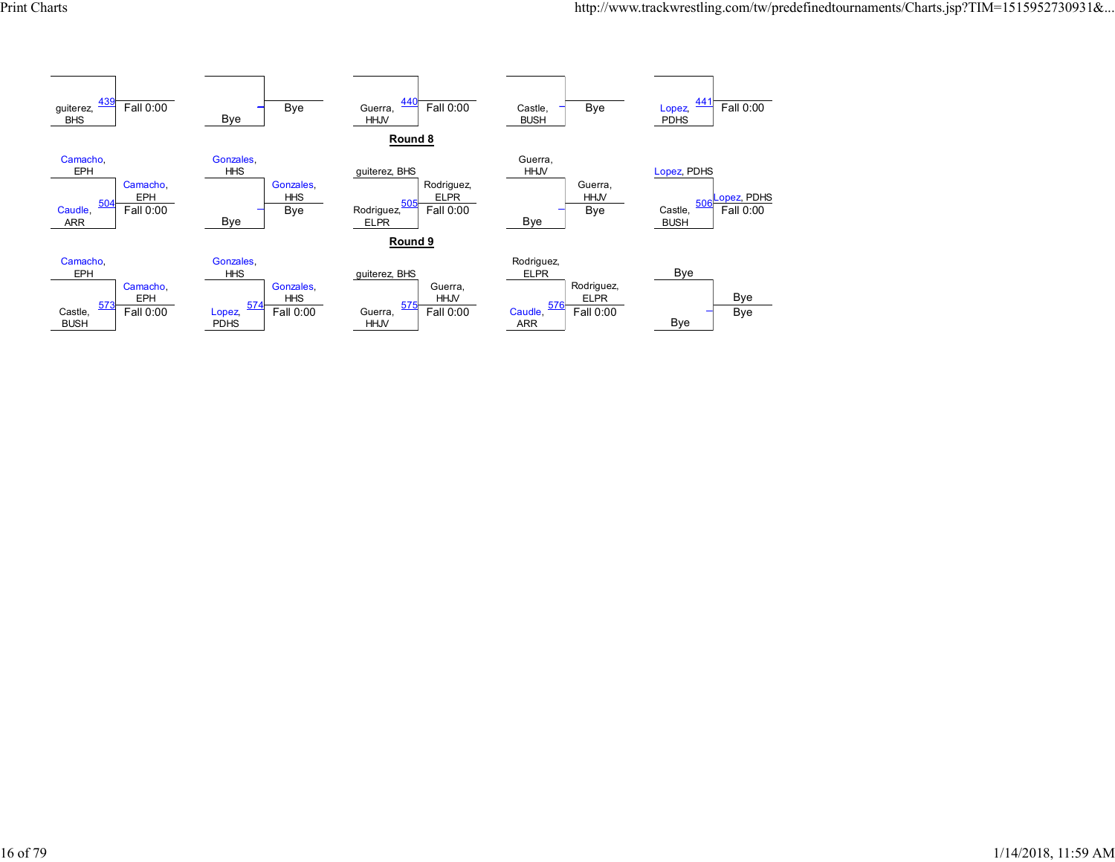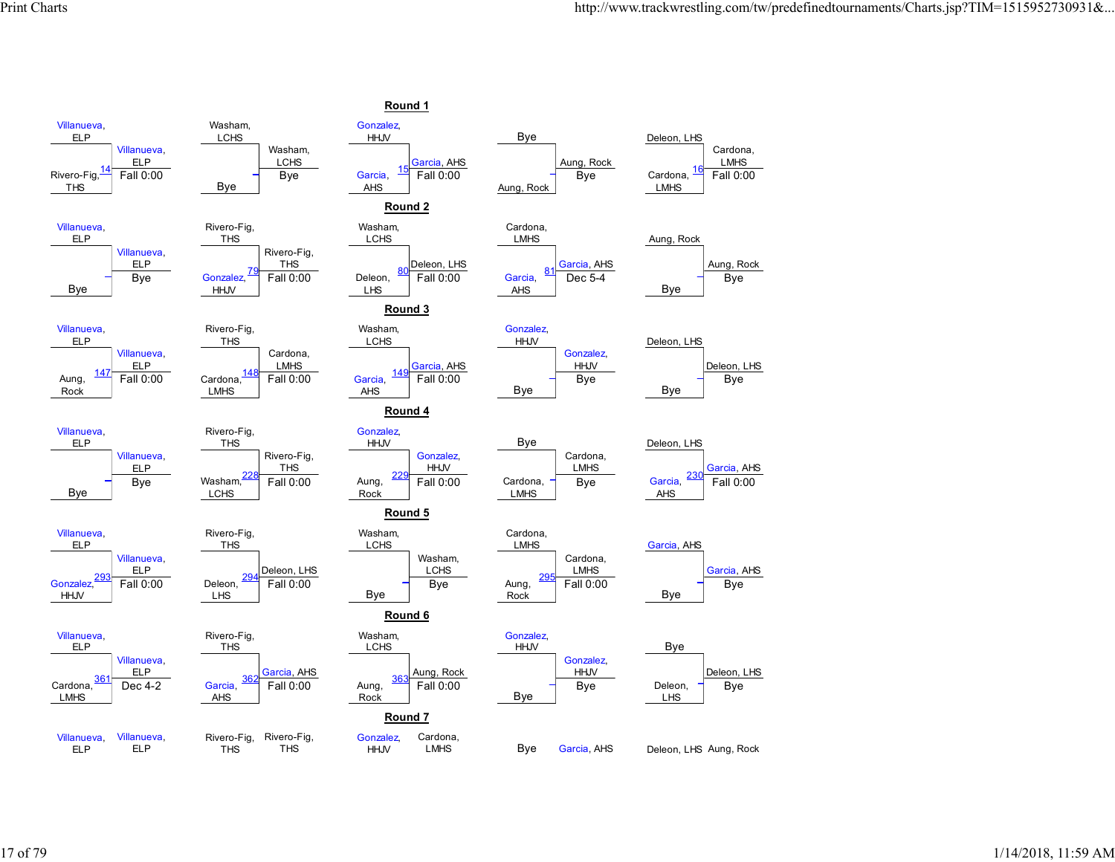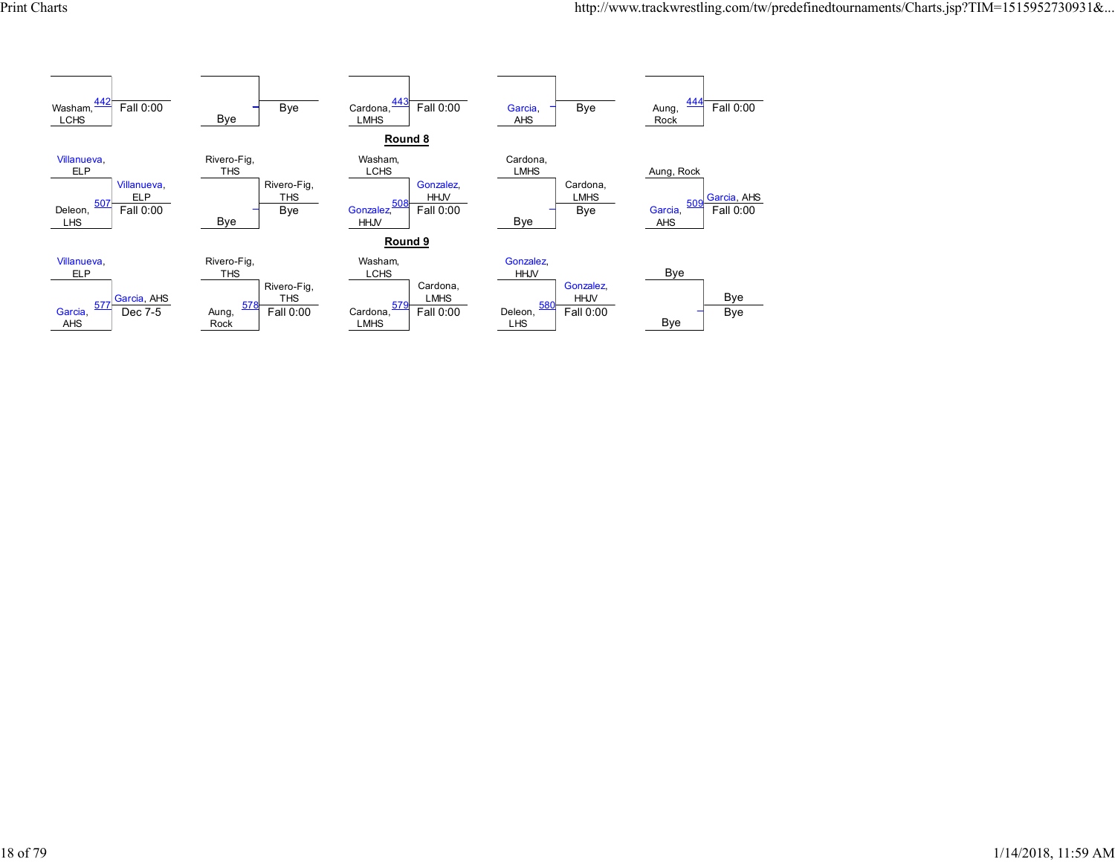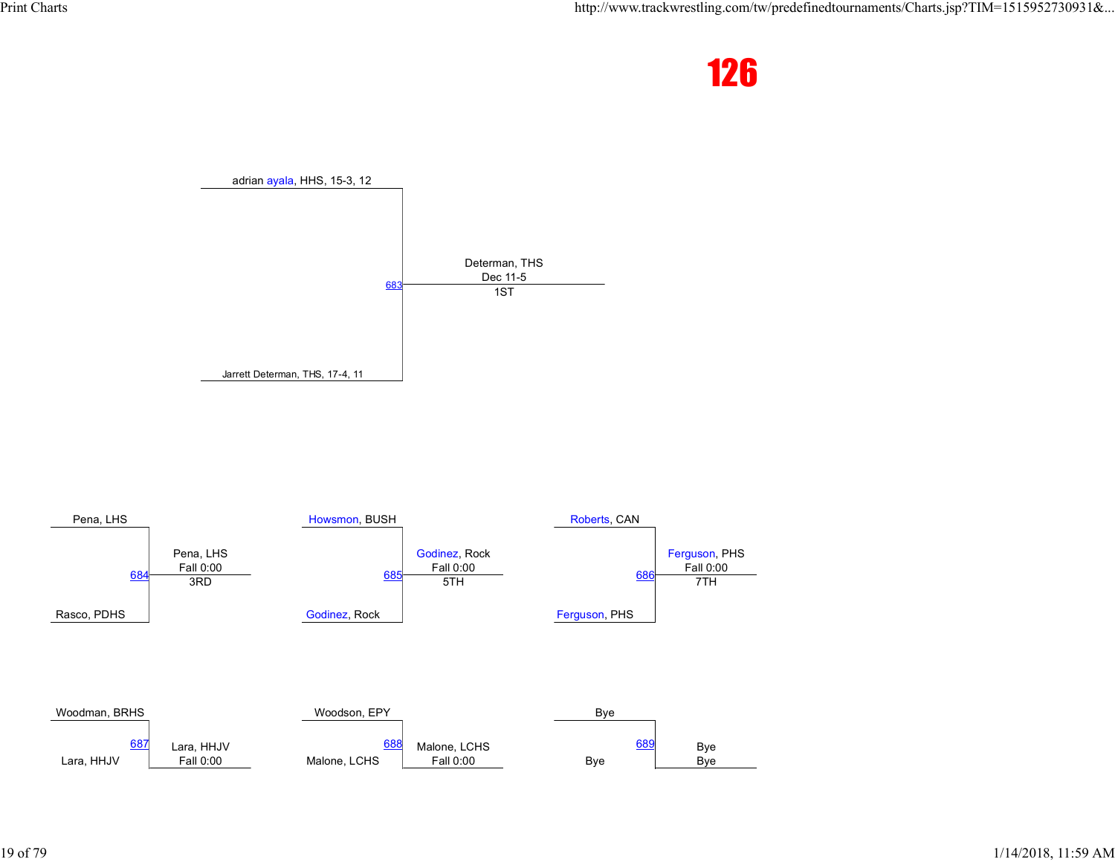



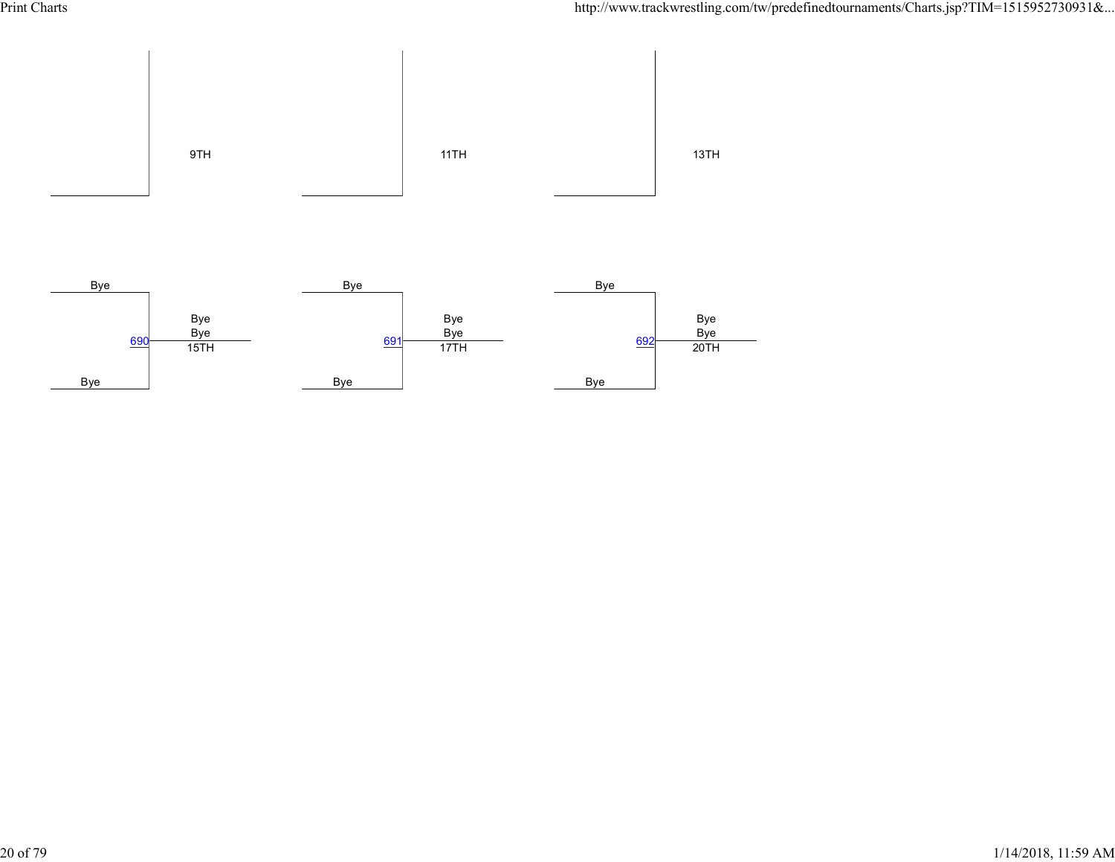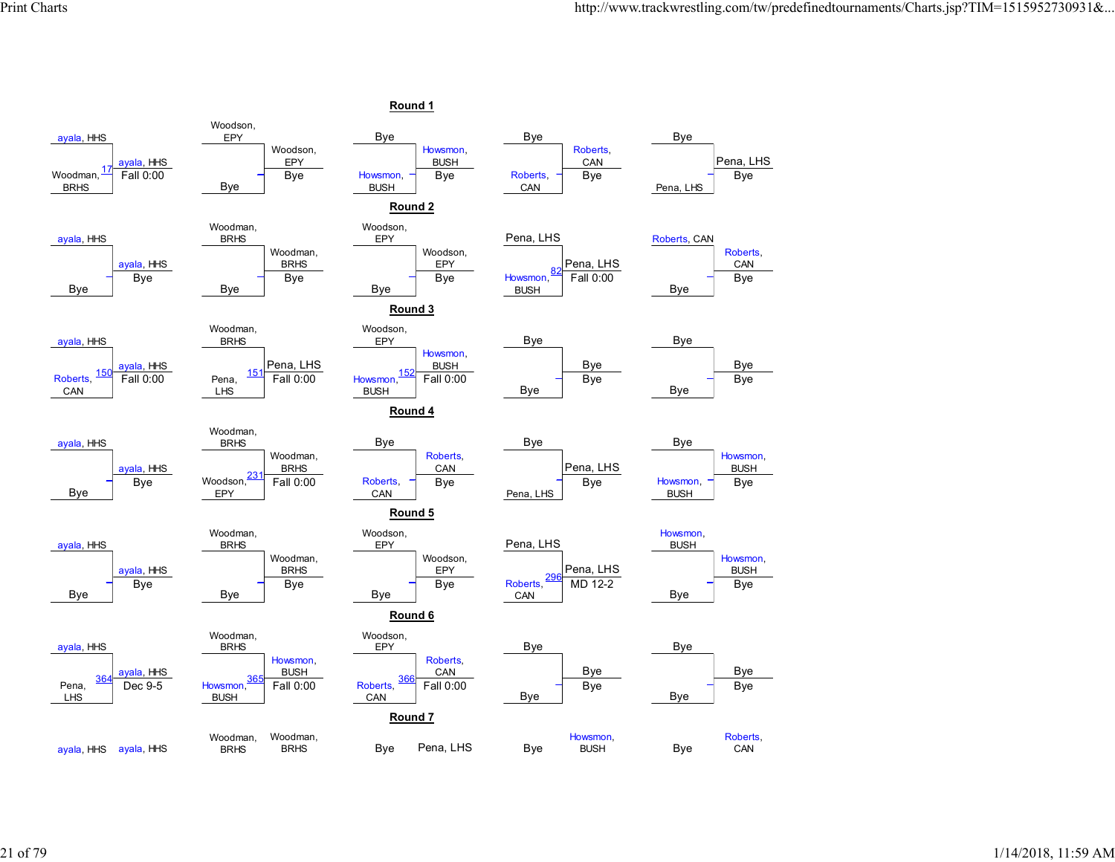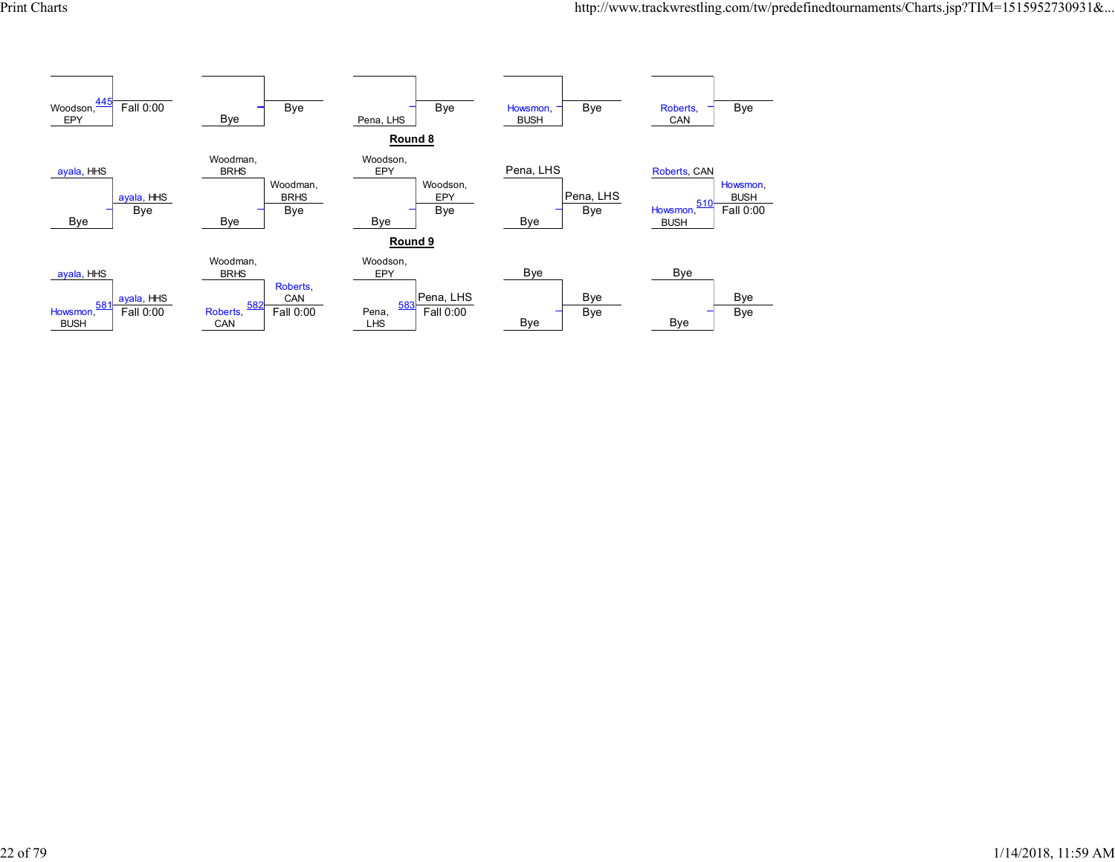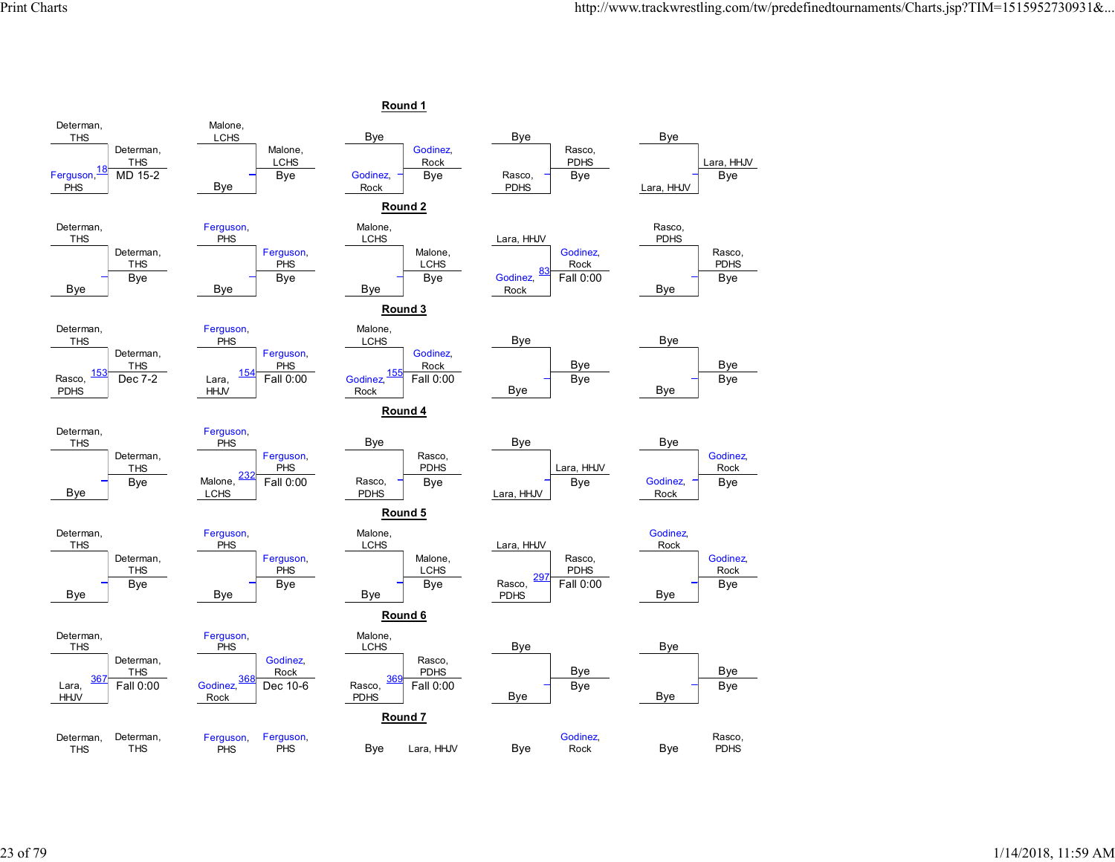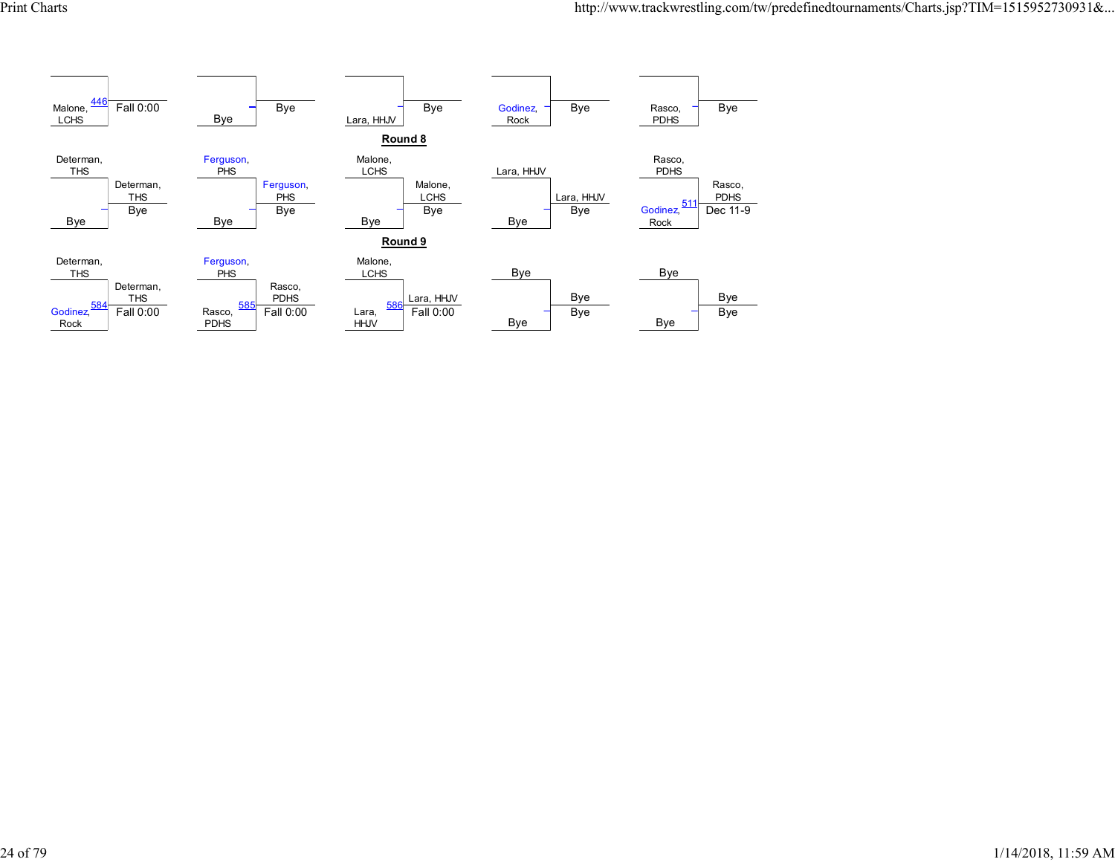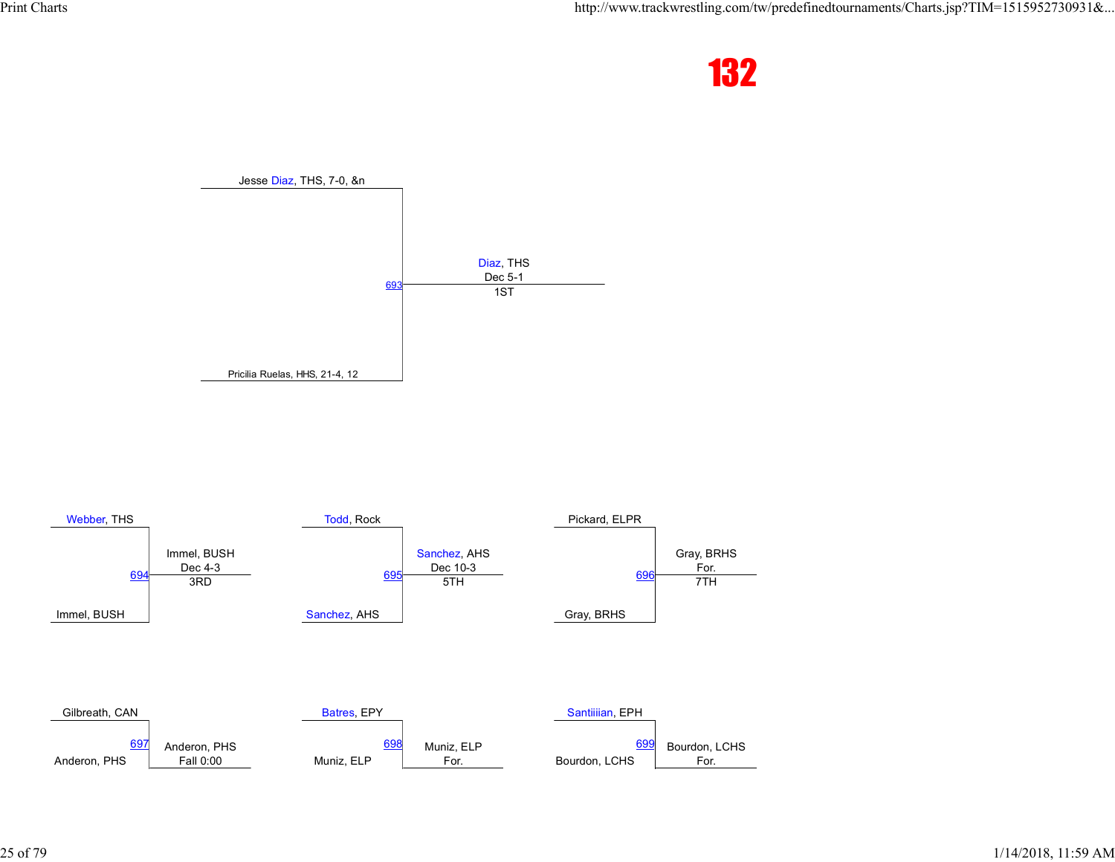



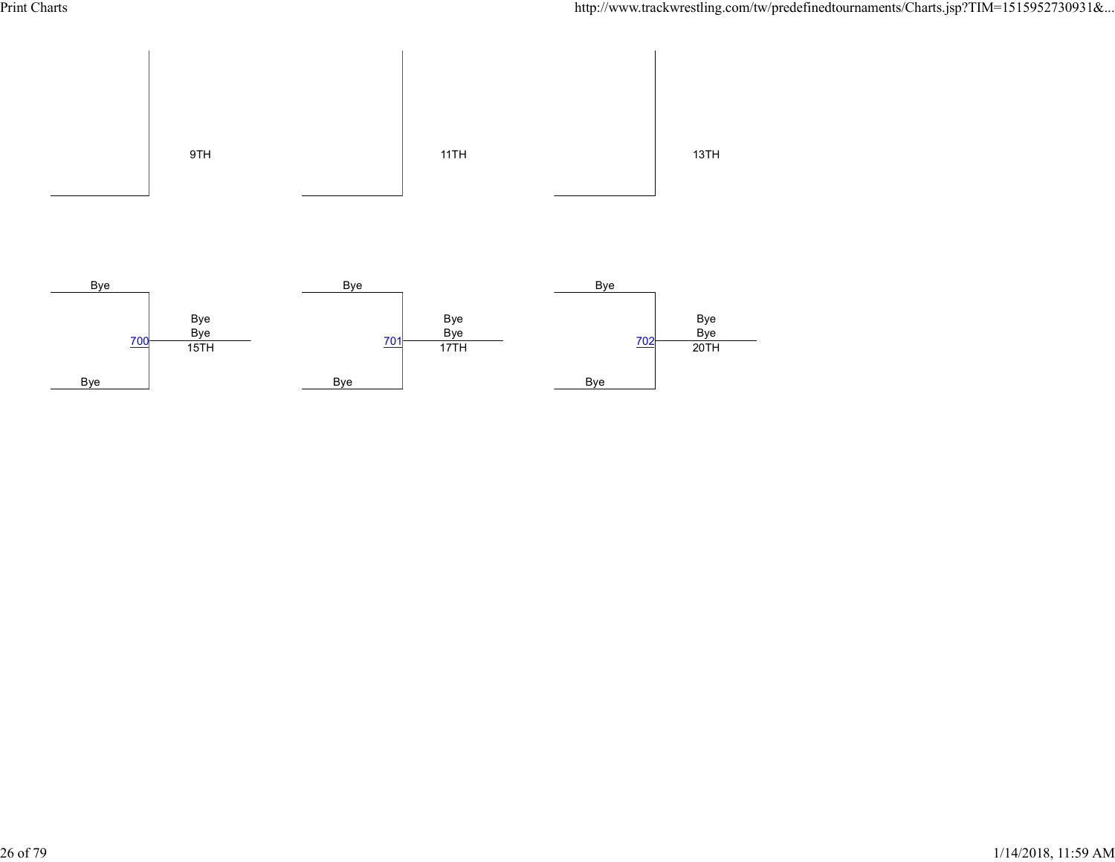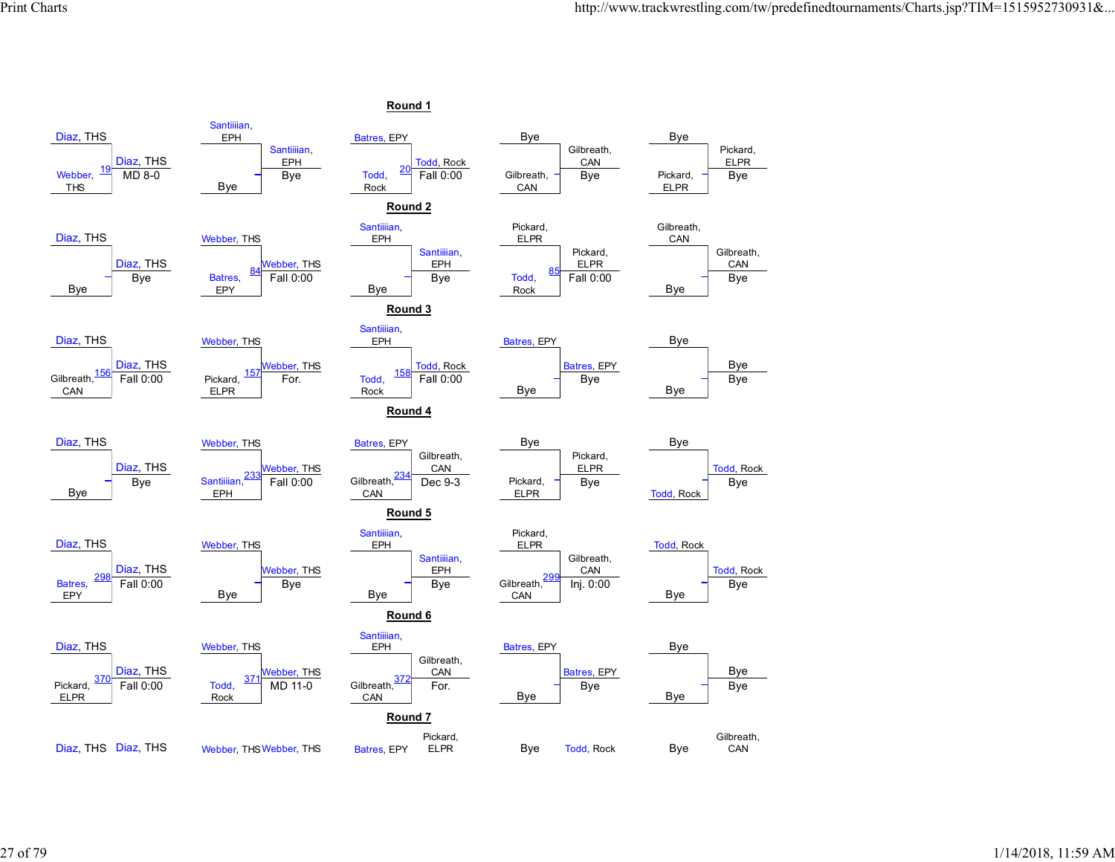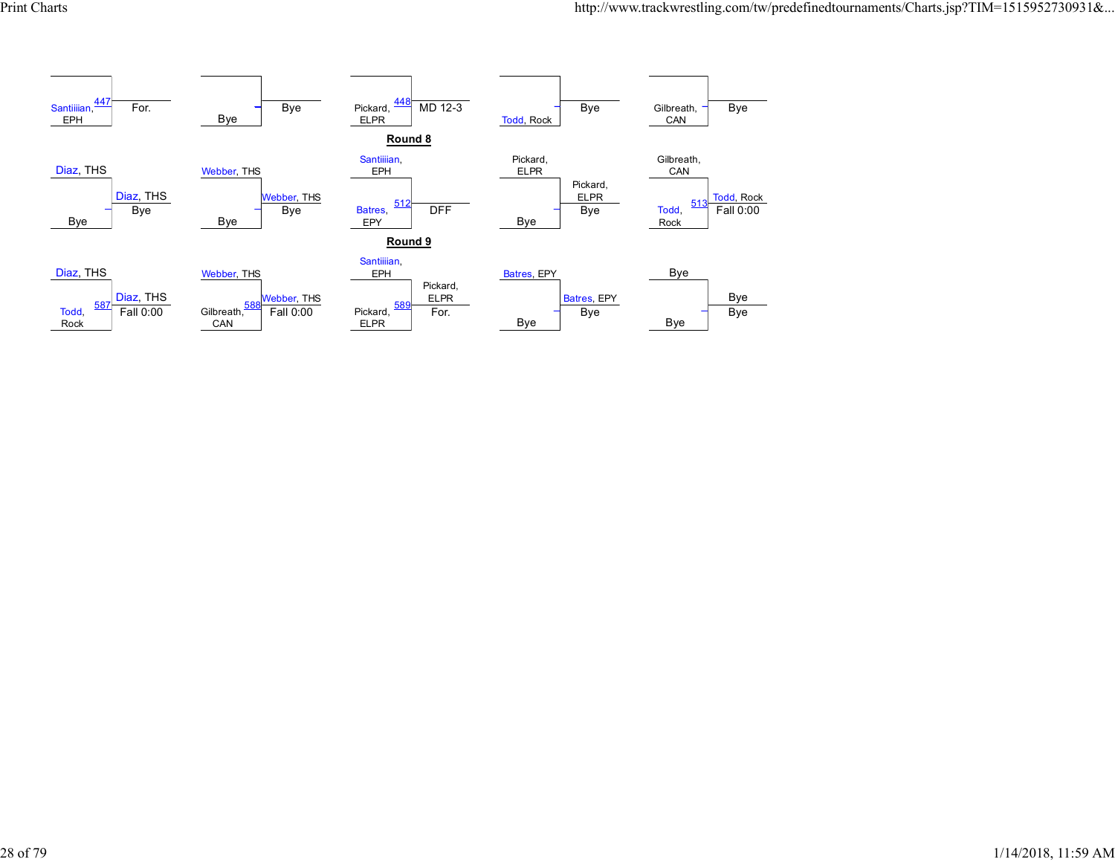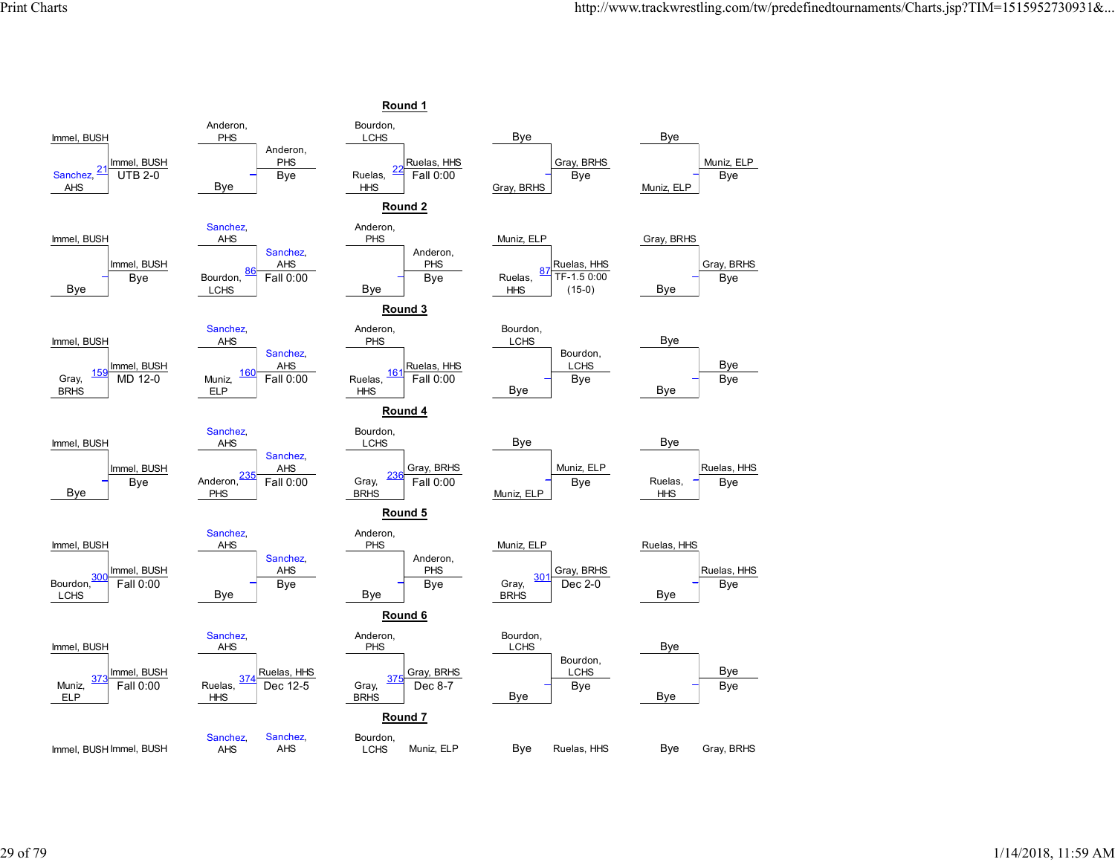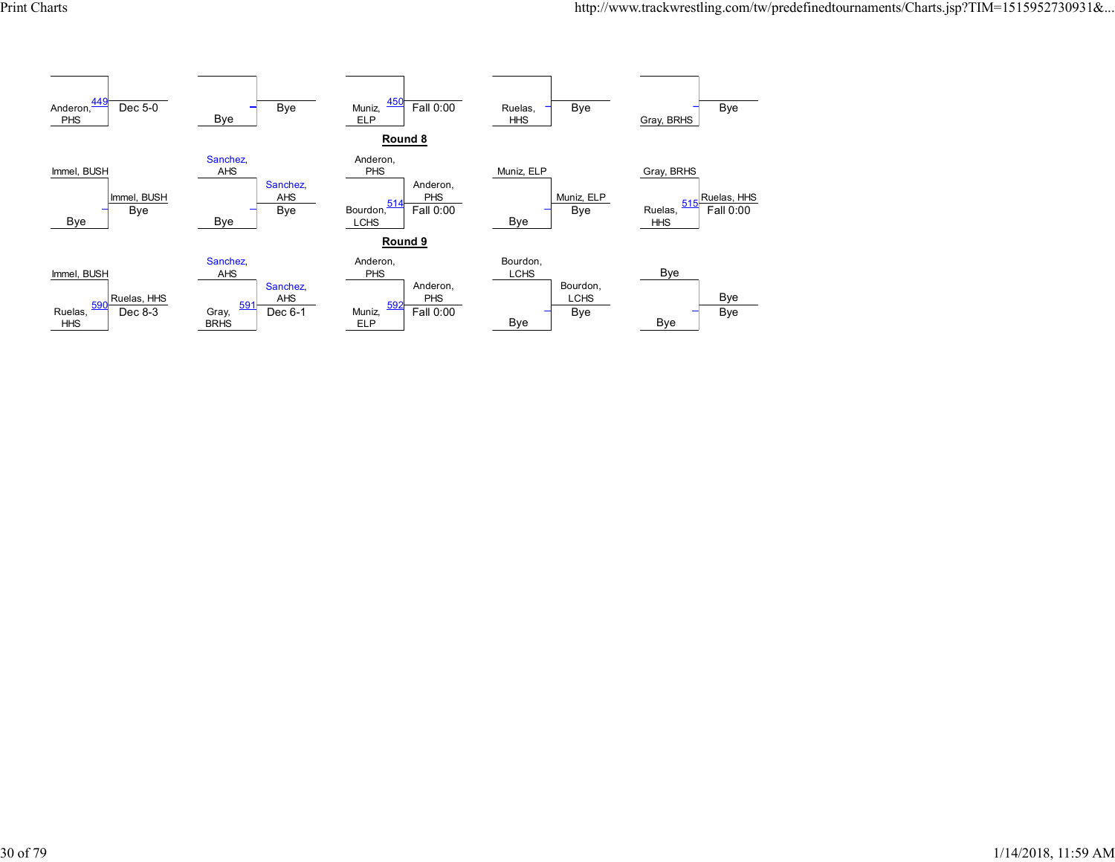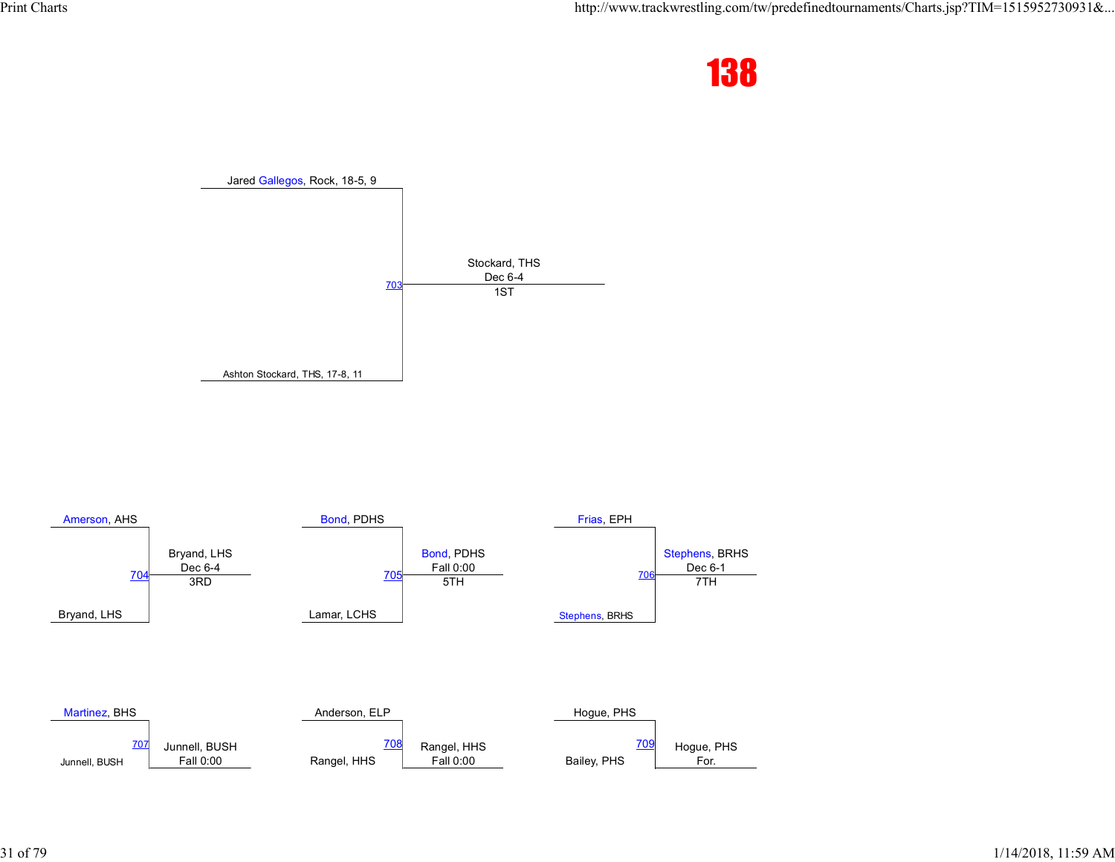



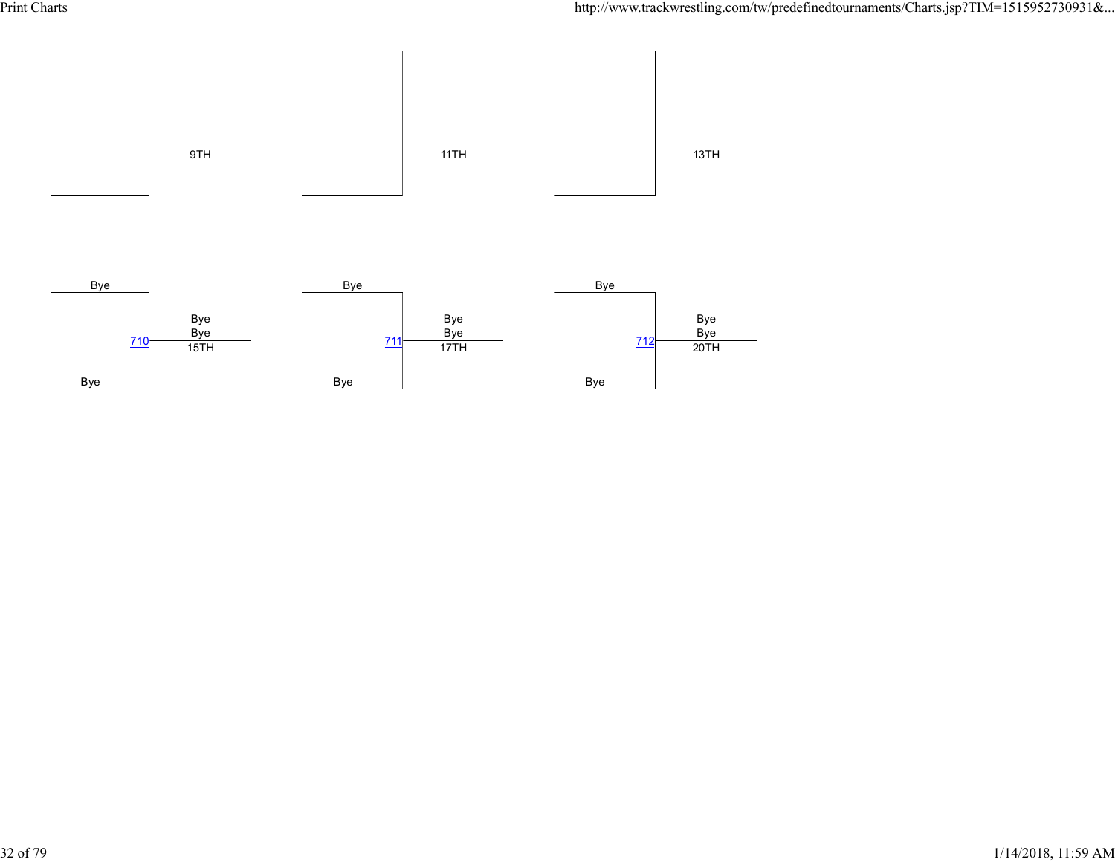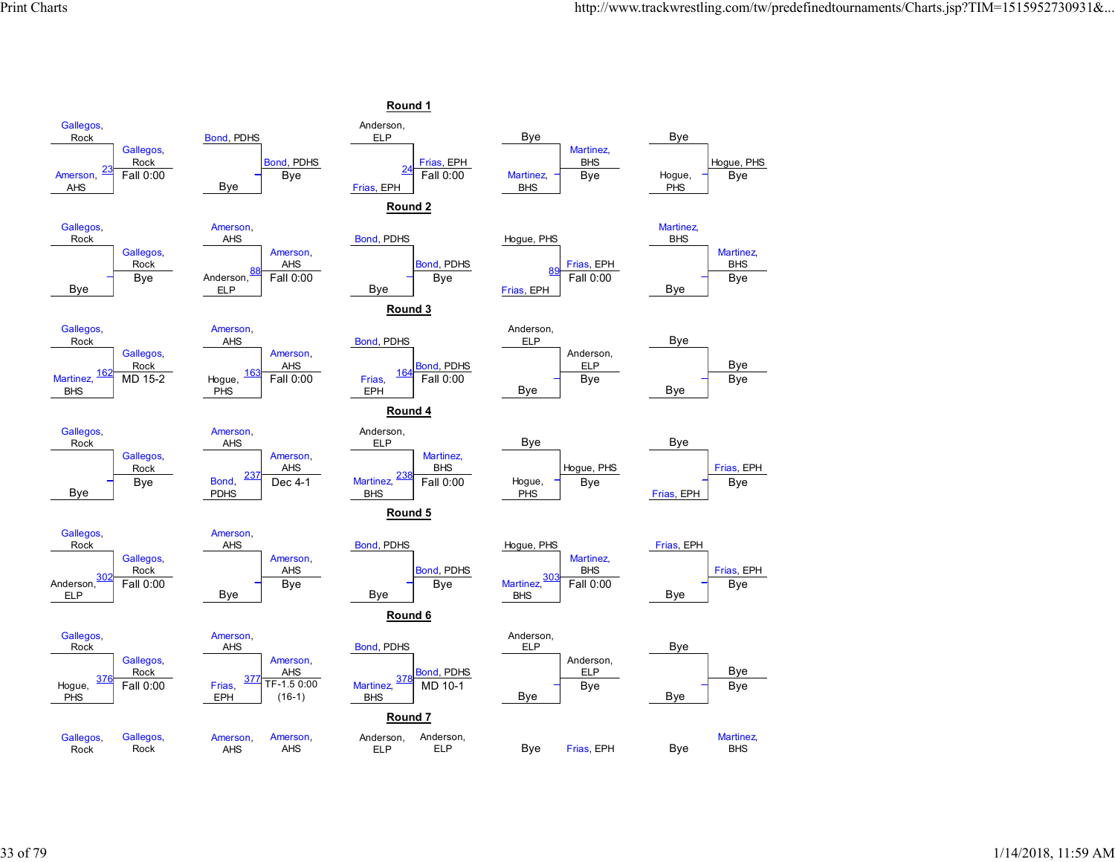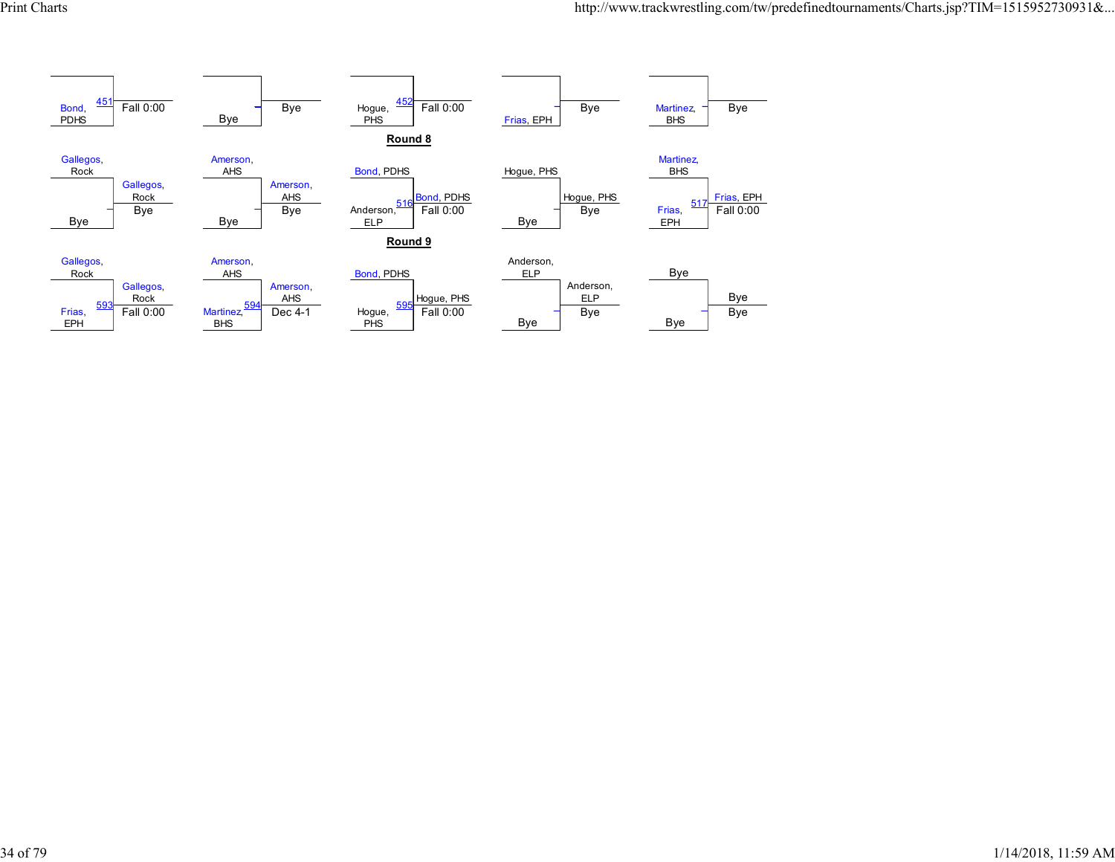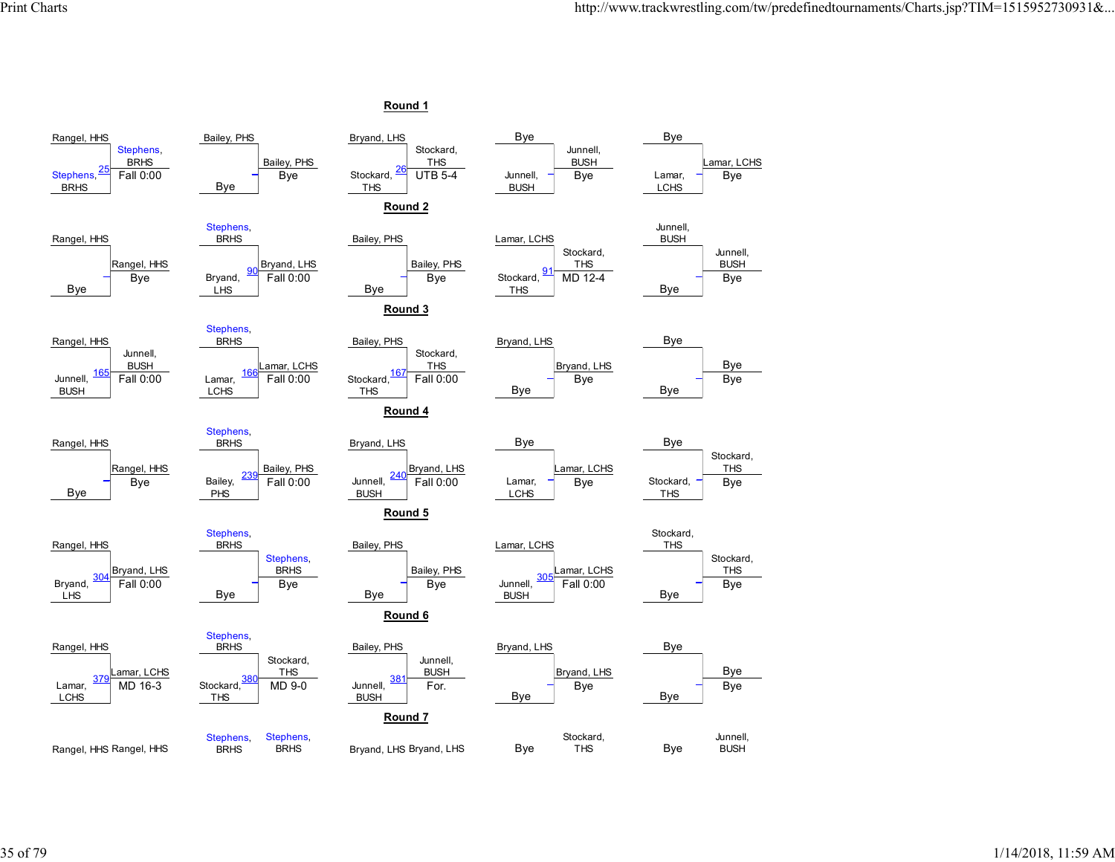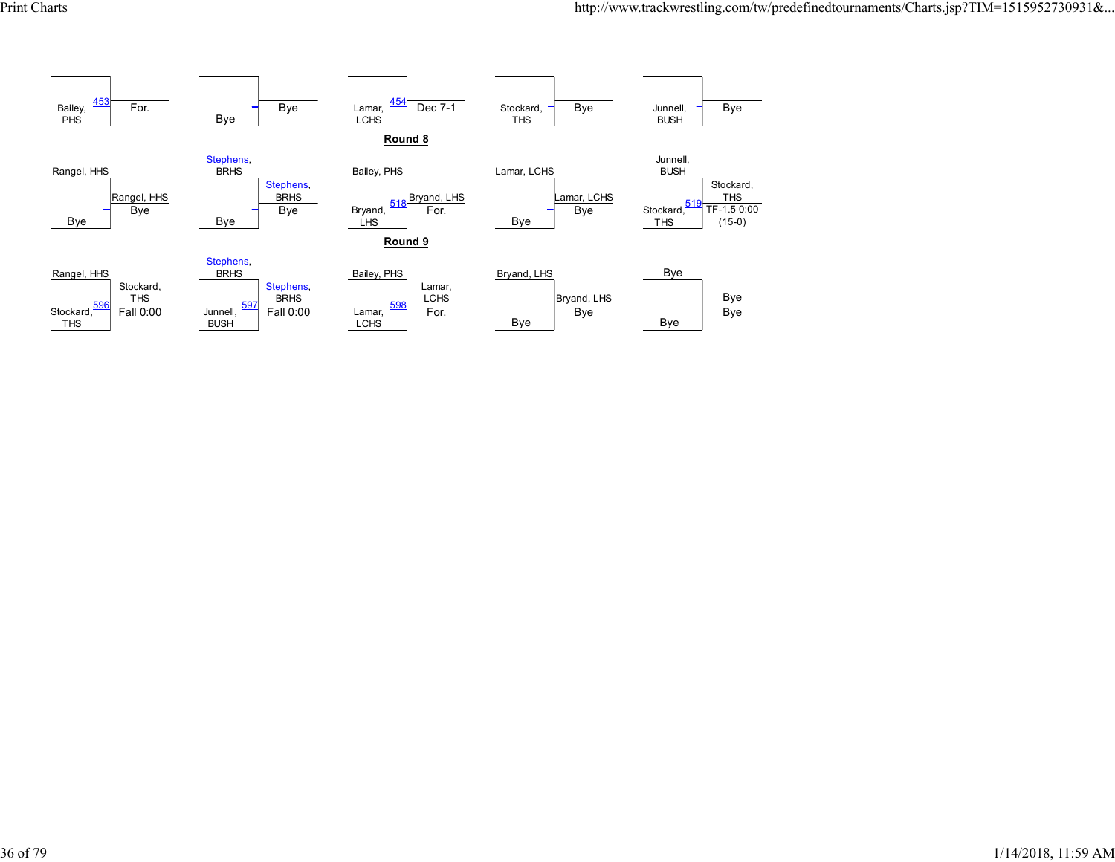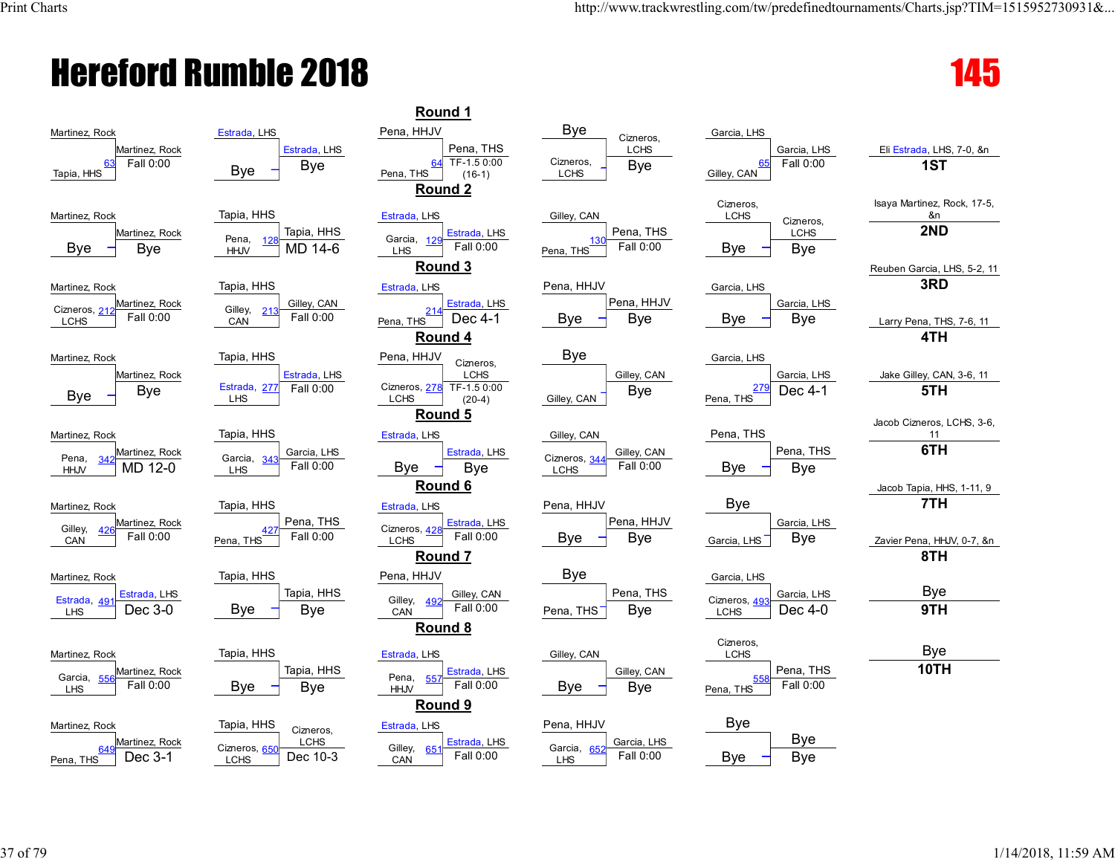## Hereford Rumble 2018 **145**

| Martinez, Rock                                                       | Estrada, LHS                                         | Pena, HHJV                                                | <b>Bye</b><br>Cizneros,                                  | Garcia, LHS                                     |                                   |
|----------------------------------------------------------------------|------------------------------------------------------|-----------------------------------------------------------|----------------------------------------------------------|-------------------------------------------------|-----------------------------------|
| Martinez, Rock<br>Fall 0:00<br>63<br>Tapia, HHS                      | Estrada, LHS<br>Bye<br><b>Bye</b>                    | Pena, THS<br>TF-1.5 0:00<br>64<br>Pena, THS<br>$(16-1)$   | LCHS<br>Cizneros,<br><b>Bye</b><br><b>LCHS</b>           | Garcia, LHS<br>Fall 0:00<br>65<br>Gilley, CAN   | Eli Estrada, LHS, 7-0, &n<br>1ST  |
| Martinez, Rock                                                       | Tapia, HHS                                           | Round 2<br>Estrada, LHS                                   | Gilley, CAN                                              | Cizneros,<br><b>LCHS</b><br>Cizneros,           | Isaya Martinez, Rock, 17-5,<br>&n |
| Martinez, Rock<br>Bye<br>Bye                                         | Tapia, HHS<br>Pena,<br>125<br>MD 14-6<br><b>HHJV</b> | Estrada, LHS<br>Garcia, 129<br>Fall 0:00<br><b>LHS</b>    | Pena, THS<br>130<br>Fall 0:00<br>Pena, THS               | <b>LCHS</b><br>Bye<br>Bye                       | 2ND                               |
|                                                                      | Tapia, HHS                                           | Round 3<br>Estrada, LHS                                   | Pena, HHJV                                               | Garcia, LHS                                     | Reuben Garcia, LHS, 5-2, 1<br>3RD |
| Martinez, Rock<br>Martinez, Rock                                     | Gilley, CAN                                          | Estrada, LHS                                              | Pena, HHJV                                               | Garcia, LHS                                     |                                   |
| Cizneros, 212<br>Fall 0:00<br>LCHS                                   | Gilley,<br>213<br>Fall 0:00<br>CAN                   | 214<br>Dec 4-1<br>Pena, THS<br>Round 4                    | Bye<br>Bye                                               | Bye<br>Bye                                      | Larry Pena, THS, 7-6, 11<br>4TH   |
| Martinez, Rock                                                       | Tapia, HHS                                           | Pena, HHJV                                                | <b>Bye</b>                                               | Garcia, LHS                                     |                                   |
| Martinez, Rock                                                       | Estrada, LHS                                         | Cizneros,<br><b>LCHS</b>                                  | Gilley, CAN                                              | Garcia, LHS                                     | Jake Gilley, CAN, 3-6, 11         |
| Bye<br>Bye                                                           | Estrada, 277<br>Fall 0:00<br><b>LHS</b>              | Cizneros, 278 TF-1.5 0:00<br><b>LCHS</b><br>$(20-4)$      | <b>Bye</b><br>Gilley, CAN                                | <u> 279</u><br>Dec 4-1<br>Pena, THS             | 5TH                               |
|                                                                      |                                                      | Round 5                                                   |                                                          |                                                 | Jacob Cizneros, LCHS, 3-6         |
| Martinez, Rock                                                       | Tapia, HHS                                           | Estrada, LHS                                              | Gilley, CAN                                              | Pena, THS                                       | 11<br>6TH                         |
| Martinez, Rock<br>Pena,<br>34 <sub>2</sub><br>MD 12-0<br><b>HHJV</b> | Garcia, LHS<br>Garcia, 343<br>Fall 0:00<br>LHS       | Estrada, LHS<br>Bye<br><b>Bye</b>                         | Gilley, CAN<br>Cizneros, 344<br>Fall 0:00<br><b>LCHS</b> | Pena, THS<br>Bye<br>Bye                         |                                   |
|                                                                      |                                                      | Round 6                                                   |                                                          |                                                 | Jacob Tapia, HHS, 1-11, 9         |
| Martinez, Rock                                                       | Tapia, HHS                                           | Estrada, LHS                                              | Pena, HHJV                                               | Bye                                             | 7TH                               |
| Martinez, Rock<br>Gilley,<br><u>426</u><br>Fall 0:00<br>CAN          | Pena, THS<br>Fall 0:00<br>Pena, THS                  | Estrada, LHS<br>Cizneros, 428<br>Fall 0:00<br><b>LCHS</b> | Pena, HHJV<br>Bye<br>Bye                                 | Garcia, LHS<br><b>Bye</b><br>Garcia, LHS        | Zavier Pena, HHJV, 0-7, &n        |
|                                                                      |                                                      | Round 7                                                   |                                                          |                                                 | 8TH                               |
| Martinez, Rock                                                       | Tapia, HHS                                           | Pena, HHJV                                                | Bye                                                      | Garcia, LHS                                     |                                   |
| Estrada, LHS<br>Estrada, 491<br>Dec 3-0<br>LHS                       | Tapia, HHS<br><b>Bye</b><br>Bye                      | Gilley, CAN<br>Gilley, 492<br>Fall 0:00                   | Pena, THS<br>Bye<br>Pena, THS                            | Garcia, LHS<br>Cizneros, 493<br>Dec 4-0<br>LCHS | <b>Bye</b><br>9TH                 |
|                                                                      |                                                      | CAN<br>Round 8                                            |                                                          |                                                 |                                   |
| Martinez, Rock                                                       | Tapia, HHS                                           | Estrada, LHS                                              | Gilley, CAN                                              | Cizneros,<br><b>LCHS</b>                        | <b>Bye</b>                        |
| Martinez, Rock                                                       | Tapia, HHS                                           | Estrada, LHS<br>Pena,                                     | Gilley, CAN                                              | Pena, THS                                       | 10TH                              |
| Garcia, 556<br>Fall 0:00                                             | Bye<br>Bye                                           | 557<br>Fall 0:00<br><b>HHJV</b>                           | Bye<br><b>Bye</b>                                        | Fall 0:00<br>Pena, THS                          |                                   |
|                                                                      |                                                      | Round 9                                                   |                                                          |                                                 |                                   |
| Martinez, Rock                                                       | Tapia, HHS<br>Cizneros,                              | Estrada, LHS                                              | Pena, HHJV                                               | <b>Bye</b>                                      |                                   |
| Martinez, Rock<br>649<br>Pena, THS<br>Dec 3-1                        | LCHS<br>Cizneros, 650<br>Dec 10-3<br>LCHS            | Estrada, LHS<br>Gilley, 651<br>Fall 0:00<br>CAN           | Garcia, LHS<br>Garcia, 652<br>Fall 0:00<br><b>LHS</b>    | <b>Bye</b><br>Bye<br>Bye                        |                                   |
|                                                                      |                                                      |                                                           |                                                          |                                                 |                                   |

|                      | Estrada, LHS                            | Pena, HHJV                                              | вyе<br>Cizneros,                          | Garcia, LHS                       |
|----------------------|-----------------------------------------|---------------------------------------------------------|-------------------------------------------|-----------------------------------|
| artinez, Rock        | Estrada, LHS                            | Pena, THS                                               | LCHS                                      | Garcia, L                         |
| Fall 0:00            | Bye<br><b>Bye</b>                       | TF-1.5 0:00<br>64<br>Pena, THS<br>$(16-1)$              | Cizneros,<br><b>Bye</b><br>LCHS           | Fall 0:<br>65<br>Gilley, CAN      |
|                      |                                         | Round 2                                                 |                                           |                                   |
|                      |                                         |                                                         |                                           | Cizneros,                         |
|                      | Tapia, HHS                              | Estrada, LHS                                            | Gilley, CAN                               | <b>LCHS</b><br>Ciznerc            |
| artinez, Rock<br>Bye | Tapia, HHS<br>Pena,<br>128<br>MD 14-6   | Estrada, LHS<br>Garcia, 129<br>Fall 0:00                | Pena, THS<br>130<br>Fall 0:00             | <b>LCHS</b><br>Bye<br><b>Bye</b>  |
|                      | <b>HHJV</b>                             | <b>LHS</b><br>Round 3                                   | Pena, THS                                 |                                   |
|                      | Tapia, HHS                              | Estrada, LHS                                            | Pena, HHJV                                | Garcia, LHS                       |
| artinez, Rock        | Gilley, CAN                             | Estrada, LHS                                            | Pena, HHJV                                | Garcia, L                         |
| Fall 0:00            | Gilley,<br>213<br>Fall 0:00<br>CAN      | 214<br>Dec 4-1<br>Pena, THS                             | Bye<br>Bye                                | <b>Bye</b><br>Bye                 |
|                      |                                         | Round 4                                                 |                                           |                                   |
|                      | Tapia, HHS                              | Pena, HHJV<br>Cizneros,                                 | <b>Bye</b>                                | Garcia, LHS                       |
| artinez, Rock        | Estrada, LHS                            | <b>LCHS</b>                                             | Gilley, CAN                               | Garcia, L                         |
| <b>Bye</b>           | Estrada, 277<br>Fall 0:00<br><b>LHS</b> | TF-1.5 0:00<br>Cizneros, 278<br><b>LCHS</b><br>$(20-4)$ | <b>Bye</b><br>Gilley, CAN                 | <u> 279</u><br>Dec 4<br>Pena, THS |
|                      |                                         | Round 5                                                 |                                           |                                   |
|                      | Tapia, HHS                              | Estrada, LHS                                            | Gilley, CAN                               | Pena, THS                         |
| artinez, Rock        | Garcia, LHS                             | Estrada, LHS                                            | Gilley, CAN                               | Pena, T                           |
| Vid 12-0             | Garcia, 343<br>Fall 0:00<br>LHS         | Bye<br>Bye                                              | Cizneros, 344<br>Fall 0:00<br><b>LCHS</b> | Bye<br><b>Bye</b>                 |
|                      |                                         | Round 6                                                 |                                           |                                   |
|                      | Tapia, HHS                              | Estrada, LHS                                            | Pena, HHJV                                | <b>Bye</b>                        |
| artinez, Rock        | Pena, THS                               | Estrada, LHS<br>Cizneros, 428                           | Pena, HHJV                                | Garcia, L                         |
| Fall 0:00            | Fall 0:00<br>Pena, THS                  | Fall 0:00<br><b>LCHS</b>                                | Bye<br>Bye                                | Bye<br>Garcia, LHS                |
|                      |                                         | Round 7                                                 |                                           |                                   |
|                      | Tapia, HHS                              | Pena, HHJV                                              | Bye                                       | Garcia, LHS                       |
| strada, LHS          | Tapia, HHS                              | Gilley, CAN<br>Gilley,<br>49                            | Pena, THS                                 | Garcia, L<br>Cizneros, 493        |
| Dec 3-0              | Bye<br>Bye                              | Fall 0:00<br>CAN                                        | Bye<br>Pena, THS                          | Dec 4<br><b>LCHS</b>              |
|                      |                                         | Round <sub>8</sub>                                      |                                           | Cizneros,                         |
|                      | Tapia, HHS                              | Estrada, LHS                                            | Gilley, CAN                               | <b>LCHS</b>                       |
| artinez, Rock        | Tapia, HHS                              | Estrada, LHS<br>Pena,<br>55                             | Gilley, CAN                               | Pena, T<br>55                     |
| Fall 0:00            | Bye<br>Bye                              | Fall 0:00<br><b>HHJV</b>                                | <b>Bye</b><br>Bye                         | Fall 0:<br>Pena, THS              |
|                      |                                         | Round 9                                                 |                                           |                                   |
|                      | Tapia, HHS<br>Cizneros,                 | Estrada, LHS                                            | Pena, HHJV                                | Bye                               |
| artinez, Rock        | <b>LCHS</b><br>Cizneros, 650            | Estrada, LHS<br>Gilley,<br>651                          | Garcia, LHS<br>Garcia, 652                | <b>Bye</b>                        |
| Dec 3-1              | Dec 10-3<br><b>LCHS</b>                 | Fall 0:00<br>CAN                                        | Fall 0:00<br><b>LHS</b>                   | Bye<br>Bye                        |

| Bye<br>Cizneros,                                       |
|--------------------------------------------------------|
| LCHS                                                   |
| Cizneros,<br><b>Bye</b><br><b>LCHS</b>                 |
|                                                        |
| Gilley, CAN                                            |
| Pena, THS<br>Fall 0:00<br>$\frac{130}{2}$<br>.<br>Pena |
| Pena, HHJV                                             |
|                                                        |
| Pena, HHJV<br>Bye<br>Bye                               |
| Bye                                                    |
| Gilley, CAN<br>Bye                                     |
| Gilley, CAN                                            |
| Gilley, CAN                                            |
| Gilley, CAN<br>Fall 0:00<br>Cizneros, 344              |
| LCHS                                                   |
|                                                        |
| Pena, HHJV                                             |
| Pena, HHJV<br>Bye<br>Bye                               |
| Bve                                                    |
|                                                        |
| Pena, THS<br>Bye<br>Pena, THS                          |
|                                                        |
| Gilley, CAN                                            |
| Gilley, CAN<br>Bye<br>Bye                              |
|                                                        |
| Pena, HHJV                                             |
| Garcia, LHS<br>Fall 0:00<br>652<br>Garcia,             |
| LHS                                                    |

| <u>Round 1</u>                       |                                 |                                       |                                    |
|--------------------------------------|---------------------------------|---------------------------------------|------------------------------------|
| VUHF                                 | <b>Bye</b><br>Cizneros,         | Garcia, LHS                           |                                    |
| Pena, THS                            | <b>LCHS</b>                     | Garcia, LHS                           | Eli Estrada, LHS, 7-0, &n          |
| TF-1.5 0:00<br>64<br>HS<br>$(16-1)$  | Cizneros,<br>Bye<br><b>LCHS</b> | Fall 0:00<br>65<br>Gilley, CAN        | 1ST                                |
| <u>Round 2</u>                       |                                 |                                       |                                    |
| , LHS                                | Gilley, CAN                     | Cizneros,<br><b>LCHS</b><br>Cizneros, | Isaya Martinez, Rock, 17-5,<br>&n  |
| Estrada, LHS<br>129<br>Fall 0:00     | Pena, THS<br>130<br>Fall 0:00   | <b>LCHS</b><br>Bye<br>Bye             | 2ND                                |
|                                      | Pena, THS                       |                                       |                                    |
| <u>Round 3</u>                       |                                 |                                       | Reuben Garcia, LHS, 5-2, 11<br>3RD |
| , LHS                                | Pena, HHJV<br>Pena, HHJV        | Garcia, LHS                           |                                    |
| Estrada, LHS<br>21،<br>Dec 4-1<br>HS | Bye<br>Bye                      | Garcia, LHS<br>Bye<br><b>Bye</b>      | Larry Pena, THS, 7-6, 11           |
| <u>Round 4</u>                       |                                 |                                       | 4TH                                |
| VUHF                                 | Bye                             | Garcia, LHS                           |                                    |
| Cizneros,<br><b>LCHS</b>             | Gilley, CAN                     | Garcia, LHS                           | Jake Gilley, CAN, 3-6, 11          |
| TF-1.5 0:00<br>s, 278<br>$(20-4)$    | Bye<br>Gilley, CAN              | Dec 4-1<br>Pena, THS                  | 5TH                                |
| <u>Round 5</u>                       |                                 |                                       |                                    |
| , LHS                                | Gilley, CAN                     | Pena, THS                             | Jacob Cizneros, LCHS, 3-6,<br>11   |
| Estrada, LHS                         | Gilley, CAN<br>Cizneros, 344    | Pena, THS                             | 6TH                                |
| Bye                                  | Fall 0:00<br>LCHS               | <b>Bye</b><br>Bye                     |                                    |
| Round 6                              |                                 |                                       | Jacob Tapia, HHS, 1-11, 9          |
| , LHS                                | Pena, HHJV                      | Bye                                   | 7TH                                |
| Estrada, LHS<br>s, <u>428</u>        | Pena, HHJV                      | Garcia, LHS                           |                                    |
| Fall 0:00                            | Bye<br>Bye                      | <b>Bye</b><br>Garcia, LHS             | Zavier Pena, HHJV, 0-7, &n         |
| <u>Round 7</u>                       |                                 |                                       | 8TH                                |
| VUHF                                 | Bye                             | Garcia, LHS                           |                                    |
| Gilley, CAN<br>492                   | Pena, THS                       | Garcia, LHS<br>Cizneros, 493          | Bye                                |
| Fall 0:00                            | <b>Bye</b><br>Pena, THS         | Dec 4-0<br><b>LCHS</b>                | 9TH                                |
| <u>Round 8</u>                       |                                 |                                       |                                    |
| <b>LHS</b>                           | Gilley, CAN                     | Cizneros,<br><b>LCHS</b>              | Bye                                |
| Estrada, LHS                         | Gilley, CAN                     | Pena, THS                             | 10TH                               |
| 557<br>Fall 0:00                     | Bye<br><b>Bye</b>               | 558<br>Fall 0:00<br>Pena, THS         |                                    |

| Cizneros,<br><b>LCHS</b> |           |  |
|--------------------------|-----------|--|
| 558                      | Pena, THS |  |
| na, THS                  | Fall 0:00 |  |
|                          |           |  |
| Bye                      |           |  |
|                          | Bye       |  |
| B<br>ye                  | e         |  |

| Cizneros,<br><b>LCHS</b>      | Isaya Martinez, Rock, 17-5,<br>&n<br>2ND |
|-------------------------------|------------------------------------------|
| Bye                           |                                          |
|                               | Reuben Garcia, LHS, 5-2, 11<br>3RD       |
| <u>Garcia, LHS</u><br>Bye     | Larry Pena, THS, 7-6, 11<br>4TH          |
| Garcia, LHS<br>Dec 4-1        | Jake Gilley, CAN, 3-6, 11<br>5TH         |
| <u>Pena, THS_</u><br>Bye      | Jacob Cizneros, LCHS, 3-6,<br>11<br>6TH  |
|                               | Jacob Tapia, HHS, 1-11, 9<br>7TH         |
| <u>Garcia, LHS</u><br>Bye     | Zavier Pena, HHJV, 0-7, &n<br>8TH        |
| Garcia, LHS<br><b>Dec 4-0</b> | Bye<br>9TH                               |
| Pena, THS                     | <u>Bye</u><br>10TH                       |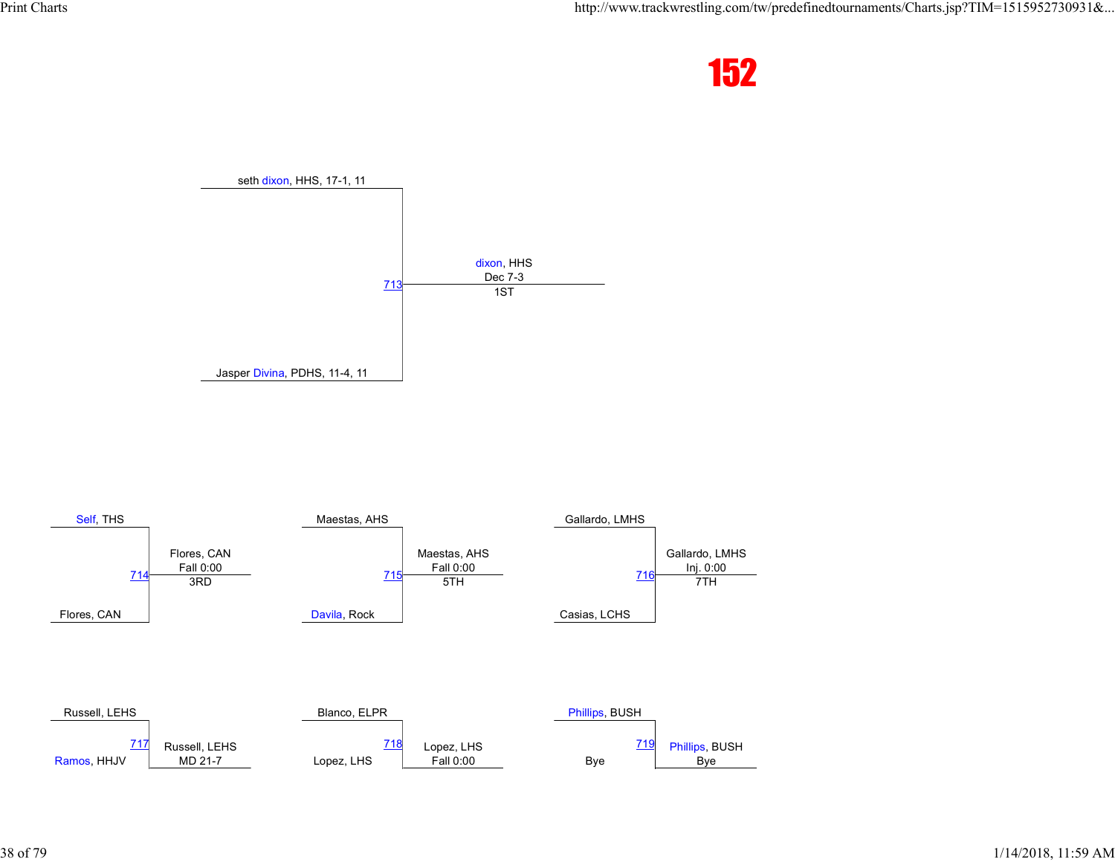



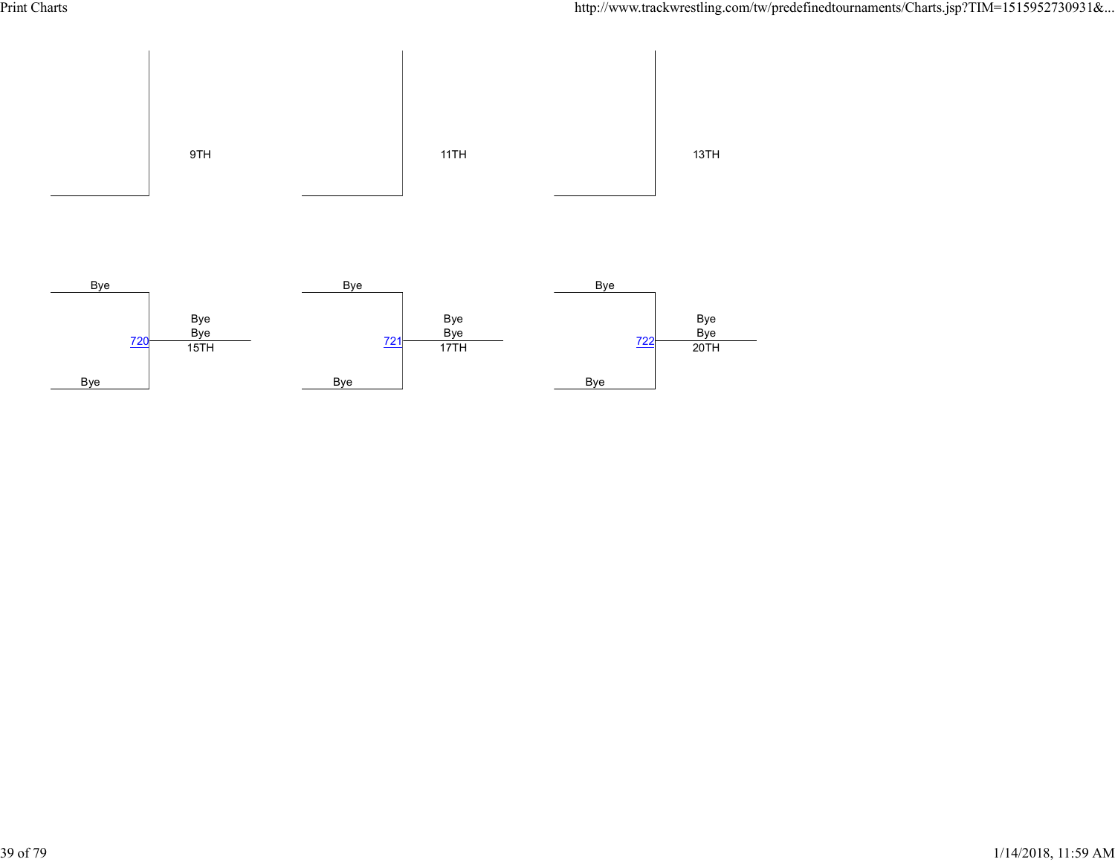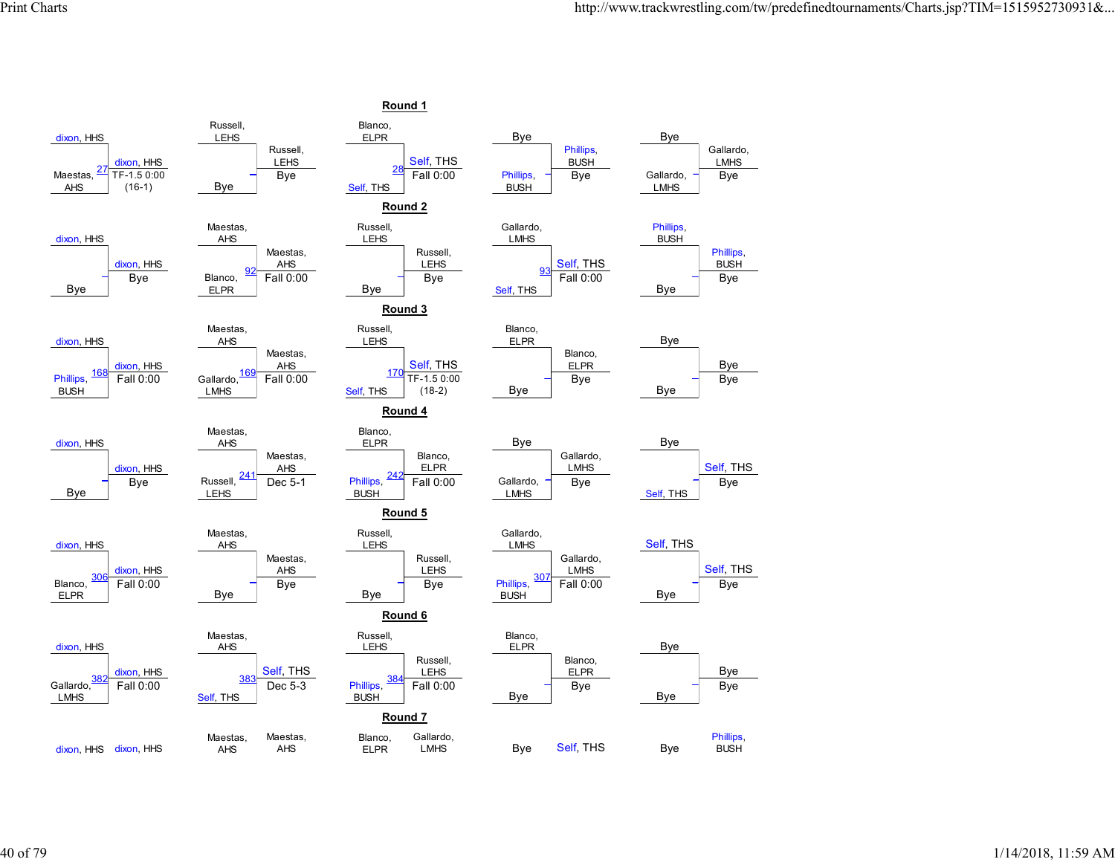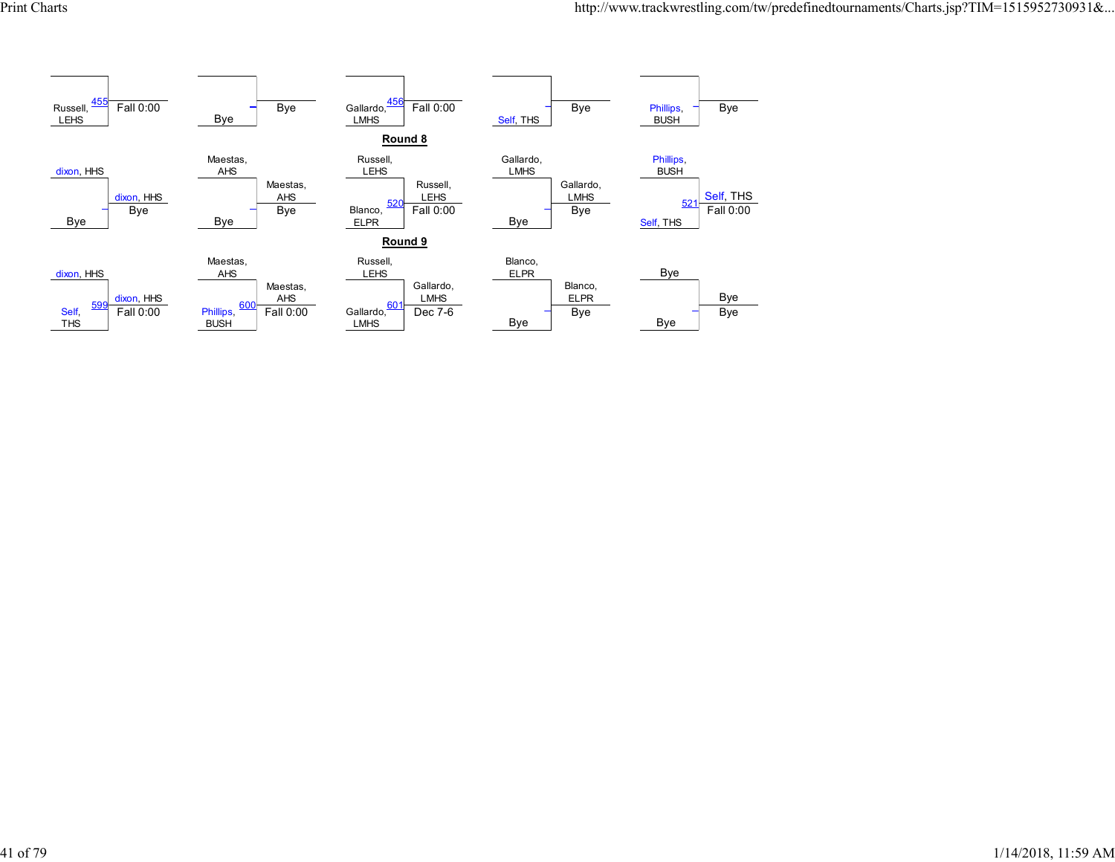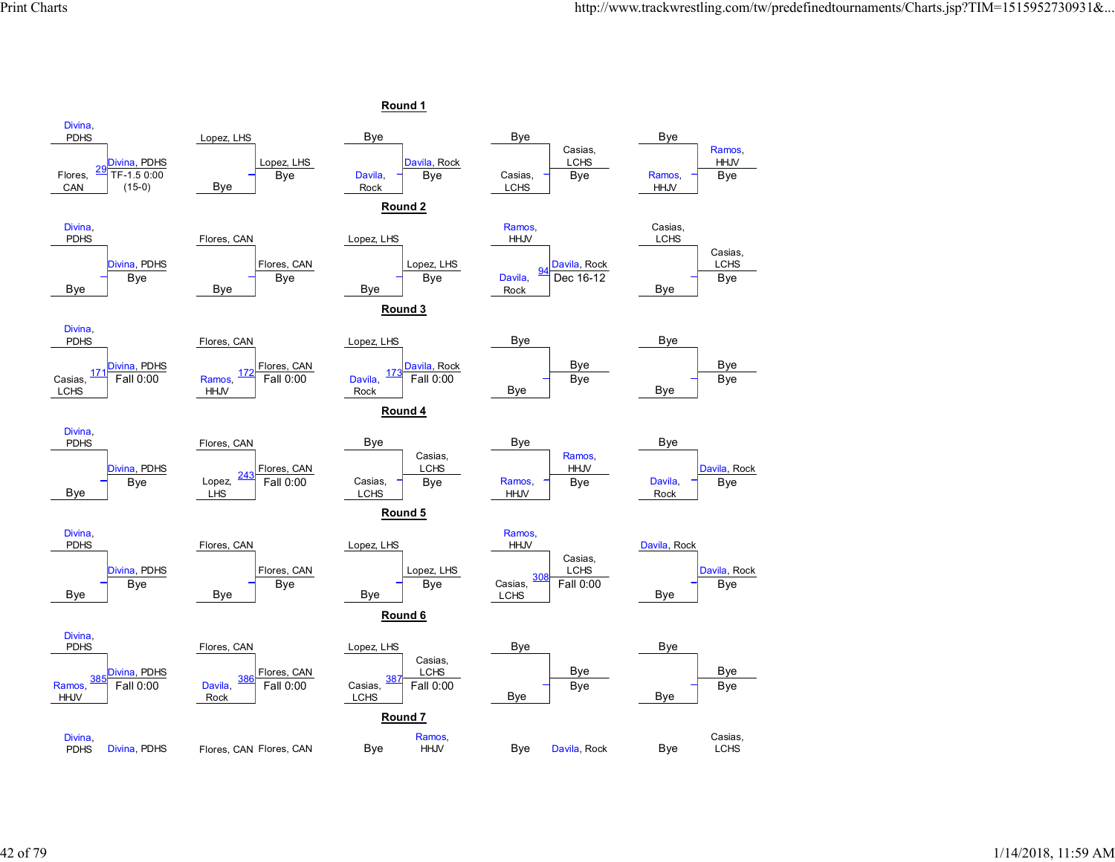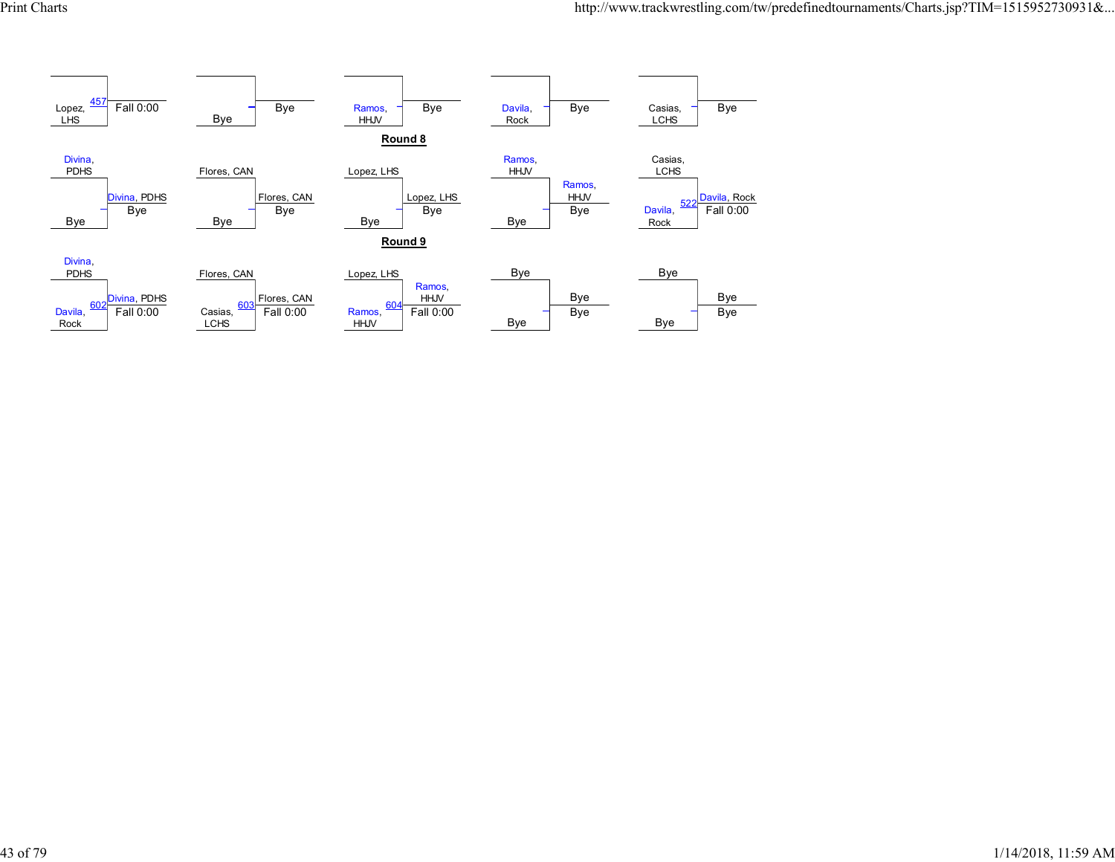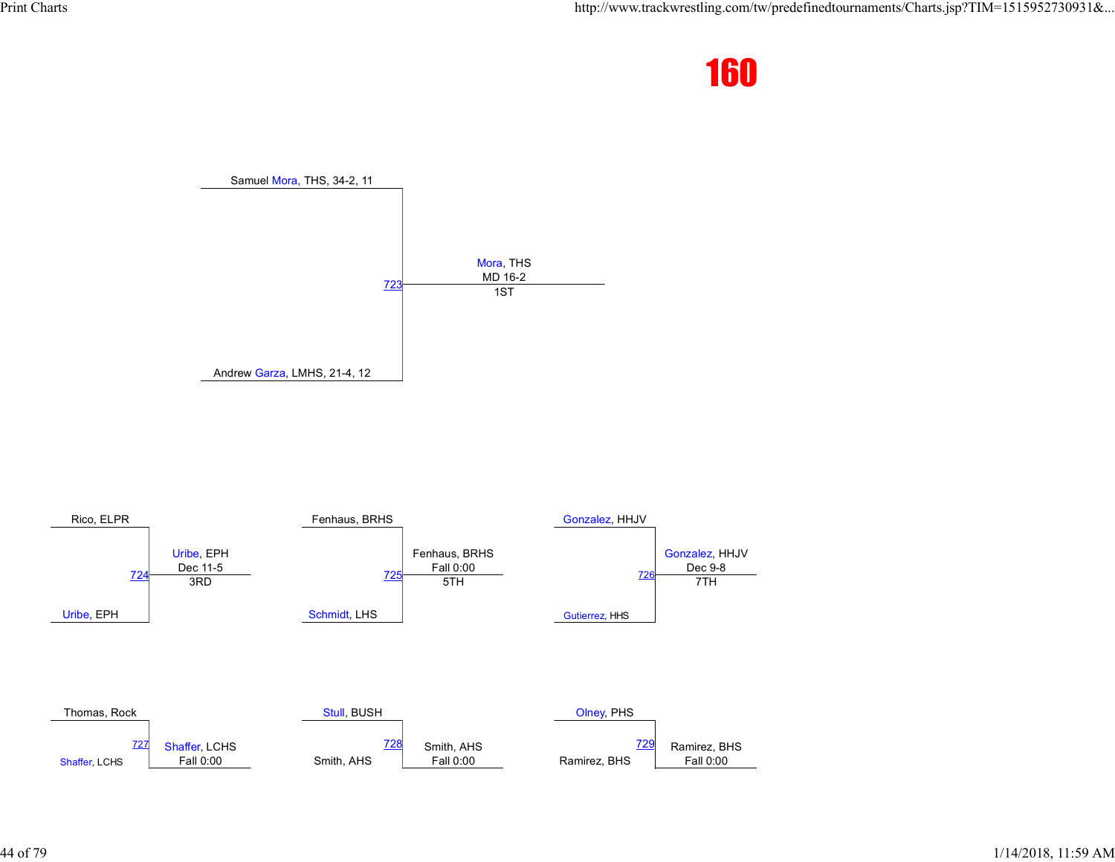



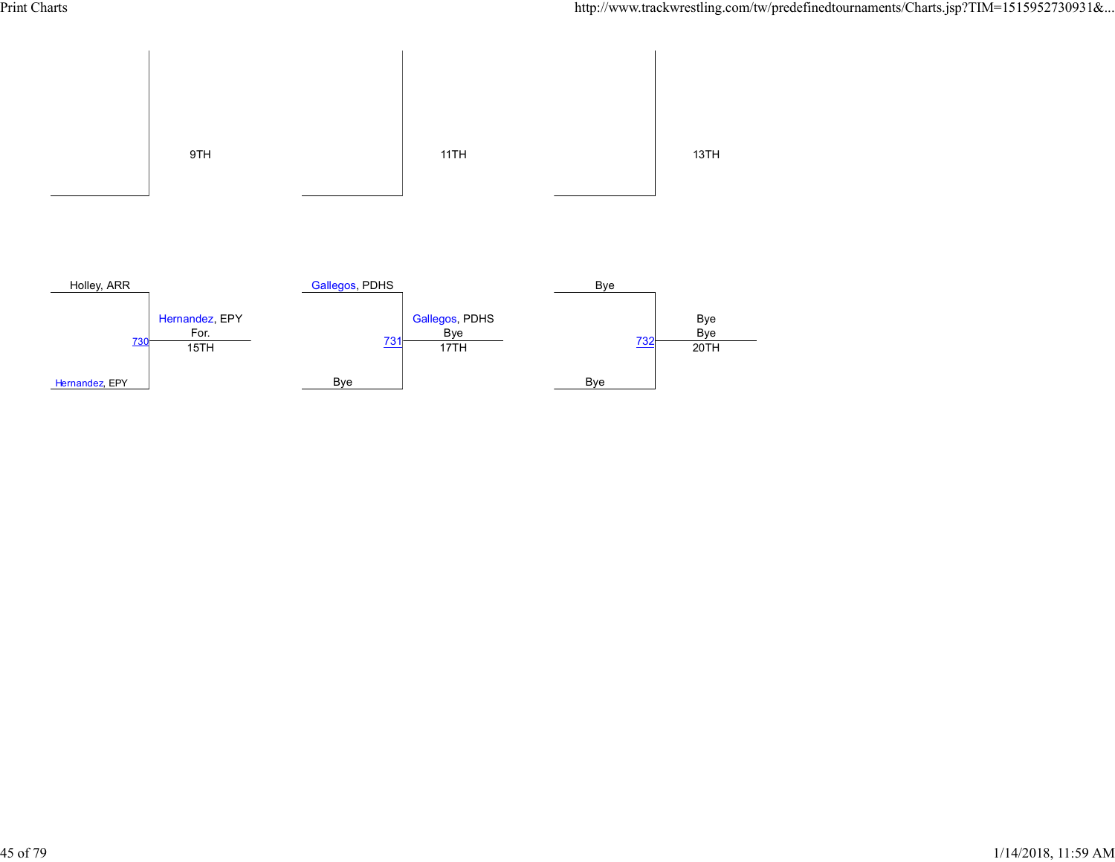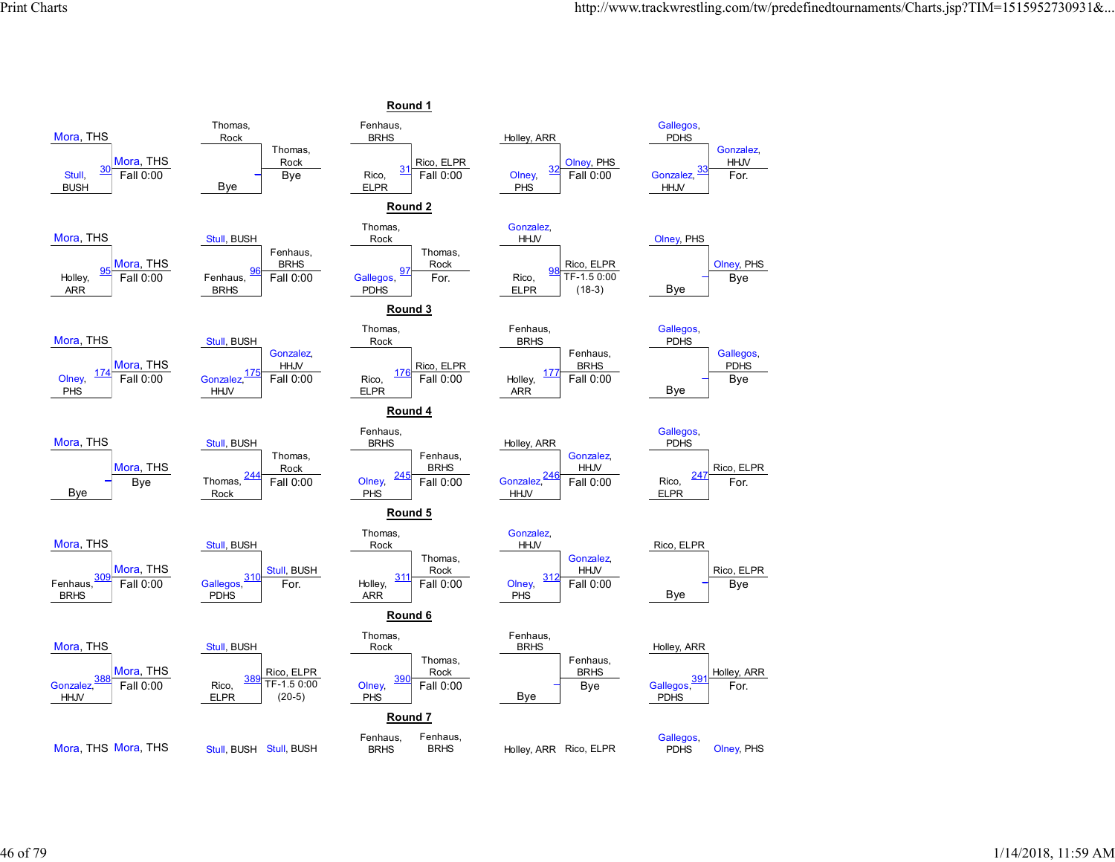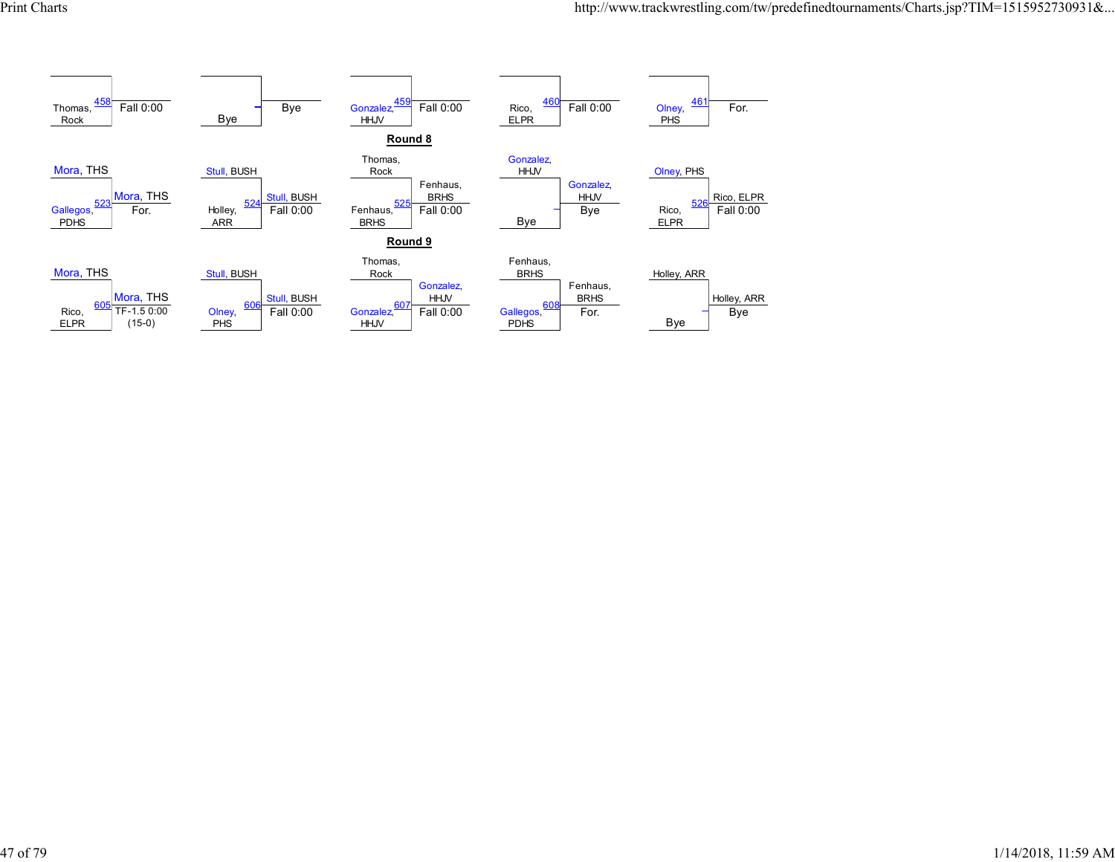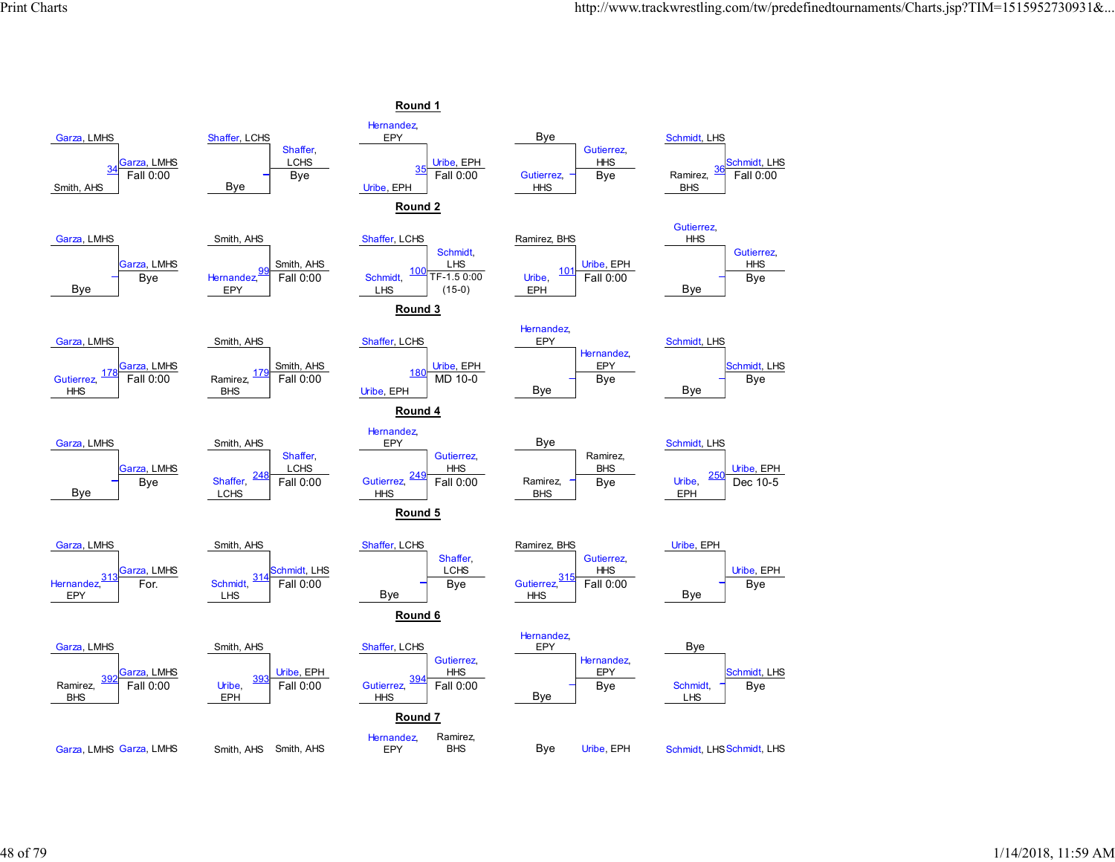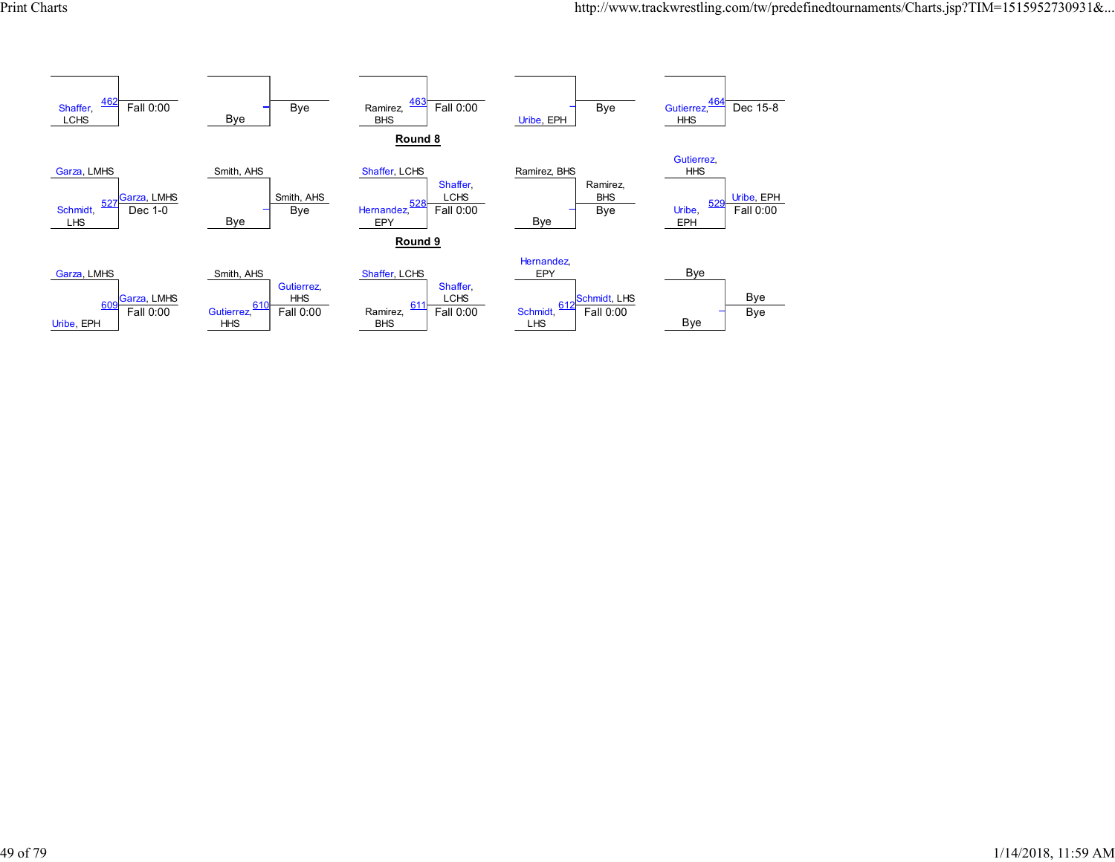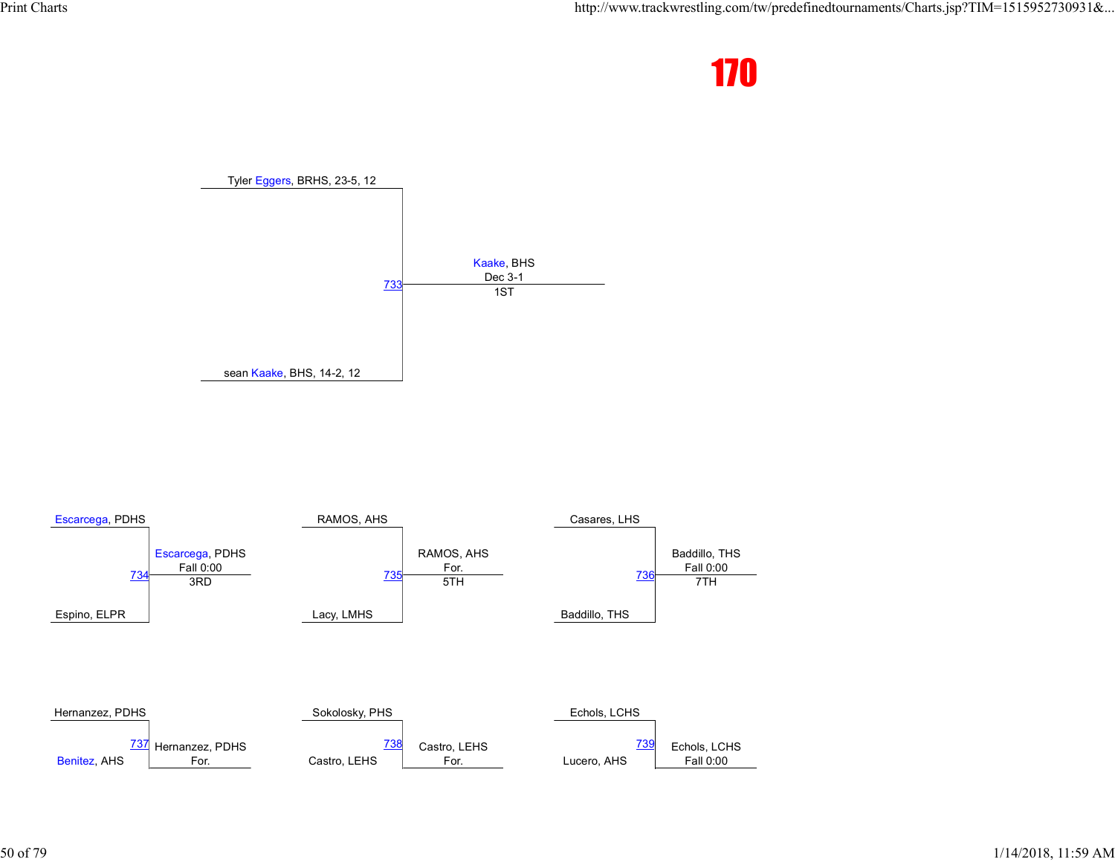



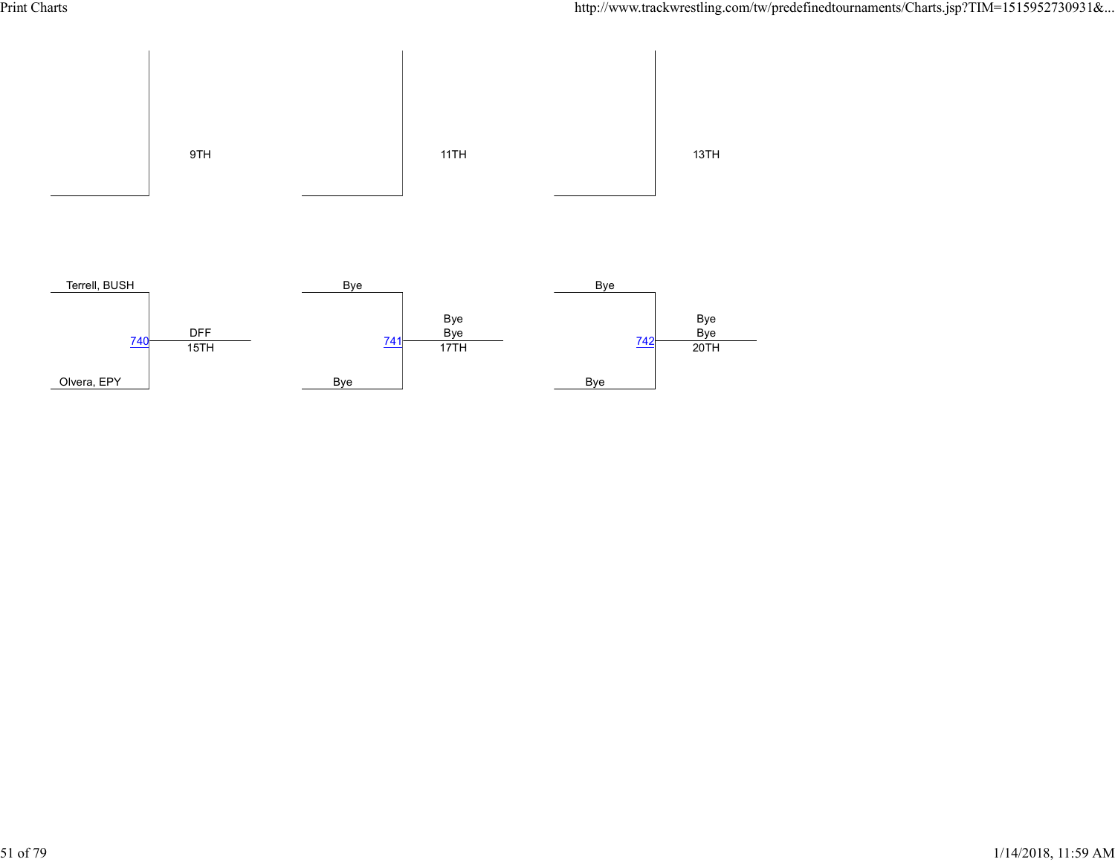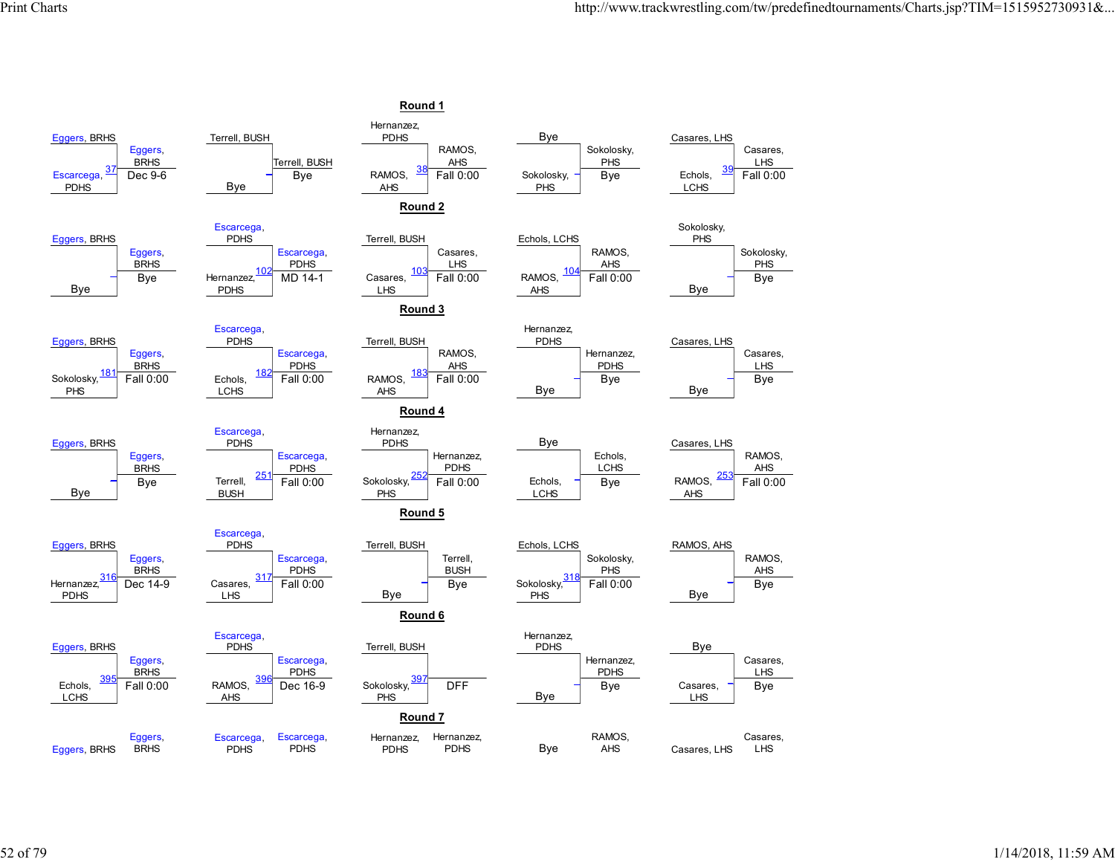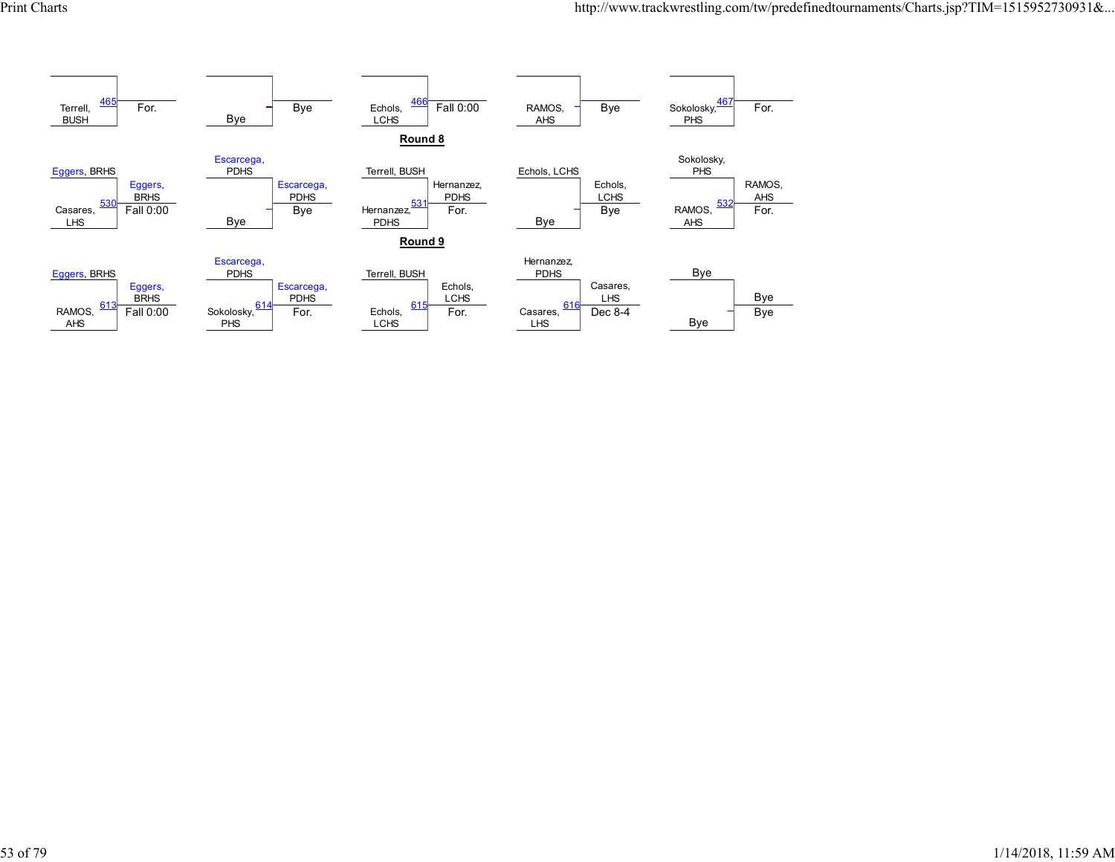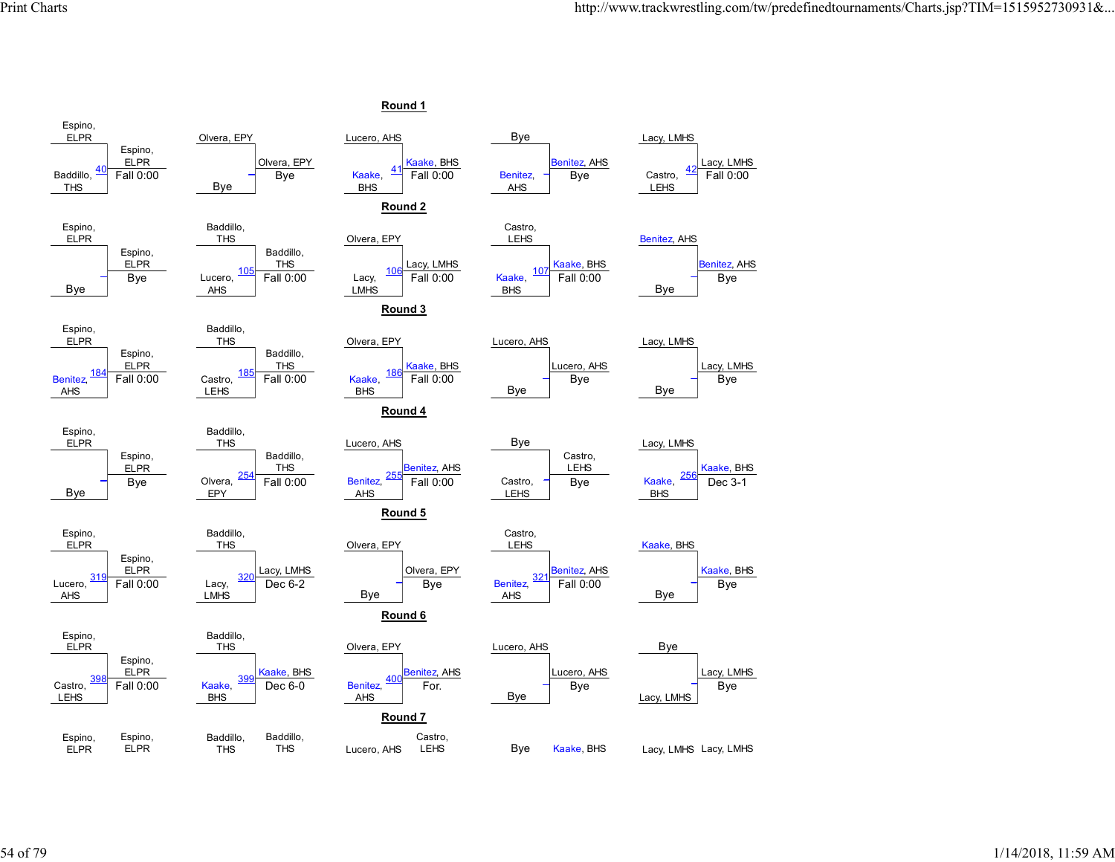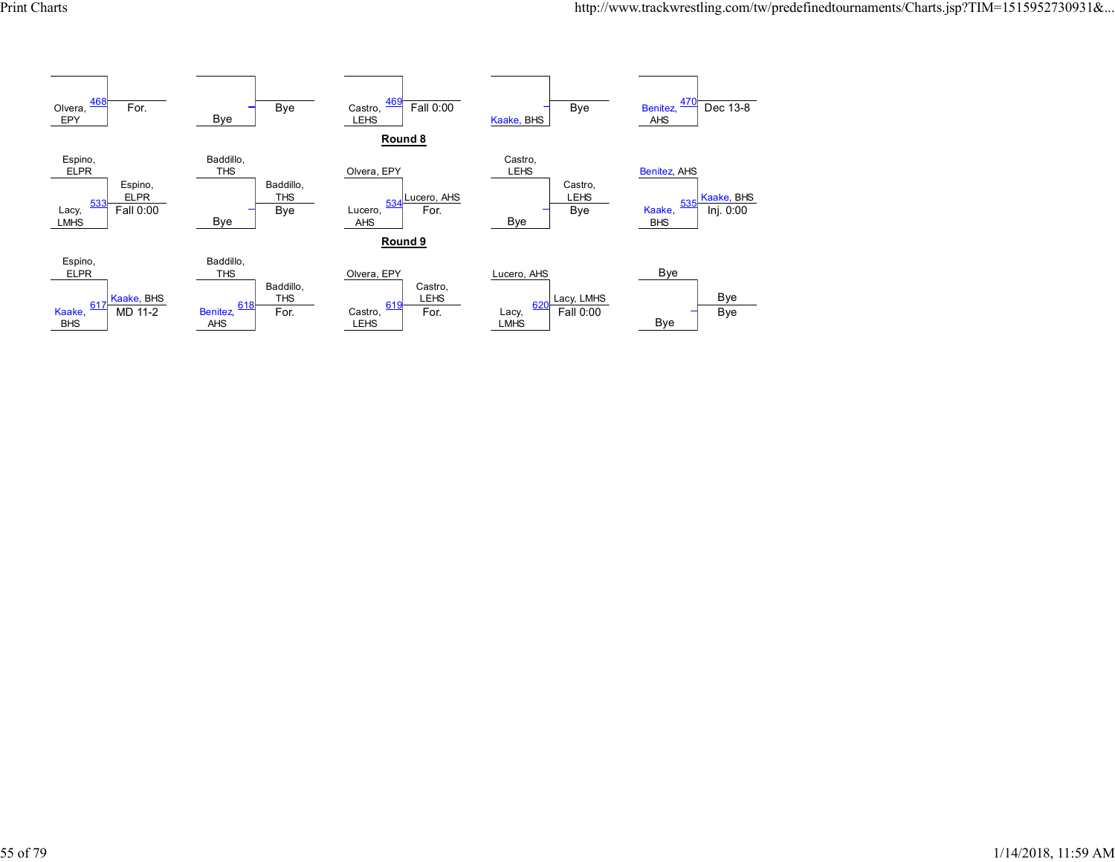![](_page_54_Figure_2.jpeg)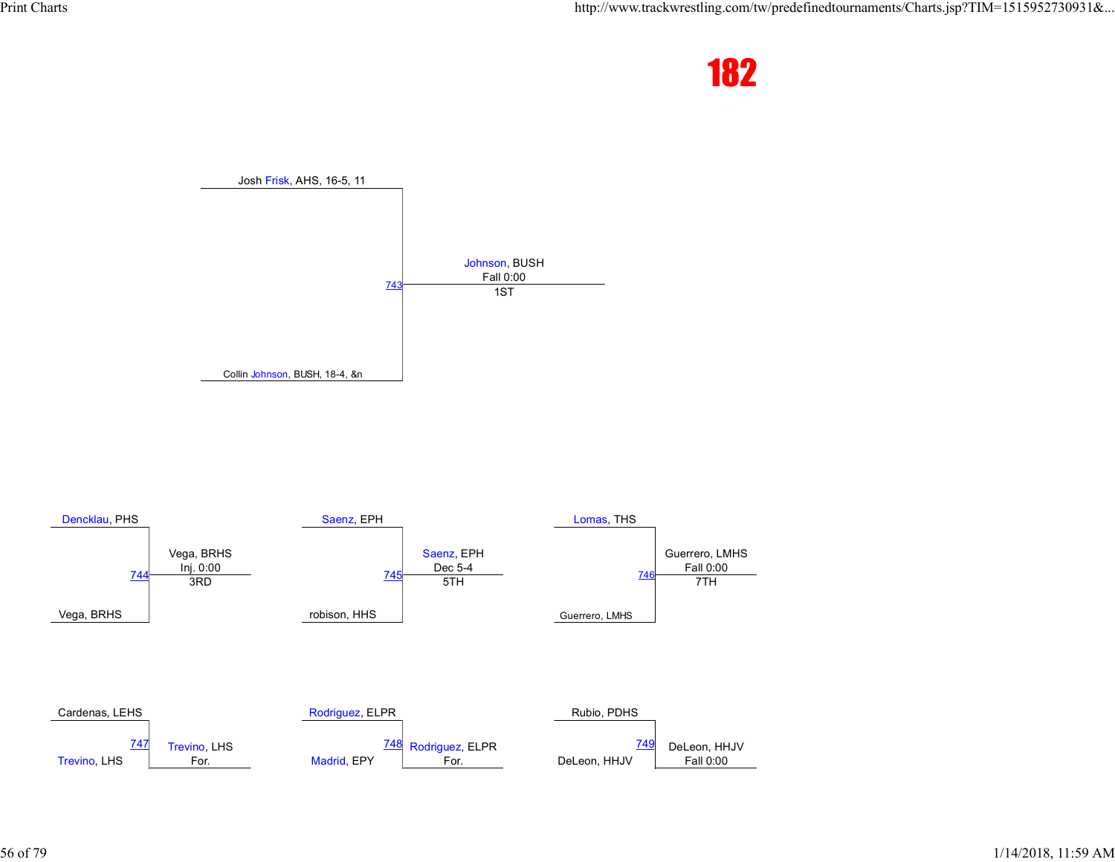![](_page_55_Picture_2.jpeg)

![](_page_55_Figure_3.jpeg)

![](_page_55_Figure_4.jpeg)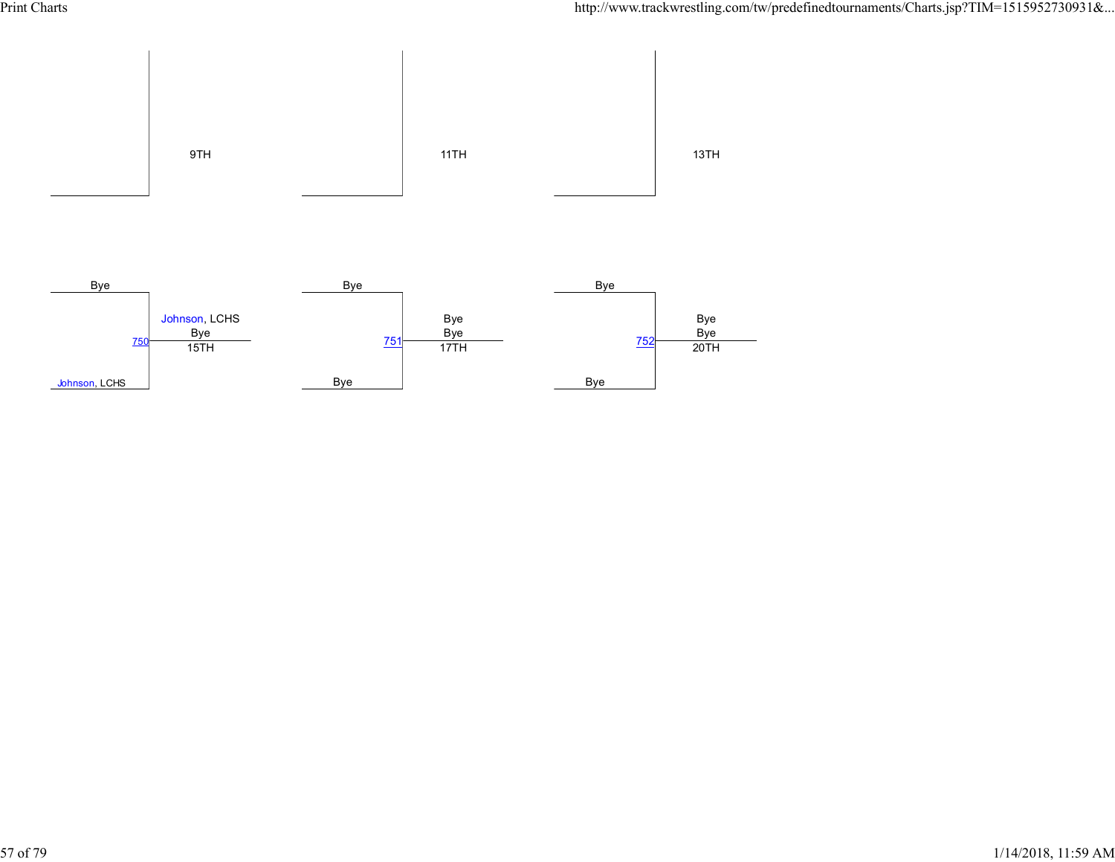![](_page_56_Figure_2.jpeg)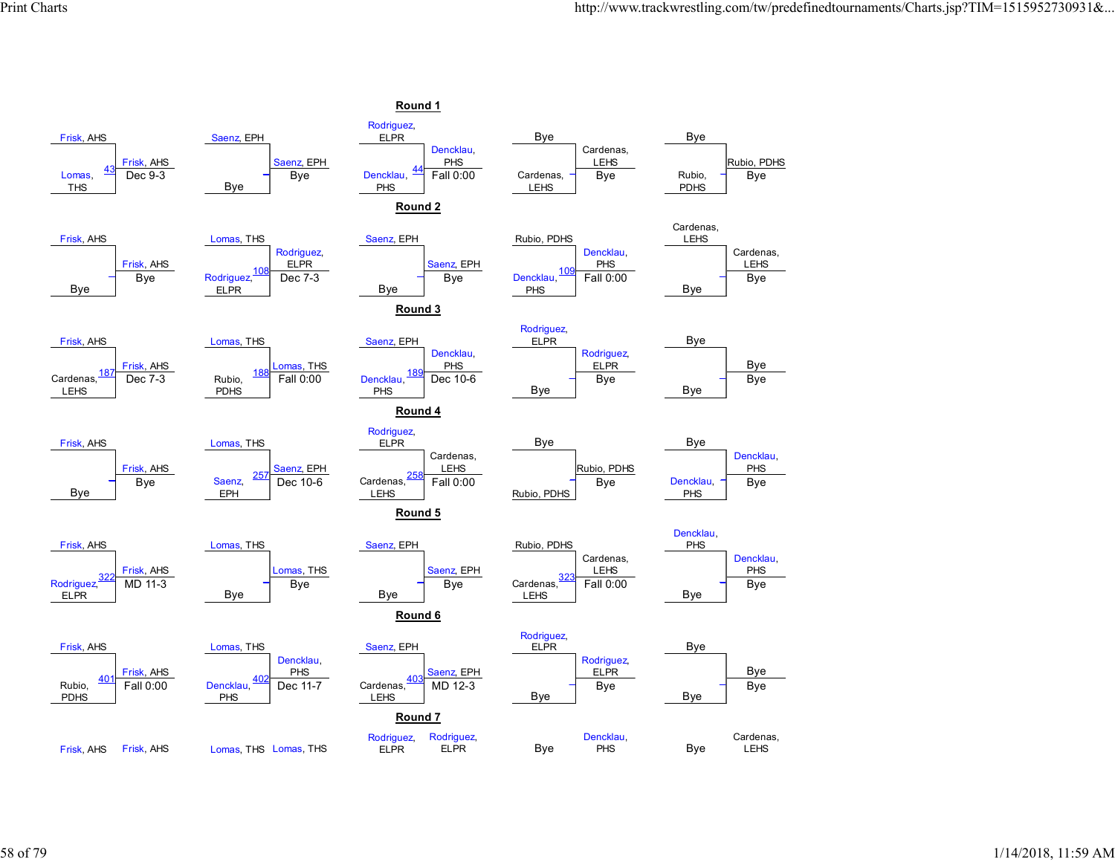![](_page_57_Figure_2.jpeg)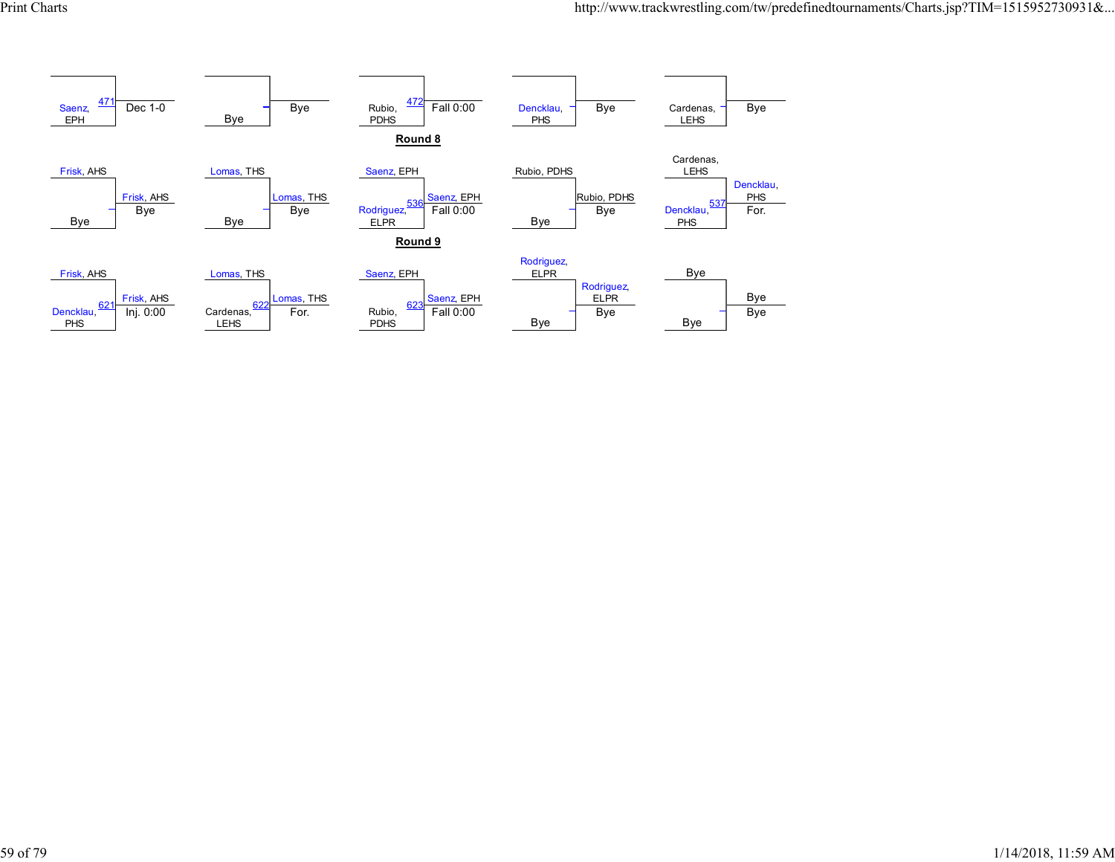![](_page_58_Figure_2.jpeg)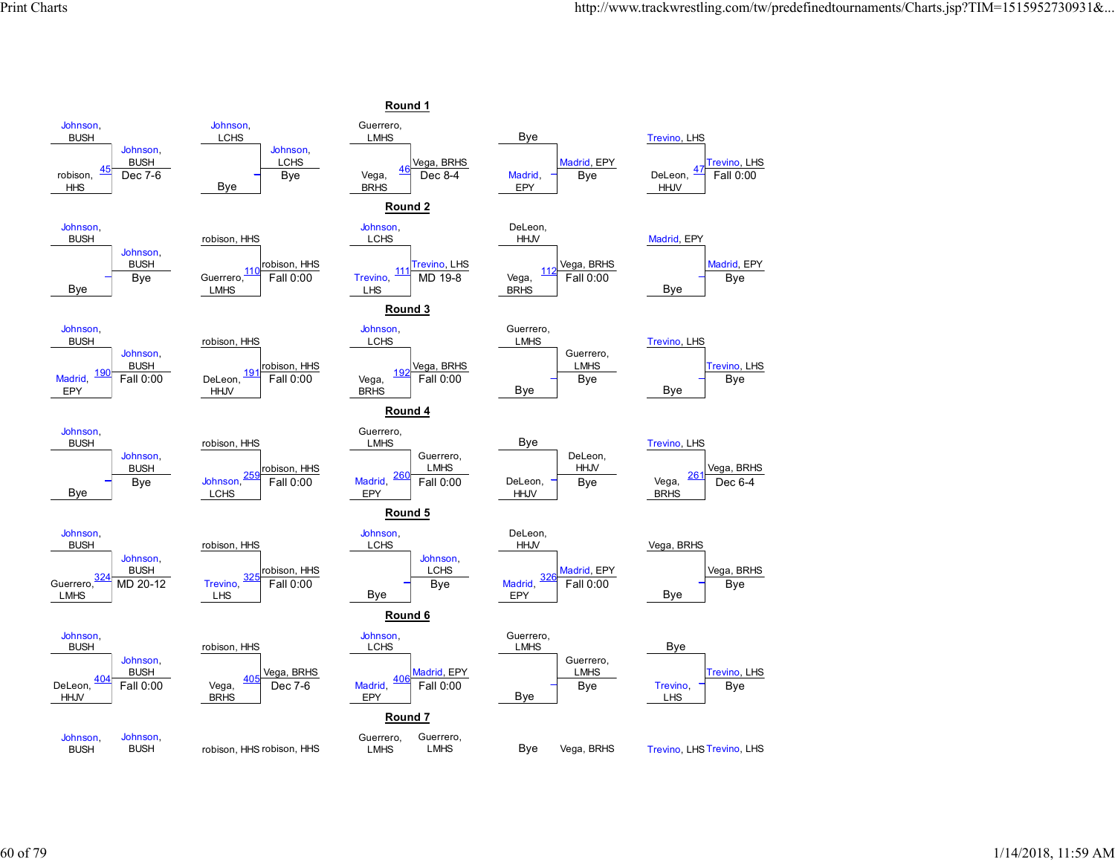![](_page_59_Figure_2.jpeg)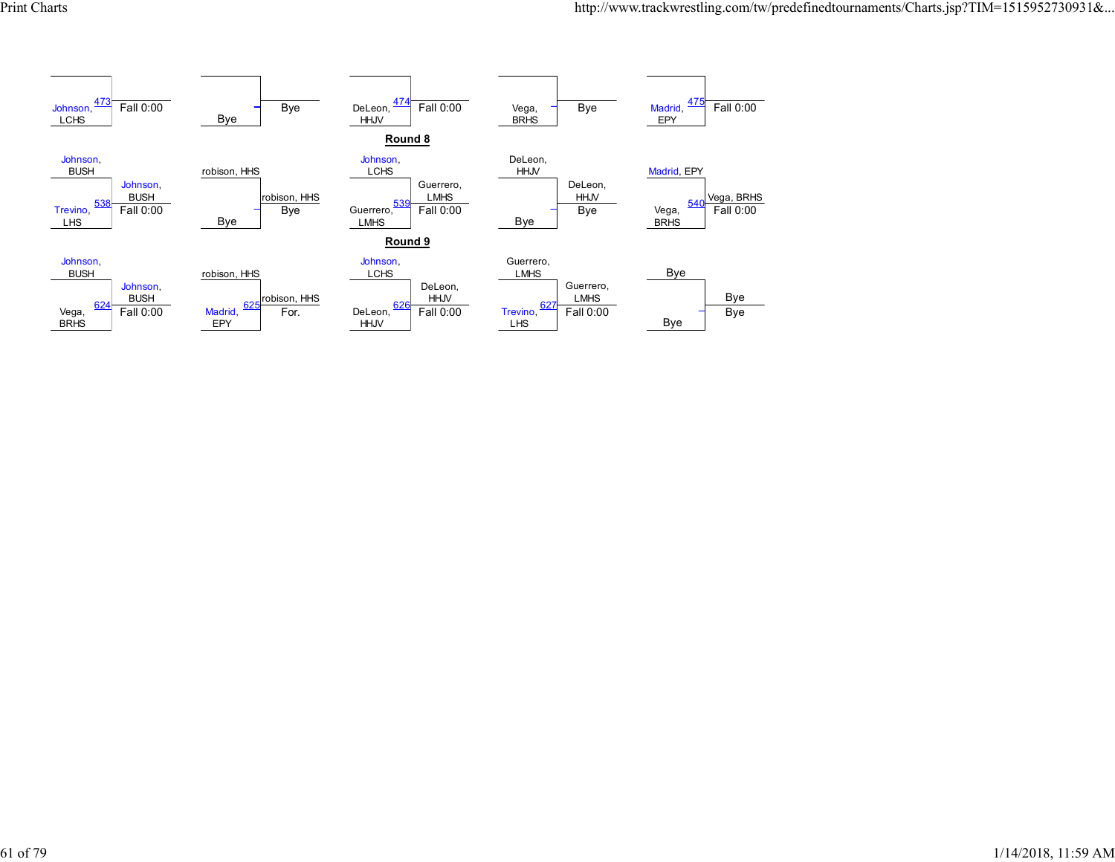![](_page_60_Figure_2.jpeg)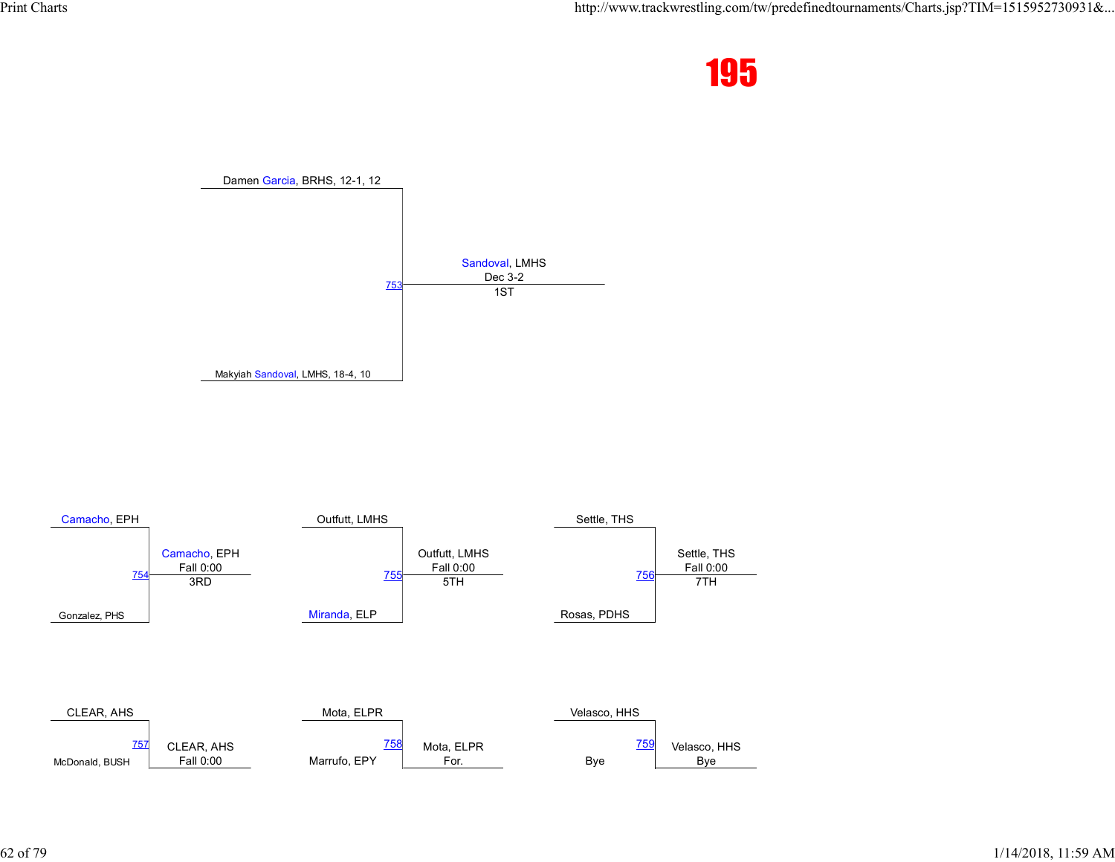![](_page_61_Picture_2.jpeg)

![](_page_61_Figure_3.jpeg)

![](_page_61_Figure_4.jpeg)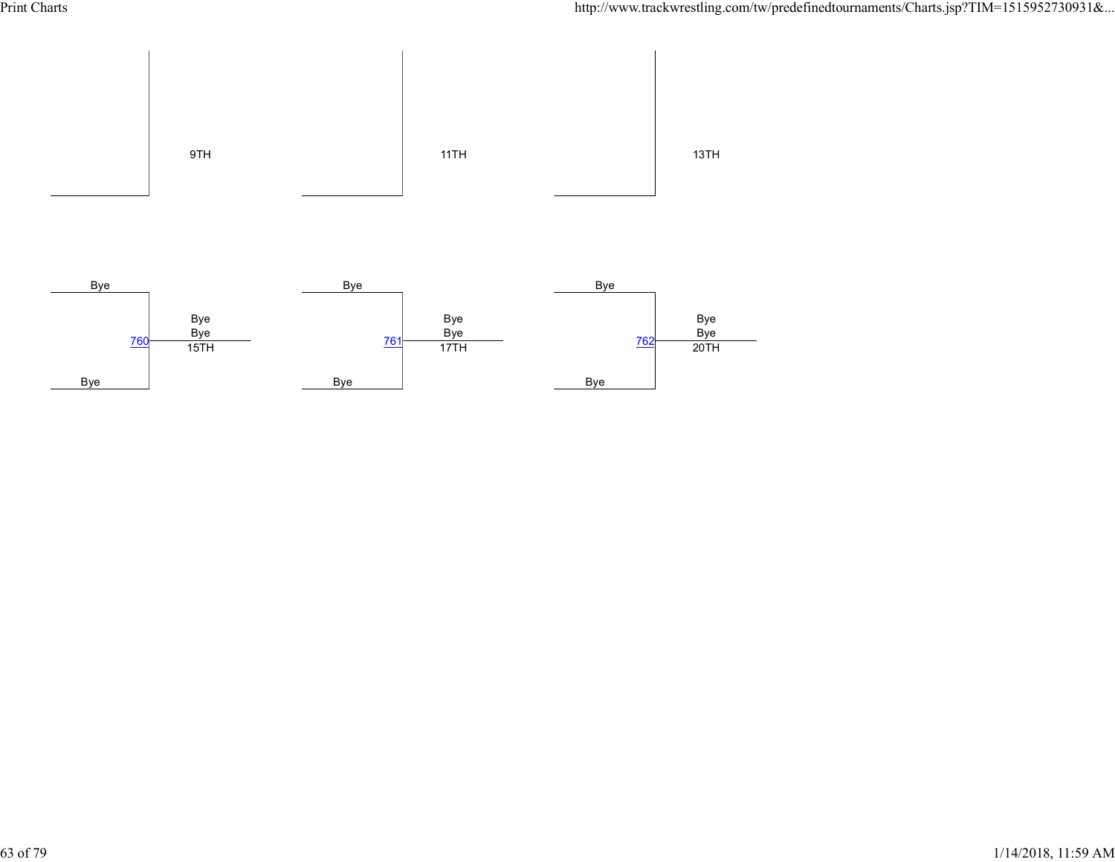![](_page_62_Figure_2.jpeg)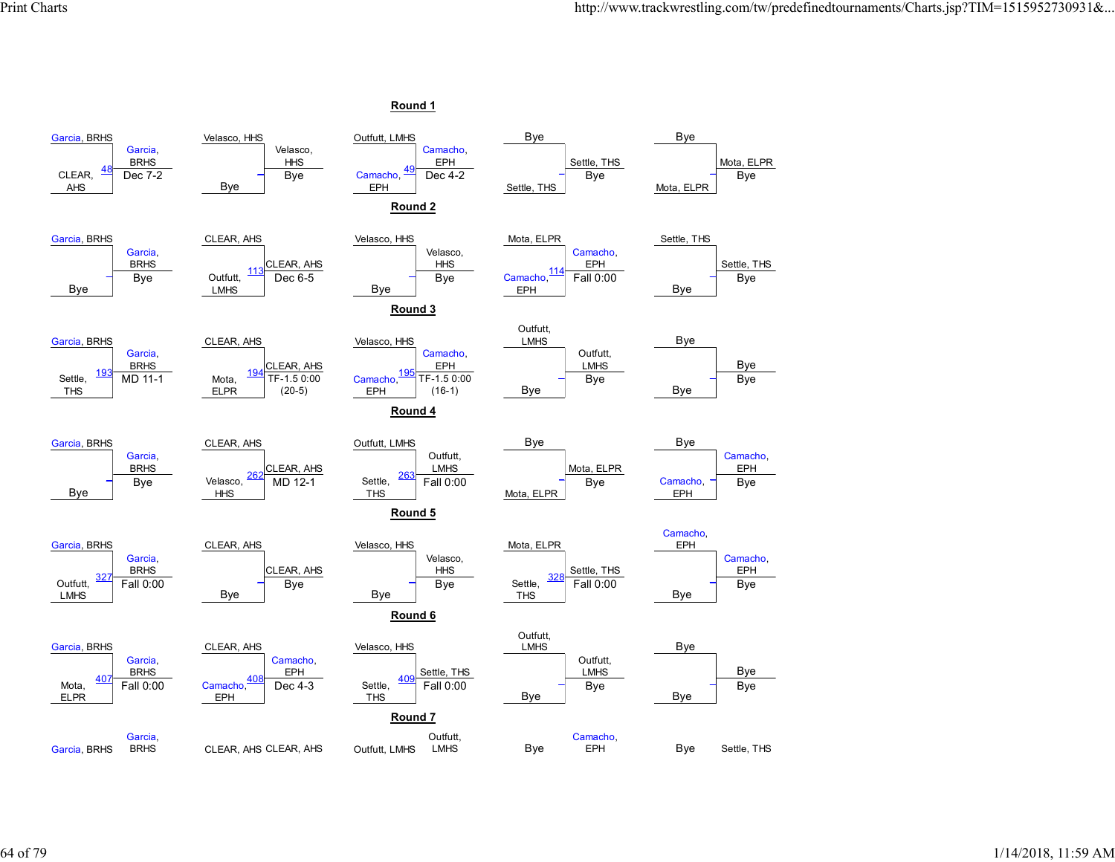![](_page_63_Figure_2.jpeg)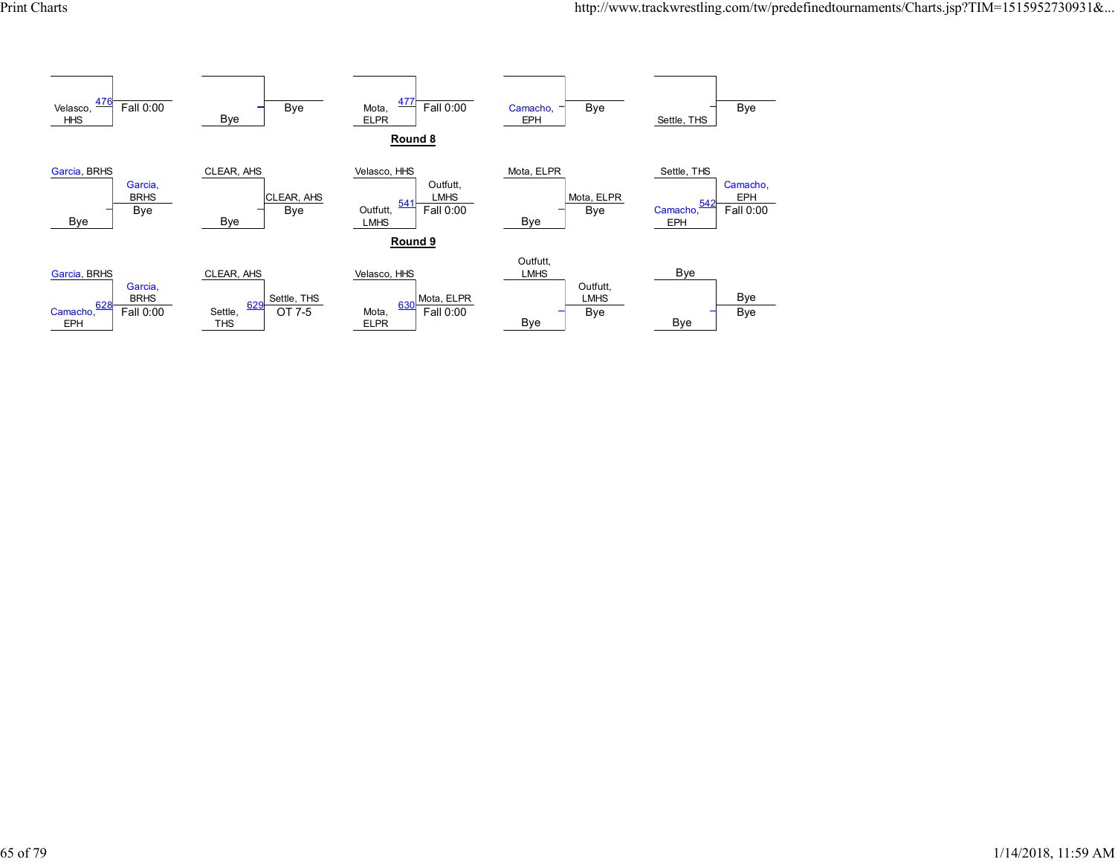![](_page_64_Figure_2.jpeg)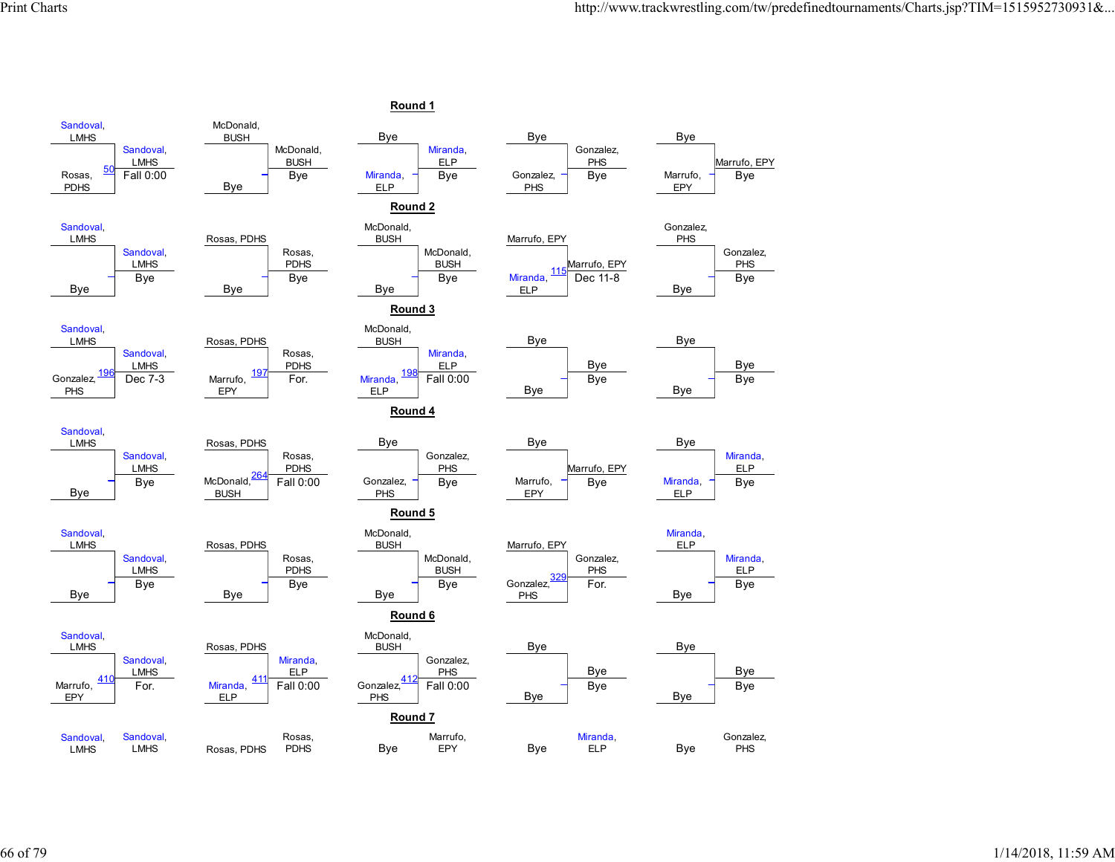![](_page_65_Figure_2.jpeg)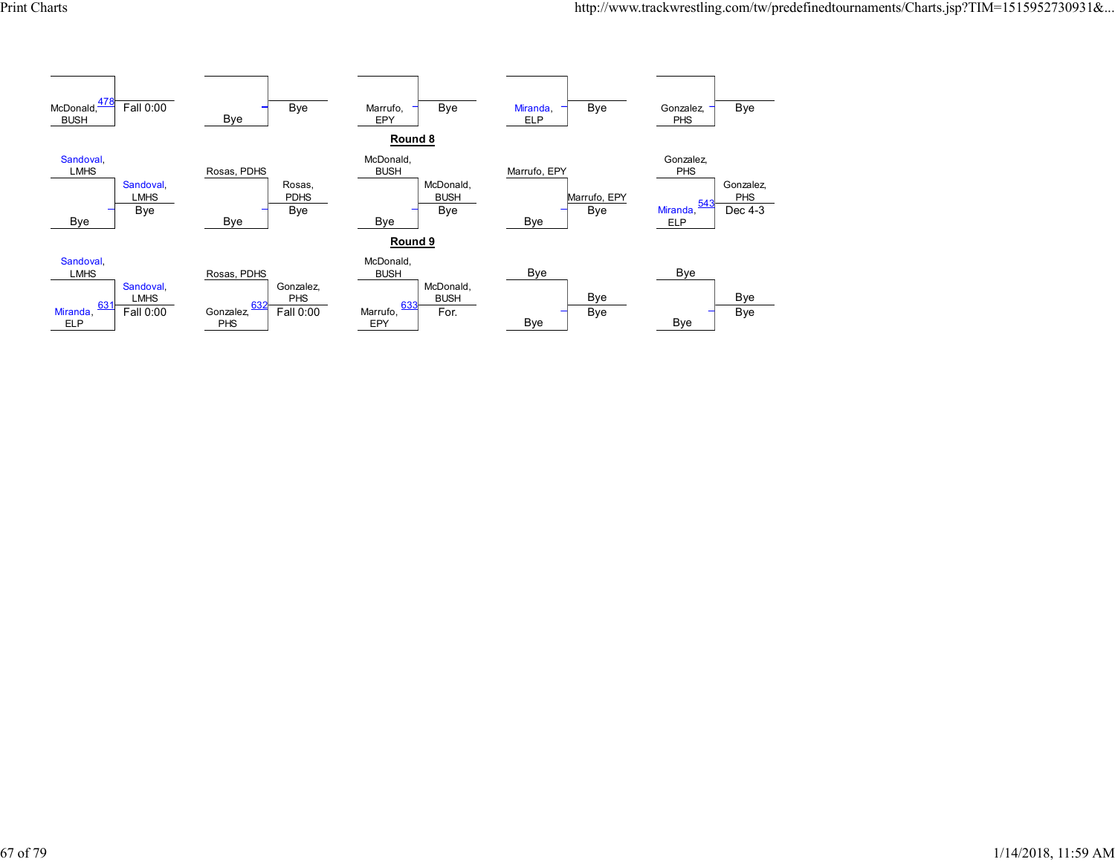![](_page_66_Figure_2.jpeg)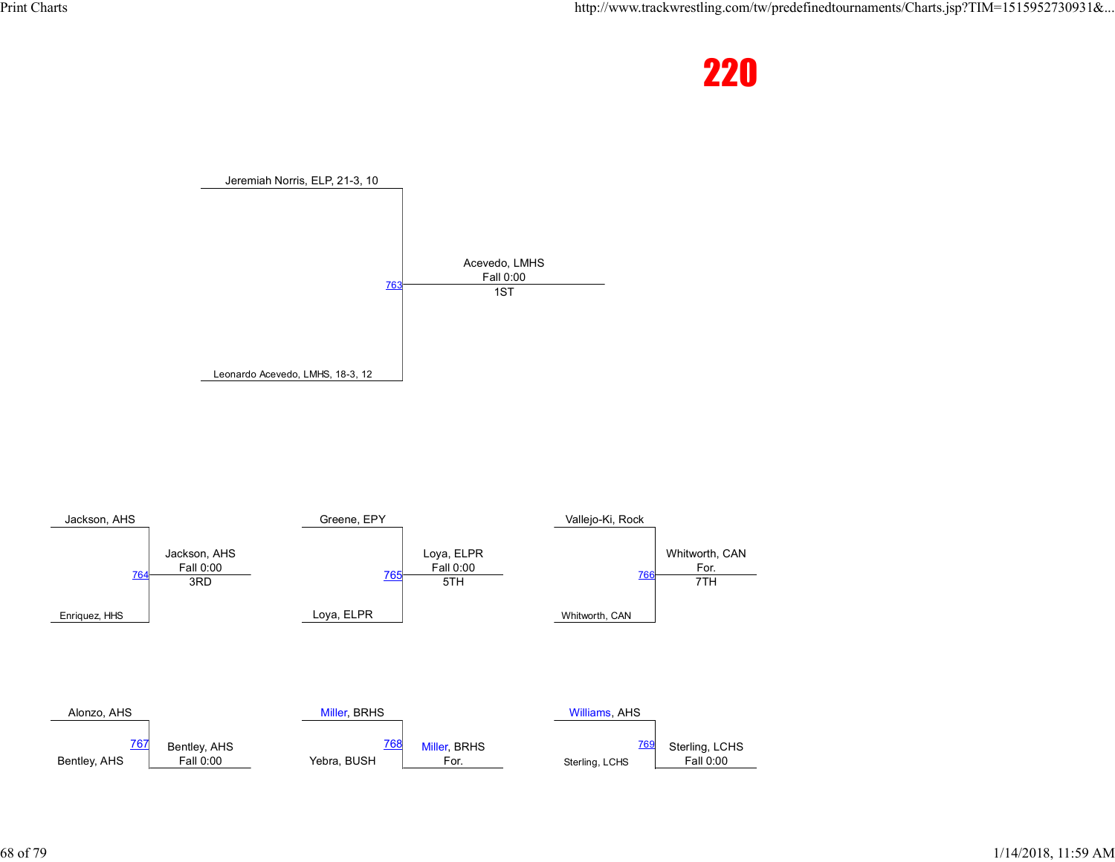![](_page_67_Picture_2.jpeg)

![](_page_67_Figure_3.jpeg)

![](_page_67_Figure_4.jpeg)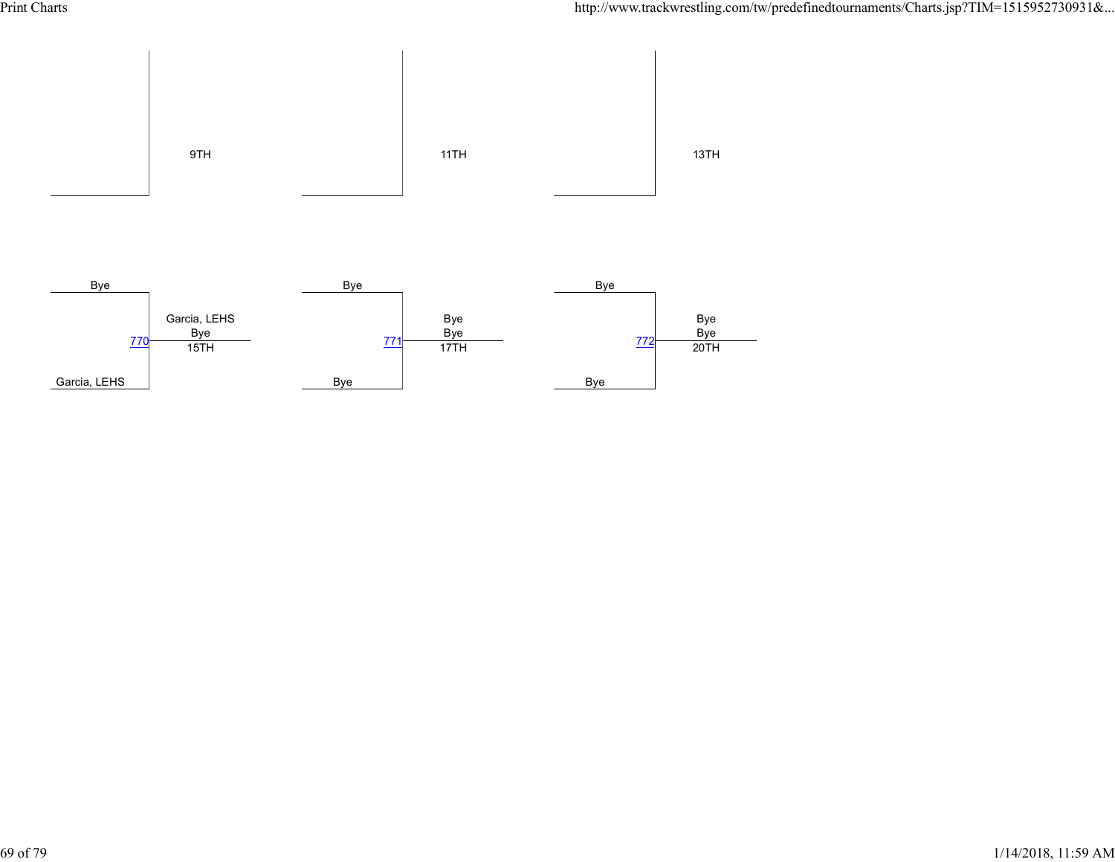![](_page_68_Figure_2.jpeg)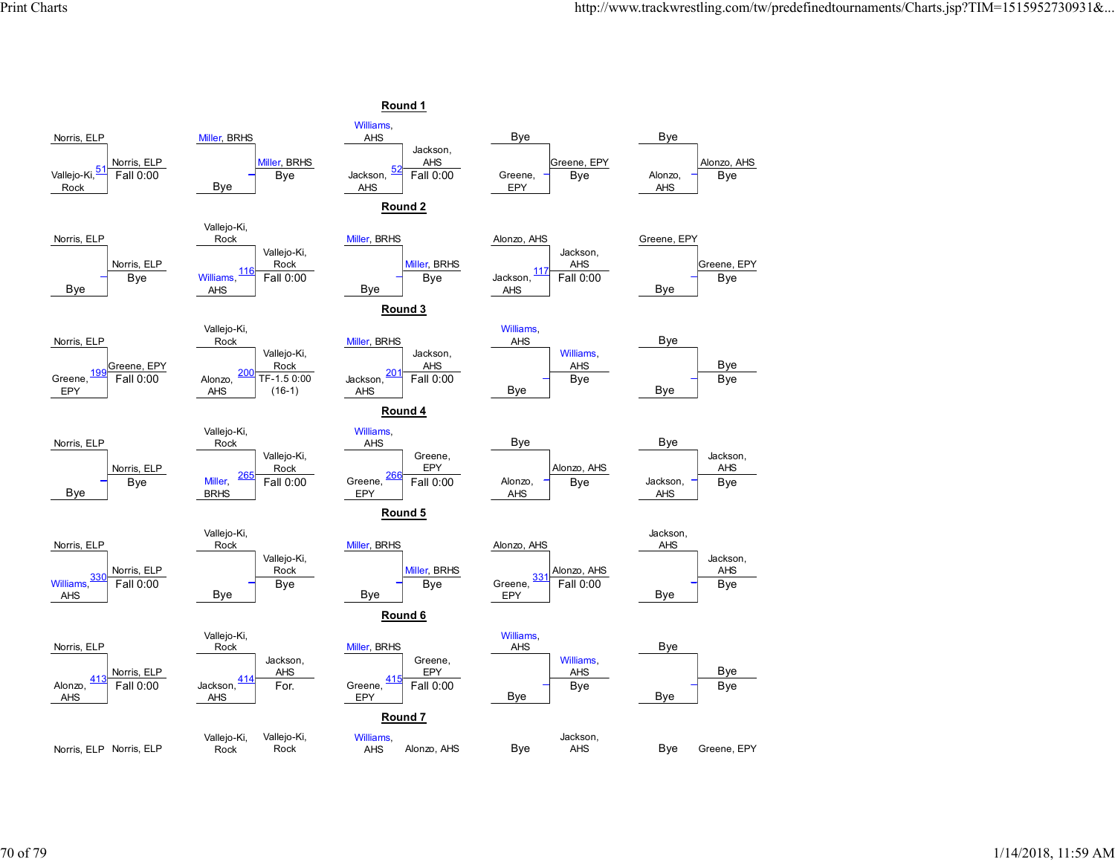![](_page_69_Figure_2.jpeg)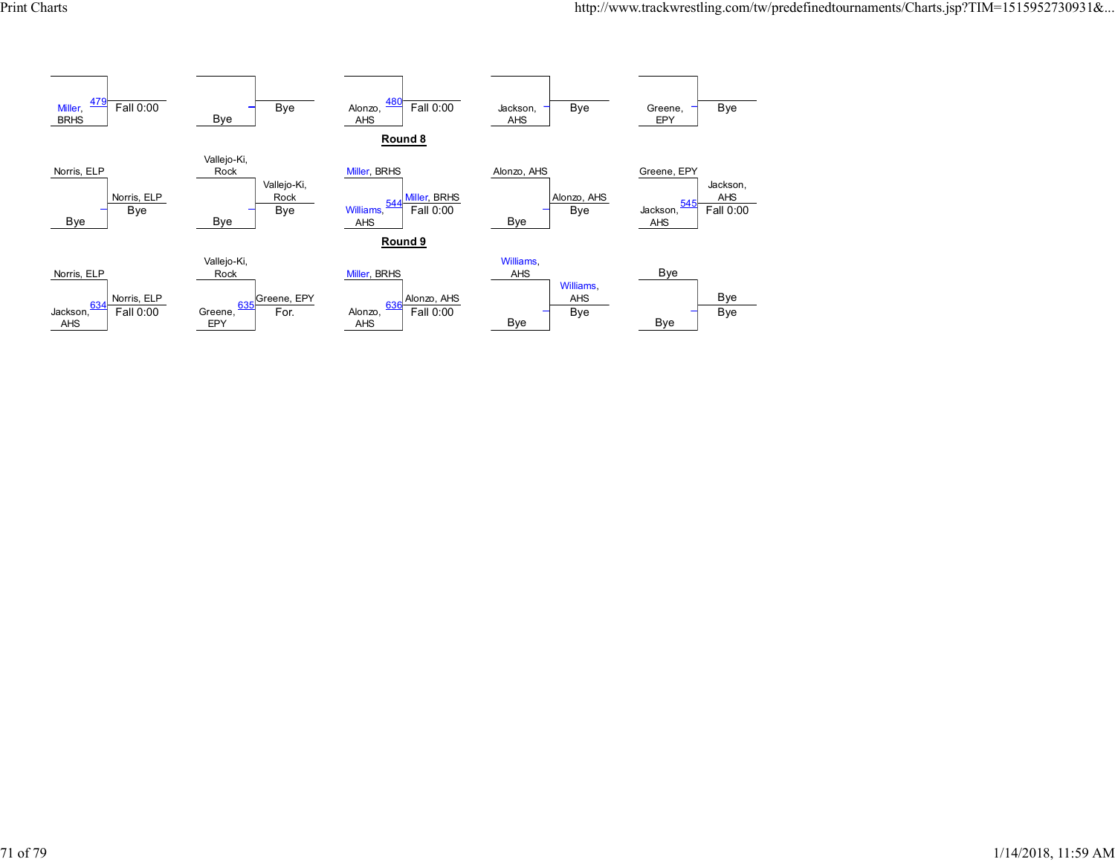![](_page_70_Figure_2.jpeg)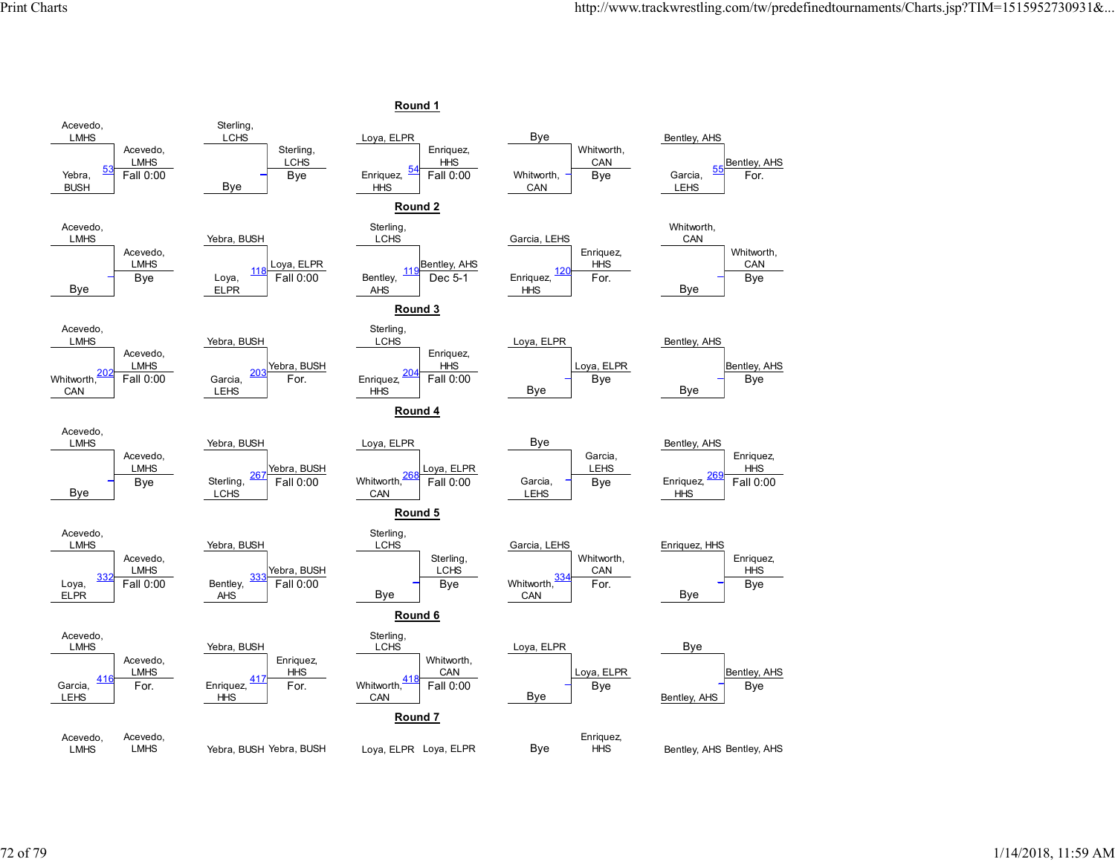![](_page_71_Figure_2.jpeg)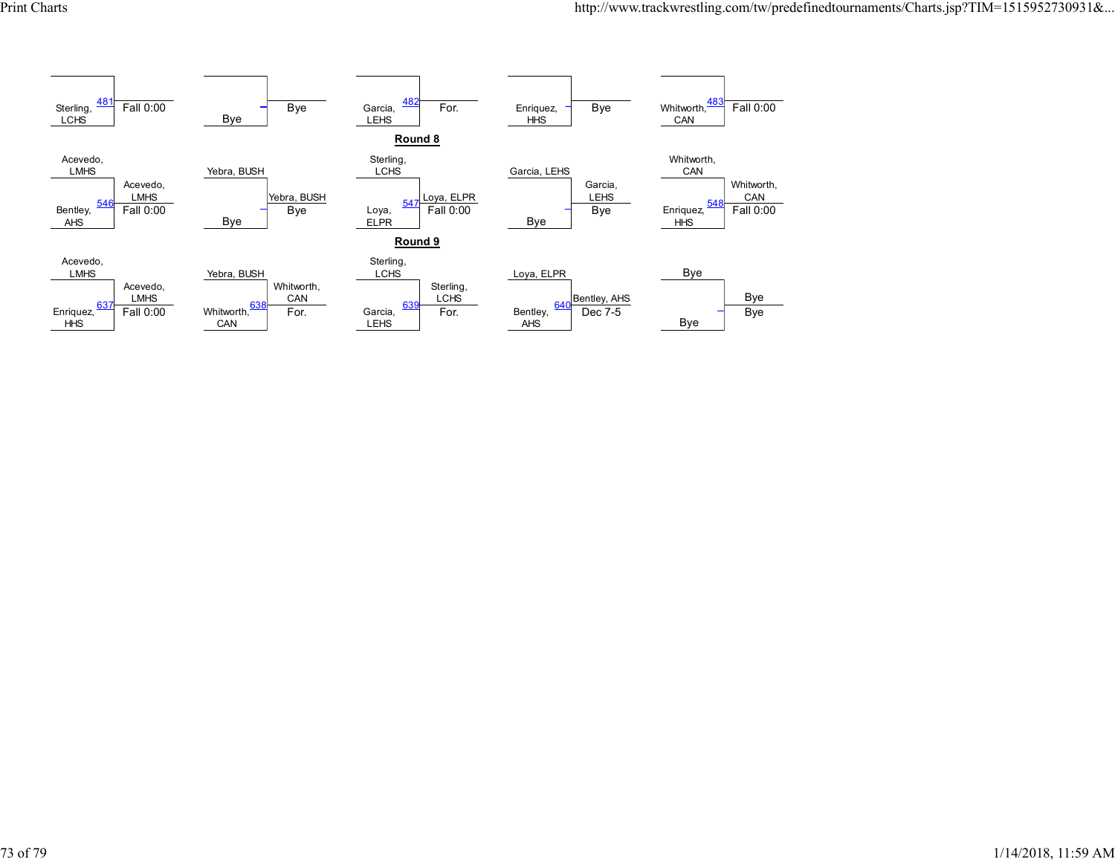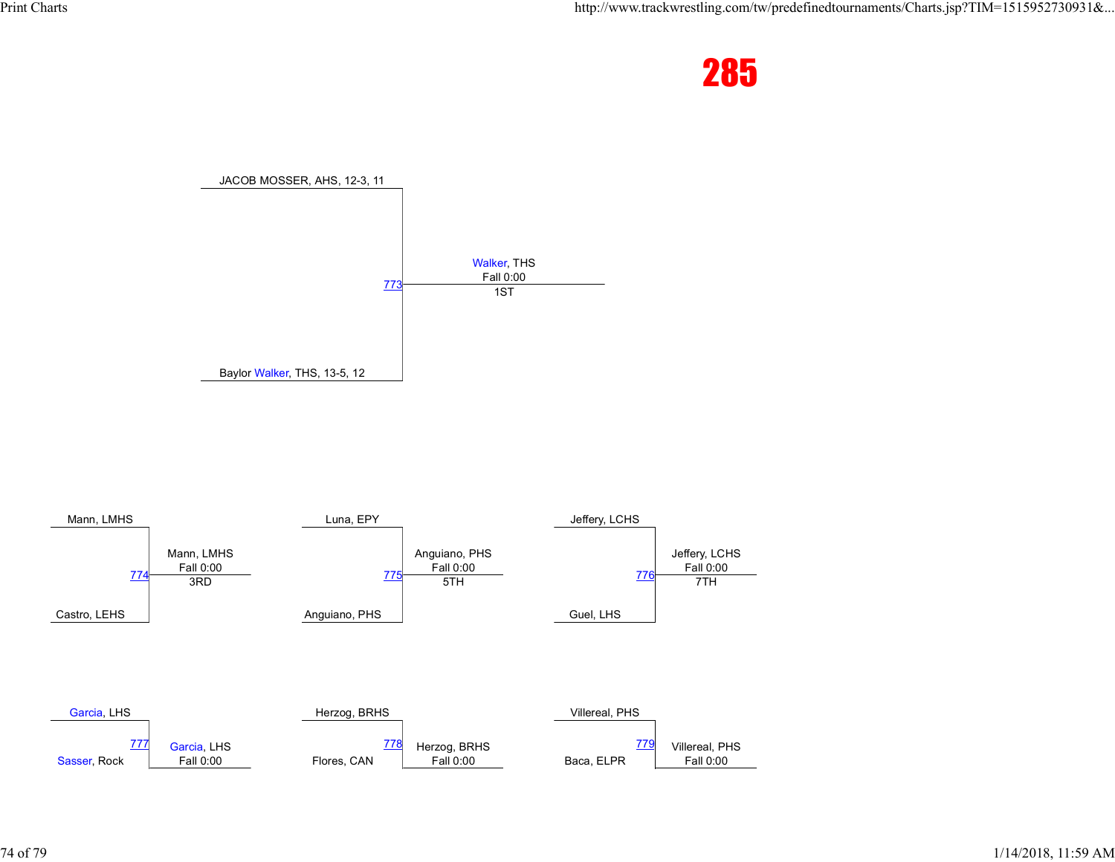



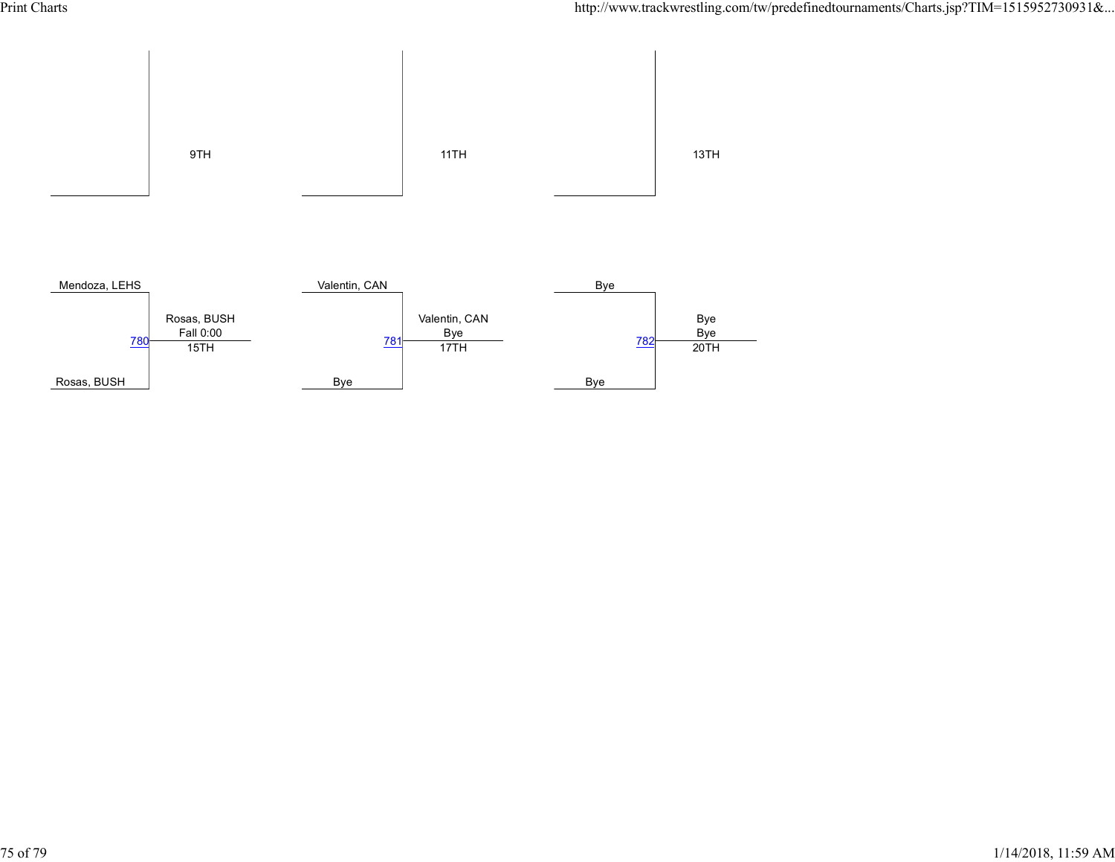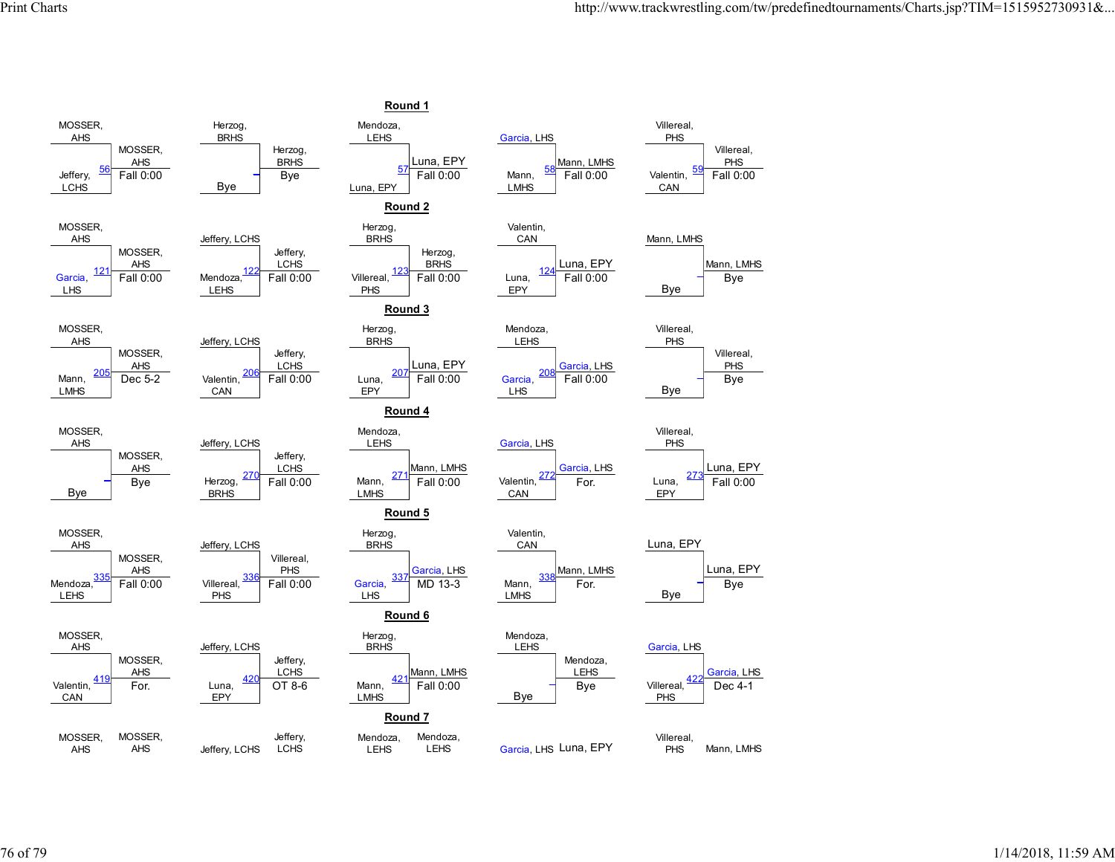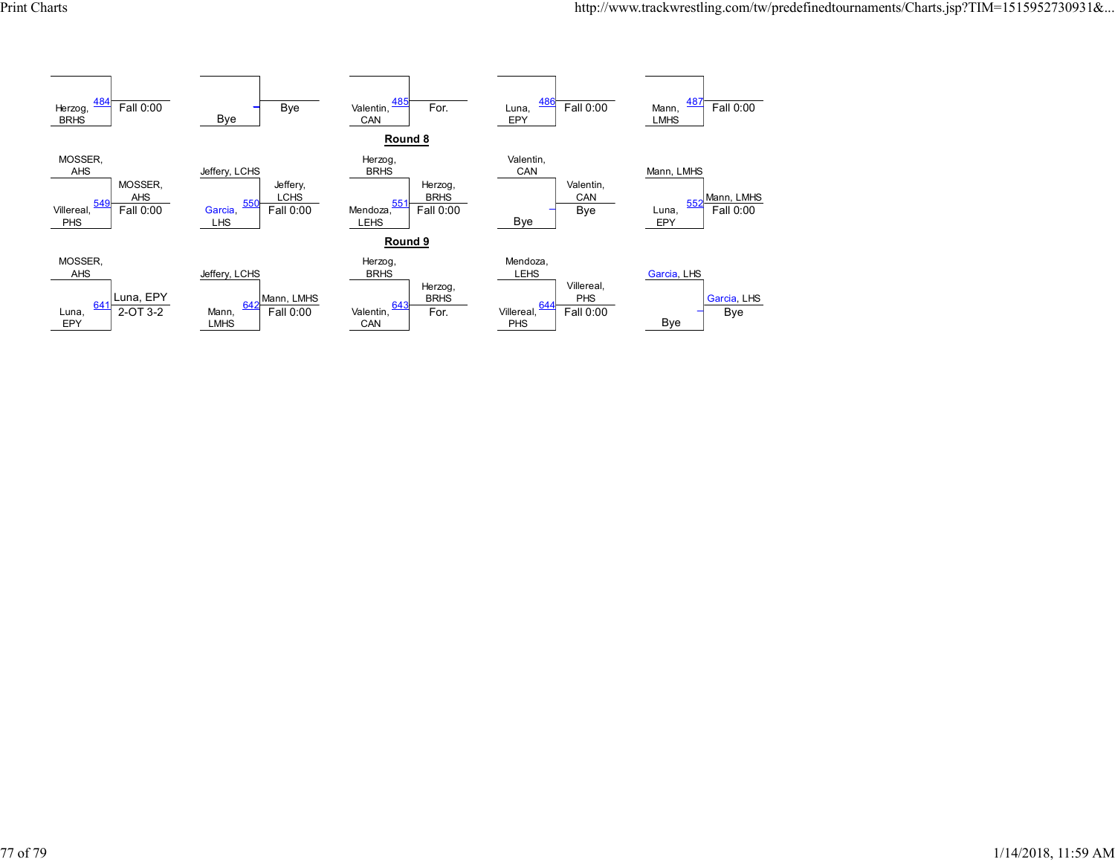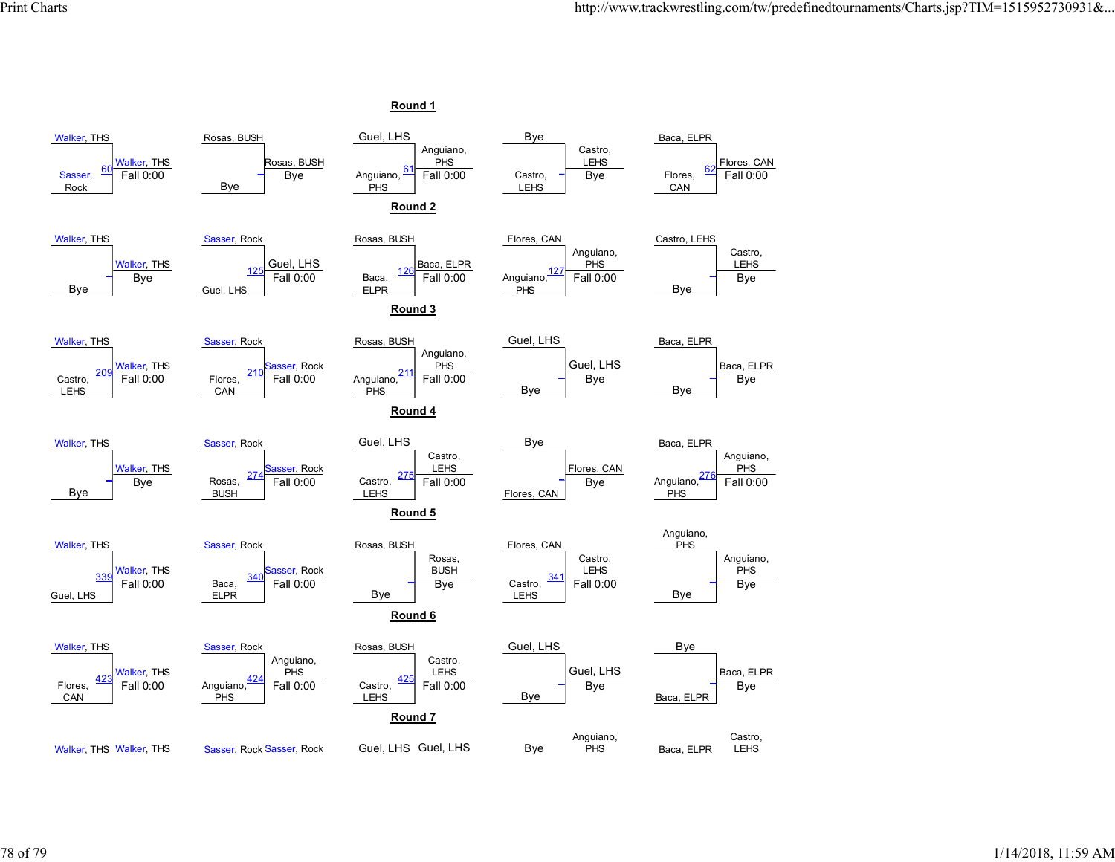